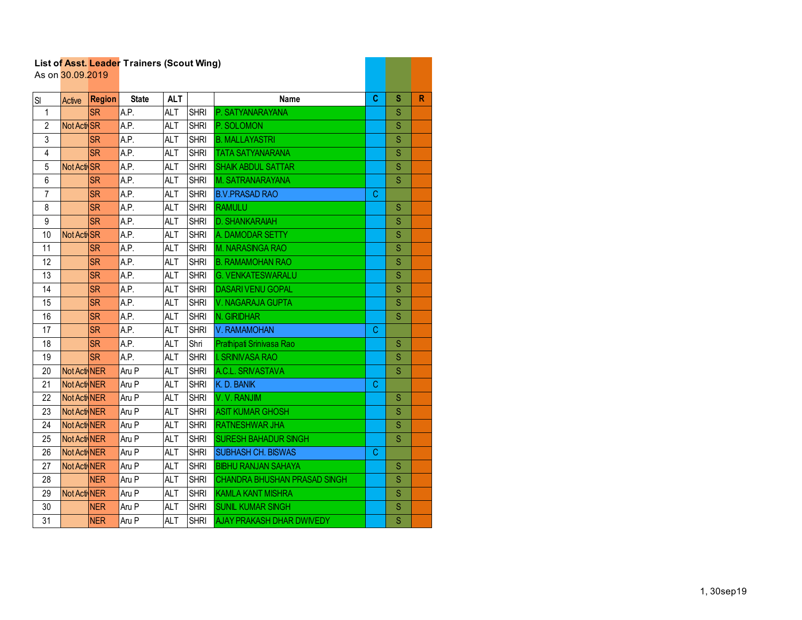|                | As on 30.09.2019 |               | List of Asst. Leader Trainers (Scout Wing) |            |             |                                  |    |               |   |
|----------------|------------------|---------------|--------------------------------------------|------------|-------------|----------------------------------|----|---------------|---|
|                |                  |               |                                            |            |             |                                  |    |               |   |
| SI             | Active           | <b>Region</b> | <b>State</b>                               | ALT        |             | Name                             | C. | s             | R |
| $\mathbf{1}$   |                  | <b>SR</b>     | A.P.                                       | ALT        | <b>SHRI</b> | P. SATYANARAYANA                 |    | S             |   |
| $\overline{2}$ | Not Acti SR      |               | A.P.                                       | <b>ALT</b> | <b>SHRI</b> | P. SOLOMON                       |    | S             |   |
| 3              |                  | <b>SR</b>     | A.P.                                       | <b>ALT</b> | <b>SHRI</b> | <b>B. MALLAYASTRI</b>            |    | S             |   |
| 4              |                  | <b>SR</b>     | A.P.                                       | <b>ALT</b> | <b>SHRI</b> | <b>TATA SATYANARANA</b>          |    | S             |   |
| 5              | Not Acti SR      |               | A.P.                                       | <b>ALT</b> | <b>SHRI</b> | <b>SHAIK ABDUL SATTAR</b>        |    | S             |   |
| 6              |                  | <b>SR</b>     | A.P.                                       | <b>ALT</b> | <b>SHRI</b> | <b>M. SATRANARAYANA</b>          |    | S             |   |
| $\overline{7}$ |                  | <b>SR</b>     | A.P.                                       | ALT        | <b>SHRI</b> | <b>B.V.PRASAD RAO</b>            | C  |               |   |
| 8              |                  | <b>SR</b>     | A.P.                                       | <b>ALT</b> | <b>SHRI</b> | <b>RAMULU</b>                    |    | ${\mathbb S}$ |   |
| 9              |                  | <b>SR</b>     | A.P.                                       | <b>ALT</b> | <b>SHRI</b> | <b>D. SHANKARAIAH</b>            |    | S             |   |
| 10             | Not Acti SR      |               | A.P.                                       | <b>ALT</b> | <b>SHRI</b> | A. DAMODAR SETTY                 |    | S             |   |
| 11             |                  | <b>SR</b>     | A.P.                                       | <b>ALT</b> | <b>SHRI</b> | M. NARASINGA RAO                 |    | S             |   |
| 12             |                  | <b>SR</b>     | A.P.                                       | <b>ALT</b> | <b>SHRI</b> | <b>B. RAMAMOHAN RAO</b>          |    | $\mathbf S$   |   |
| 13             |                  | SR.           | A.P.                                       | <b>ALT</b> | <b>SHRI</b> | <b>G. VENKATESWARALU</b>         |    | S             |   |
| 14             |                  | <b>SR</b>     | A.P.                                       | <b>ALT</b> | <b>SHRI</b> | <b>DASARI VENU GOPAL</b>         |    | S             |   |
| 15             |                  | <b>SR</b>     | A.P.                                       | <b>ALT</b> | <b>SHRI</b> | V. NAGARAJA GUPTA                |    | S             |   |
| 16             |                  | <b>SR</b>     | A.P.                                       | <b>ALT</b> | <b>SHRI</b> | N. GIRIDHAR                      |    | S             |   |
| 17             |                  | <b>SR</b>     | A.P.                                       | ALT        | <b>SHRI</b> | V. RAMAMOHAN                     | C  |               |   |
| 18             |                  | <b>SR</b>     | A.P.                                       | ALT        | Shri        | Prathipati Srinivasa Rao         |    | S             |   |
| 19             |                  | <b>SR</b>     | A.P.                                       | <b>ALT</b> | <b>SHRI</b> | <b>I. SRINIVASA RAO</b>          |    | S             |   |
| 20             | Not Acti NER     |               | Aru P                                      | <b>ALT</b> | <b>SHRI</b> | A.C.L. SRIVASTAVA                |    | S             |   |
| 21             | Not Acti NER     |               | Aru P                                      | <b>ALT</b> | <b>SHRI</b> | K.D. BANIK                       | C  |               |   |
| 22             | Not Acti NER     |               | Aru P                                      | <b>ALT</b> | <b>SHRI</b> | V.V. RANJIM                      |    | S             |   |
| 23             | Not Acti NER     |               | Aru P                                      | <b>ALT</b> | <b>SHRI</b> | <b>ASIT KUMAR GHOSH</b>          |    | $\mathbf S$   |   |
| 24             | Not Acti NER     |               | Aru P                                      | <b>ALT</b> | <b>SHRI</b> | <b>RATNESHWAR JHA</b>            |    | S             |   |
| 25             | Not Acti NER     |               | Aru P                                      | <b>ALT</b> | <b>SHRI</b> | <b>SURESH BAHADUR SINGH</b>      |    | S             |   |
| 26             | Not Acti NER     |               | Aru P                                      | <b>ALT</b> | <b>SHRI</b> | <b>SUBHASH CH. BISWAS</b>        | C  |               |   |
| 27             | Not Acti NER     |               | Aru P                                      | <b>ALT</b> | <b>SHRI</b> | <b>BIBHU RANJAN SAHAYA</b>       |    | S             |   |
| 28             |                  | <b>NER</b>    | Aru P                                      | <b>ALT</b> | <b>SHRI</b> | CHANDRA BHUSHAN PRASAD SINGH     |    | S             |   |
| 29             | Not Acti NER     |               | Aru P                                      | <b>ALT</b> | <b>SHRI</b> | <b>KAMLA KANT MISHRA</b>         |    | S             |   |
| 30             |                  | <b>NER</b>    | Aru P                                      | <b>ALT</b> | <b>SHRI</b> | <b>SUNIL KUMAR SINGH</b>         |    | S             |   |
| 31             |                  | <b>NER</b>    | Aru P                                      | <b>ALT</b> | <b>SHRI</b> | <b>AJAY PRAKASH DHAR DWIVEDY</b> |    | S             |   |

a barat da ka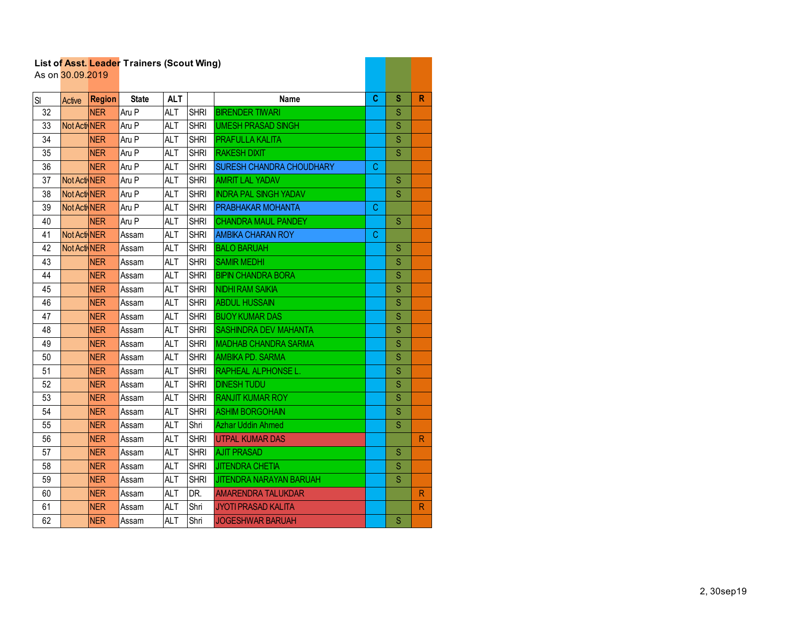|          | As on 30.09.2019 |                             | List of Asst. Leader Trainers (Scout Wing) |                          |                            |                                                        |    |                  |              |
|----------|------------------|-----------------------------|--------------------------------------------|--------------------------|----------------------------|--------------------------------------------------------|----|------------------|--------------|
|          |                  |                             | <b>State</b>                               | <b>ALT</b>               |                            | Name                                                   | C  | s                | R            |
| SI<br>32 | Active           | <b>Region</b><br><b>NER</b> | Aru P                                      | ALT                      | <b>SHRI</b>                | <b>BIRENDER TIWARI</b>                                 |    | S                |              |
| 33       | Not Acti NER     |                             | Aru P                                      | <b>ALT</b>               | <b>SHRI</b>                | <b>UMESH PRASAD SINGH</b>                              |    | S                |              |
| 34       |                  | <b>NER</b>                  | Aru P                                      | <b>ALT</b>               | <b>SHRI</b>                | PRAFULLA KALITA                                        |    | S                |              |
| 35       |                  | <b>NER</b>                  | Aru P                                      | <b>ALT</b>               | <b>SHRI</b>                | <b>RAKESH DIXIT</b>                                    |    | S                |              |
| 36       |                  | <b>NER</b>                  | Aru P                                      | <b>ALT</b>               | <b>SHRI</b>                | <b>SURESH CHANDRA CHOUDHARY</b>                        | С  |                  |              |
| 37       | Not Acti NER     |                             | Aru P                                      | <b>ALT</b>               | <b>SHRI</b>                | <b>AMRIT LAL YADAV</b>                                 |    | ${\mathbb S}$    |              |
| 38       | Not Acti NER     |                             |                                            | <b>ALT</b>               | <b>SHRI</b>                | <b>INDRA PAL SINGH YADAV</b>                           |    | S                |              |
| 39       | Not Acti NER     |                             | Aru P<br>Aru P                             | ALT                      | <b>SHRI</b>                | PRABHAKAR MOHANTA                                      | C  |                  |              |
| 40       |                  | <b>NER</b>                  | Aru P                                      | <b>ALT</b>               | <b>SHRI</b>                | <b>CHANDRA MAUL PANDEY</b>                             |    | S                |              |
| 41       | Not Acti NER     |                             | Assam                                      | <b>ALT</b>               | <b>SHRI</b>                | <b>AMBIKA CHARAN ROY</b>                               | C. |                  |              |
| 42       | Not Acti NER     |                             |                                            | <b>ALT</b>               |                            | <b>BALO BARUAH</b>                                     |    | S                |              |
| 43       |                  |                             | Assam                                      | ALT                      | <b>SHRI</b><br><b>SHRI</b> | <b>SAMIR MEDHI</b>                                     |    | S                |              |
|          |                  | <b>NER</b>                  | Assam                                      |                          | <b>SHRI</b>                |                                                        |    | S                |              |
| 44       |                  | <b>NER</b>                  | Assam                                      | ALT                      |                            | <b>BIPIN CHANDRA BORA</b>                              |    |                  |              |
| 45<br>46 |                  | <b>NER</b><br><b>NER</b>    | Assam                                      | <b>ALT</b><br><b>ALT</b> | <b>SHRI</b><br><b>SHRI</b> | <b>NIDHI RAM SAIKIA</b><br><b>ABDUL HUSSAIN</b>        |    | $\mathbf S$<br>S |              |
|          |                  |                             | Assam                                      | <b>ALT</b>               | <b>SHRI</b>                | <b>BIJOY KUMAR DAS</b>                                 |    | S                |              |
| 47       |                  | <b>NER</b>                  | Assam                                      |                          |                            |                                                        |    |                  |              |
| 48<br>49 |                  | <b>NER</b>                  | Assam                                      | <b>ALT</b>               | <b>SHRI</b>                | <b>SASHINDRA DEV MAHANTA</b>                           |    | S<br>S           |              |
|          |                  | <b>NER</b>                  | Assam                                      | <b>ALT</b>               | <b>SHRI</b>                | <b>MADHAB CHANDRA SARMA</b><br><b>AMBIKA PD, SARMA</b> |    |                  |              |
| 50       |                  | <b>NER</b>                  | Assam                                      | ALT                      | <b>SHRI</b>                |                                                        |    | S                |              |
| 51       |                  | <b>NER</b>                  | Assam                                      | ALT                      | <b>SHRI</b>                | <b>RAPHEAL ALPHONSE L.</b>                             |    | S                |              |
| 52       |                  | <b>NER</b>                  | Assam                                      | <b>ALT</b>               | <b>SHRI</b>                | <b>DINESH TUDU</b>                                     |    | S                |              |
| 53       |                  | <b>NER</b>                  | Assam                                      | <b>ALT</b>               | <b>SHRI</b>                | <b>RANJIT KUMAR ROY</b>                                |    | S                |              |
| 54       |                  | <b>NER</b>                  | Assam                                      | <b>ALT</b>               | <b>SHRI</b>                | <b>ASHIM BORGOHAIN</b>                                 |    | S                |              |
| 55       |                  | <b>NER</b>                  | Assam                                      | ALT                      | Shri                       | <b>Azhar Uddin Ahmed</b>                               |    | S                |              |
| 56       |                  | <b>NER</b>                  | Assam                                      | <b>ALT</b>               | <b>SHRI</b>                | <b>UTPAL KUMAR DAS</b>                                 |    |                  | R            |
| 57       |                  | <b>NER</b>                  | Assam                                      | <b>ALT</b>               | <b>SHRI</b>                | <b>AJIT PRASAD</b>                                     |    | S                |              |
| 58       |                  | <b>NER</b>                  | Assam                                      | <b>ALT</b>               | <b>SHRI</b>                | <b>JITENDRA CHETIA</b>                                 |    | S                |              |
| 59       |                  | <b>NER</b>                  | Assam                                      | <b>ALT</b>               | <b>SHRI</b>                | <b>JITENDRA NARAYAN BARUAH</b>                         |    | S                |              |
| 60       |                  | <b>NER</b>                  | Assam                                      | <b>ALT</b>               | DR.                        | <b>AMARENDRA TALUKDAR</b>                              |    |                  | R            |
| 61       |                  | <b>NER</b>                  | Assam                                      | ALT                      | Shri                       | <b>JYOTI PRASAD KALITA</b>                             |    |                  | $\mathsf{R}$ |
| 62       |                  | <b>NER</b>                  | Assam                                      | ALT                      | Shri                       | <b>JOGESHWAR BARUAH</b>                                |    | S                |              |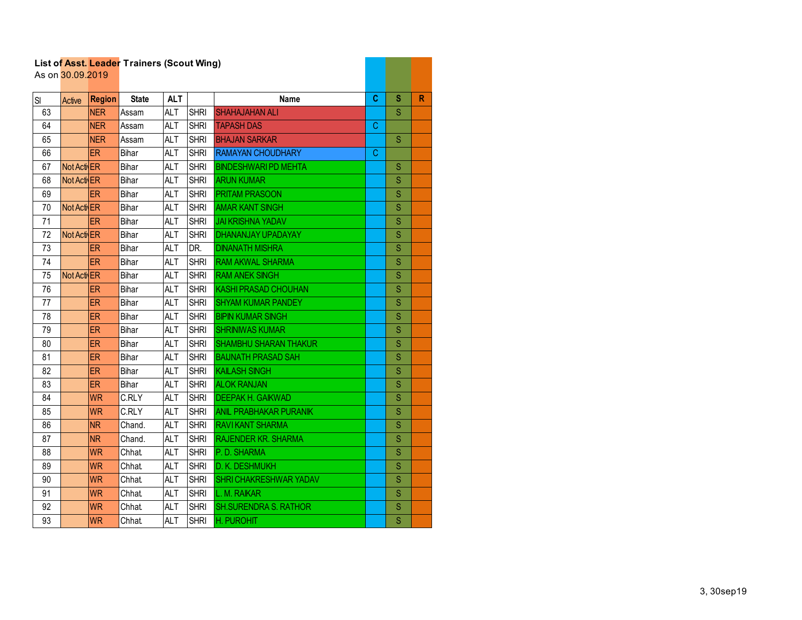|    | As on 30.09.2019 |               |              |            |             |                              |   |                         |              |
|----|------------------|---------------|--------------|------------|-------------|------------------------------|---|-------------------------|--------------|
| SI | Active           | <b>Region</b> | <b>State</b> | <b>ALT</b> |             | <b>Name</b>                  | C | S                       | $\mathsf{R}$ |
| 63 |                  | <b>NER</b>    | Assam        | <b>ALT</b> | <b>SHRI</b> | <b>SHAHAJAHAN ALI</b>        |   | S                       |              |
| 64 |                  | <b>NER</b>    | Assam        | <b>ALT</b> | <b>SHRI</b> | <b>TAPASH DAS</b>            | C |                         |              |
| 65 |                  | <b>NER</b>    | Assam        | <b>ALT</b> | <b>SHRI</b> | <b>BHAJAN SARKAR</b>         |   | S                       |              |
| 66 |                  | ER            | Bihar        | <b>ALT</b> | <b>SHRI</b> | <b>RAMAYAN CHOUDHARY</b>     | C |                         |              |
| 67 | Not Acti ER      |               | Bihar        | <b>ALT</b> | <b>SHRI</b> | <b>BINDESHWARI PD MEHTA</b>  |   | S                       |              |
| 68 | Not Acti ER      |               | Bihar        | <b>ALT</b> | <b>SHRI</b> | <b>ARUN KUMAR</b>            |   | S                       |              |
| 69 |                  | <b>ER</b>     | Bihar        | <b>ALT</b> | <b>SHRI</b> | <b>PRITAM PRASOON</b>        |   | S                       |              |
| 70 | Not Acti ER      |               | Bihar        | <b>ALT</b> | <b>SHRI</b> | <b>AMAR KANT SINGH</b>       |   | S                       |              |
| 71 |                  | <b>ER</b>     | Bihar        | <b>ALT</b> | <b>SHRI</b> | <b>JAI KRISHNA YADAV</b>     |   | $\mathbf S$             |              |
| 72 | Not Acti ER      |               | Bihar        | <b>ALT</b> | <b>SHRI</b> | DHANANJAY UPADAYAY           |   | $\overline{\mathbf{S}}$ |              |
| 73 |                  | <b>ER</b>     | Bihar        | <b>ALT</b> | DR.         | <b>DINANATH MISHRA</b>       |   | S                       |              |
| 74 |                  | <b>ER</b>     | Bihar        | <b>ALT</b> | <b>SHRI</b> | <b>RAM AKWAL SHARMA</b>      |   | S                       |              |
| 75 | Not Acti ER      |               | Bihar        | <b>ALT</b> | <b>SHRI</b> | <b>RAM ANEK SINGH</b>        |   | S                       |              |
| 76 |                  | ER            | Bihar        | <b>ALT</b> | <b>SHRI</b> | <b>KASHI PRASAD CHOUHAN</b>  |   | S                       |              |
| 77 |                  | ER            | Bihar        | <b>ALT</b> | <b>SHRI</b> | <b>SHYAM KUMAR PANDEY</b>    |   | S                       |              |
| 78 |                  | <b>ER</b>     | Bihar        | <b>ALT</b> | <b>SHRI</b> | <b>BIPIN KUMAR SINGH</b>     |   | S                       |              |
| 79 |                  | <b>ER</b>     | Bihar        | <b>ALT</b> | <b>SHRI</b> | <b>SHRINIWAS KUMAR</b>       |   | S                       |              |
| 80 |                  | <b>ER</b>     | Bihar        | <b>ALT</b> | <b>SHRI</b> | <b>SHAMBHU SHARAN THAKUR</b> |   | $\overline{\mathsf{S}}$ |              |
| 81 |                  | ER            | Bihar        | <b>ALT</b> | <b>SHRI</b> | <b>BAIJNATH PRASAD SAH</b>   |   | S                       |              |
| 82 |                  | <b>ER</b>     | Bihar        | <b>ALT</b> | <b>SHRI</b> | <b>KAILASH SINGH</b>         |   | S                       |              |
| 83 |                  | <b>ER</b>     | Bihar        | <b>ALT</b> | <b>SHRI</b> | <b>ALOK RANJAN</b>           |   | S                       |              |
| 84 |                  | <b>WR</b>     | C.RLY        | <b>ALT</b> | <b>SHRI</b> | <b>DEEPAK H. GAIKWAD</b>     |   | S                       |              |
| 85 |                  | <b>WR</b>     | C.RLY        | <b>ALT</b> | <b>SHRI</b> | ANIL PRABHAKAR PURANIK       |   | S                       |              |
| 86 |                  | <b>NR</b>     | Chand.       | <b>ALT</b> | <b>SHRI</b> | RAVIKANT SHARMA              |   | Ś                       |              |
| 87 |                  | <b>NR</b>     | Chand.       | <b>ALT</b> | <b>SHRI</b> | <b>RAJENDER KR. SHARMA</b>   |   | Ś                       |              |
| 88 |                  | <b>WR</b>     | <b>Chhat</b> | <b>ALT</b> | <b>SHRI</b> | P.D. SHARMA                  |   | S                       |              |
| 89 |                  | <b>WR</b>     | <b>Chhat</b> | <b>ALT</b> | <b>SHRI</b> | <b>D. K. DESHMUKH</b>        |   | $\overline{\mathbf{S}}$ |              |
| 90 |                  | <b>WR</b>     | <b>Chhat</b> | <b>ALT</b> | <b>SHRI</b> | SHRI CHAKRESHWAR YADAV       |   | S                       |              |
| 91 |                  | <b>WR</b>     | Chhat.       | ALT        | <b>SHRI</b> | L. M. RAIKAR                 |   | $\mathbf S$             |              |
| 92 |                  | <b>WR</b>     | <b>Chhat</b> | <b>ALT</b> | <b>SHRI</b> | <b>SH.SURENDRA S. RATHOR</b> |   | S                       |              |
| 93 |                  | <b>WR</b>     | <b>Chhat</b> | <b>ALT</b> | <b>SHRI</b> | H. PUROHIT                   |   | S                       |              |

and the company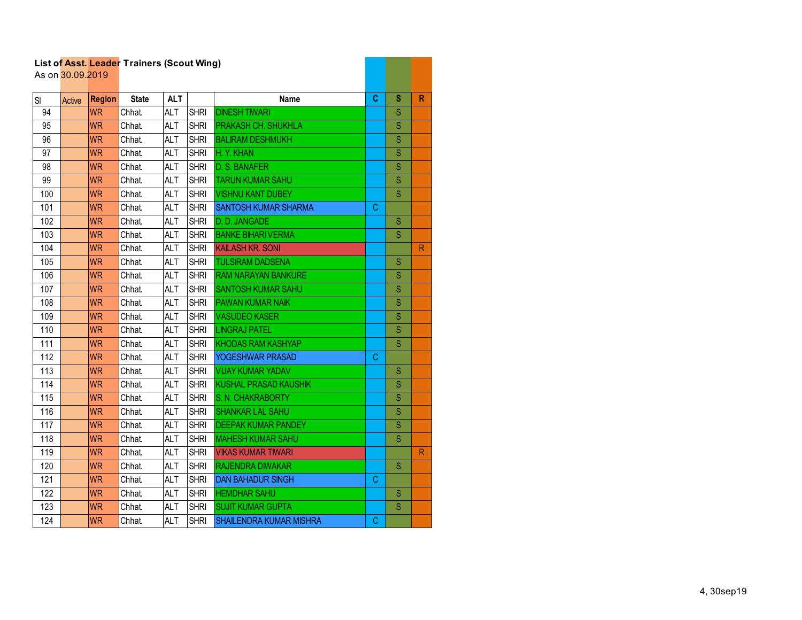| List of Asst. Leader Trainers (Scout Wing)<br>As on 30.09.2019 |        |               |              |            |             |                                |    |             |              |
|----------------------------------------------------------------|--------|---------------|--------------|------------|-------------|--------------------------------|----|-------------|--------------|
|                                                                |        |               |              |            |             |                                |    |             |              |
| SI                                                             | Active | <b>Region</b> | <b>State</b> | <b>ALT</b> |             | <b>Name</b>                    | C. | s           | R            |
| 94                                                             |        | <b>WR</b>     | <b>Chhat</b> | <b>ALT</b> | <b>SHRI</b> | <b>DINESH TIWARI</b>           |    | S           |              |
| 95                                                             |        | <b>WR</b>     | Chhat.       | <b>ALT</b> | <b>SHRI</b> | PRAKASH CH. SHUKHLA            |    | S           |              |
| 96                                                             |        | <b>WR</b>     | <b>Chhat</b> | <b>ALT</b> | <b>SHRI</b> | <b>BALIRAM DESHMUKH</b>        |    | S           |              |
| 97                                                             |        | <b>WR</b>     | <b>Chhat</b> | <b>ALT</b> | <b>SHRI</b> | H. Y. KHAN                     |    | S           |              |
| 98                                                             |        | <b>WR</b>     | <b>Chhat</b> | <b>ALT</b> | <b>SHRI</b> | D. S. BANAFER                  |    | S           |              |
| 99                                                             |        | <b>WR</b>     | <b>Chhat</b> | <b>ALT</b> | <b>SHRI</b> | <b>TARUN KUMAR SAHU</b>        |    | S           |              |
| 100                                                            |        | <b>WR</b>     | Chhat.       | <b>ALT</b> | <b>SHRI</b> | <b>VISHNU KANT DUBEY</b>       |    | S           |              |
| 101                                                            |        | <b>WR</b>     | Chhat        | <b>ALT</b> | <b>SHRI</b> | <b>SANTOSH KUMAR SHARMA</b>    | C. |             |              |
| 102                                                            |        | <b>WR</b>     | <b>Chhat</b> | <b>ALT</b> | <b>SHRI</b> | D.D. JANGADE                   |    | S           |              |
| 103                                                            |        | <b>WR</b>     | <b>Chhat</b> | <b>ALT</b> | <b>SHRI</b> | <b>BANKE BIHARI VERMA</b>      |    | S           |              |
| 104                                                            |        | <b>WR</b>     | <b>Chhat</b> | <b>ALT</b> | <b>SHRI</b> | <b>KAILASH KR. SONI</b>        |    |             | $\mathsf{R}$ |
| 105                                                            |        | <b>WR</b>     | <b>Chhat</b> | <b>ALT</b> | <b>SHRI</b> | <b>TULSIRAM DADSENA</b>        |    | S           |              |
| 106                                                            |        | <b>WR</b>     | Chhat        | <b>ALT</b> | <b>SHRI</b> | <b>RAM NARAYAN BANKURE</b>     |    | S           |              |
| 107                                                            |        | <b>WR</b>     | <b>Chhat</b> | <b>ALT</b> | <b>SHRI</b> | <b>SANTOSH KUMAR SAHU</b>      |    | S           |              |
| 108                                                            |        | <b>WR</b>     | <b>Chhat</b> | <b>ALT</b> | <b>SHRI</b> | <b>PAWAN KUMAR NAIK</b>        |    | S           |              |
| 109                                                            |        | <b>WR</b>     | Chhat        | <b>ALT</b> | <b>SHRI</b> | <b>VASUDEO KASER</b>           |    | S           |              |
| 110                                                            |        | <b>WR</b>     | <b>Chhat</b> | <b>ALT</b> | <b>SHRI</b> | <b>LINGRAJ PATEL</b>           |    | S           |              |
| 111                                                            |        | <b>WR</b>     | <b>Chhat</b> | <b>ALT</b> | <b>SHRI</b> | <b>KHODAS RAM KASHYAP</b>      |    | S           |              |
| 112                                                            |        | <b>WR</b>     | <b>Chhat</b> | <b>ALT</b> | <b>SHRI</b> | YOGESHWAR PRASAD               | C. |             |              |
| 113                                                            |        | <b>WR</b>     | <b>Chhat</b> | <b>ALT</b> | <b>SHRI</b> | <b>VIJAY KUMAR YADAV</b>       |    | S           |              |
| 114                                                            |        | <b>WR</b>     | <b>Chhat</b> | <b>ALT</b> | <b>SHRI</b> | KUSHAL PRASAD KAUSHIK          |    | S           |              |
| 115                                                            |        | <b>WR</b>     | <b>Chhat</b> | <b>ALT</b> | <b>SHRI</b> | S. N. CHAKRABORTY              |    | $\mathbf S$ |              |
| 116                                                            |        | <b>WR</b>     | <b>Chhat</b> | <b>ALT</b> | <b>SHRI</b> | <b>SHANKAR LAL SAHU</b>        |    | S           |              |
| 117                                                            |        | <b>WR</b>     | <b>Chhat</b> | <b>ALT</b> | <b>SHRI</b> | <b>DEEPAK KUMAR PANDEY</b>     |    | S           |              |
| 118                                                            |        | <b>WR</b>     | <b>Chhat</b> | <b>ALT</b> | <b>SHRI</b> | <b>MAHESH KUMAR SAHU</b>       |    | S           |              |
| 119                                                            |        | <b>WR</b>     | <b>Chhat</b> | <b>ALT</b> | <b>SHRI</b> | <b>VIKAS KUMAR TIWARI</b>      |    |             | $\mathsf{R}$ |
| 120                                                            |        | <b>WR</b>     | <b>Chhat</b> | <b>ALT</b> | <b>SHRI</b> | <b>RAJENDRA DIWAKAR</b>        |    | S           |              |
| 121                                                            |        | <b>WR</b>     | <b>Chhat</b> | <b>ALT</b> | <b>SHRI</b> | <b>DAN BAHADUR SINGH</b>       | C  |             |              |
| 122                                                            |        | <b>WR</b>     | Chhat.       | <b>ALT</b> | <b>SHRI</b> | <b>HEMDHAR SAHU</b>            |    | S           |              |
| 123                                                            |        | <b>WR</b>     | Chhat.       | ALT        | <b>SHRI</b> | <b>SUJIT KUMAR GUPTA</b>       |    | $\mathbf S$ |              |
| 124                                                            |        | <b>WR</b>     | <b>Chhat</b> | <b>ALT</b> | <b>SHRI</b> | <b>SHAILENDRA KUMAR MISHRA</b> | C. |             |              |

and the company of the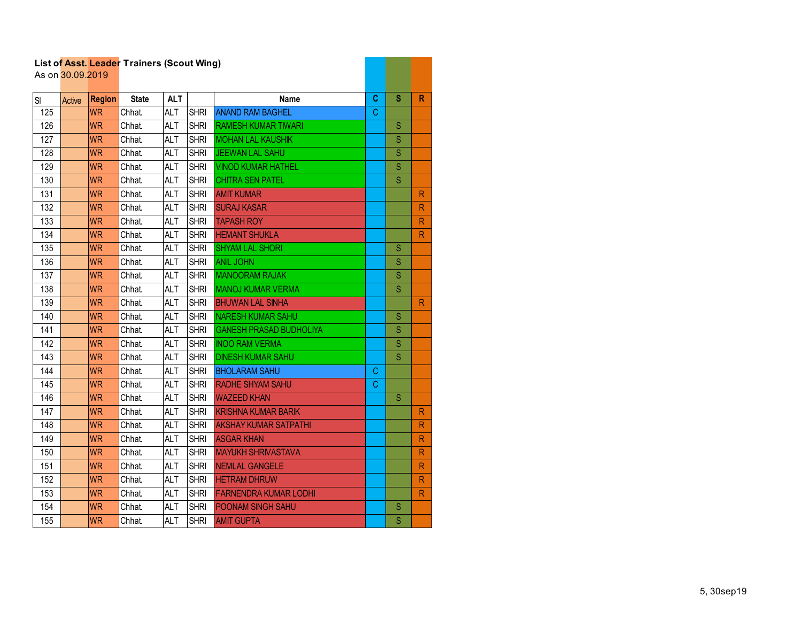|     | List of Asst. Leager Traillers (Scout Willy)<br>As on 30.09.2019 |               |              |            |             |                                |    |             |                         |
|-----|------------------------------------------------------------------|---------------|--------------|------------|-------------|--------------------------------|----|-------------|-------------------------|
| SI  | Active                                                           | <b>Region</b> | <b>State</b> | <b>ALT</b> |             | Name                           | C. | S           | R                       |
| 125 |                                                                  | <b>WR</b>     | <b>Chhat</b> | <b>ALT</b> | <b>SHRI</b> | <b>ANAND RAM BAGHEL</b>        | C  |             |                         |
| 126 |                                                                  | <b>WR</b>     | Chhat.       | <b>ALT</b> | <b>SHRI</b> | <b>RAMESH KUMAR TIWARI</b>     |    | S           |                         |
| 127 |                                                                  | <b>WR</b>     | Chhat        | <b>ALT</b> | <b>SHRI</b> | <b>MOHAN LAL KAUSHIK</b>       |    | $\mathbf S$ |                         |
| 128 |                                                                  | <b>WR</b>     | <b>Chhat</b> | <b>ALT</b> | <b>SHRI</b> | <b>JEEWAN LAL SAHU</b>         |    | S           |                         |
| 129 |                                                                  | <b>WR</b>     | Chhat        | <b>ALT</b> | <b>SHRI</b> | <b>VINOD KUMAR HATHEL</b>      |    | S           |                         |
| 130 |                                                                  | <b>WR</b>     | <b>Chhat</b> | <b>ALT</b> | <b>SHRI</b> | <b>CHITRA SEN PATEL</b>        |    | S           |                         |
| 131 |                                                                  | <b>WR</b>     | <b>Chhat</b> | <b>ALT</b> | <b>SHRI</b> | <b>AMIT KUMAR</b>              |    |             | R                       |
| 132 |                                                                  | <b>WR</b>     | <b>Chhat</b> | <b>ALT</b> | <b>SHRI</b> | <b>SURAJ KASAR</b>             |    |             | R                       |
| 133 |                                                                  | <b>WR</b>     | <b>Chhat</b> | <b>ALT</b> | <b>SHRI</b> | <b>TAPASH ROY</b>              |    |             | $\mathsf{R}$            |
| 134 |                                                                  | <b>WR</b>     | <b>Chhat</b> | <b>ALT</b> | <b>SHRI</b> | <b>HEMANT SHUKLA</b>           |    |             | R                       |
| 135 |                                                                  | <b>WR</b>     | <b>Chhat</b> | <b>ALT</b> | <b>SHRI</b> | <b>SHYAM LAL SHORI</b>         |    | S           |                         |
| 136 |                                                                  | <b>WR</b>     | Chhat.       | <b>ALT</b> | <b>SHRI</b> | <b>ANIL JOHN</b>               |    | S           |                         |
| 137 |                                                                  | <b>WR</b>     | <b>Chhat</b> | <b>ALT</b> | <b>SHRI</b> | <b>MANOORAM RAJAK</b>          |    | $\mathbf S$ |                         |
| 138 |                                                                  | <b>WR</b>     | <b>Chhat</b> | <b>ALT</b> | <b>SHRI</b> | <b>MANOJ KUMAR VERMA</b>       |    | S           |                         |
| 139 |                                                                  | <b>WR</b>     | <b>Chhat</b> | <b>ALT</b> | <b>SHRI</b> | <b>BHUWAN LAL SINHA</b>        |    |             | $\mathsf{R}$            |
| 140 |                                                                  | <b>WR</b>     | <b>Chhat</b> | <b>ALT</b> | <b>SHRI</b> | <b>NARESH KUMAR SAHU</b>       |    | S           |                         |
| 141 |                                                                  | <b>WR</b>     | <b>Chhat</b> | <b>ALT</b> | <b>SHRI</b> | <b>GANESH PRASAD BUDHOLIYA</b> |    | S           |                         |
| 142 |                                                                  | <b>WR</b>     | <b>Chhat</b> | <b>ALT</b> | <b>SHRI</b> | <b>INOO RAM VERMA</b>          |    | S           |                         |
| 143 |                                                                  | <b>WR</b>     | <b>Chhat</b> | <b>ALT</b> | <b>SHRI</b> | <b>DINESH KUMAR SAHU</b>       |    | S           |                         |
| 144 |                                                                  | <b>WR</b>     | <b>Chhat</b> | <b>ALT</b> | <b>SHRI</b> | <b>BHOLARAM SAHU</b>           | С  |             |                         |
| 145 |                                                                  | <b>WR</b>     | Chhat.       | <b>ALT</b> | <b>SHRI</b> | <b>RADHE SHYAM SAHU</b>        | C. |             |                         |
| 146 |                                                                  | <b>WR</b>     | Chhat.       | <b>ALT</b> | <b>SHRI</b> | <b>WAZEED KHAN</b>             |    | S           |                         |
| 147 |                                                                  | <b>WR</b>     | <b>Chhat</b> | <b>ALT</b> | <b>SHRI</b> | <b>KRISHNA KUMAR BARIK</b>     |    |             | $\mathsf R$             |
| 148 |                                                                  | <b>WR</b>     | <b>Chhat</b> | <b>ALT</b> | <b>SHRI</b> | <b>AKSHAY KUMAR SATPATHI</b>   |    |             | R                       |
| 149 |                                                                  | <b>WR</b>     | <b>Chhat</b> | <b>ALT</b> | <b>SHRI</b> | <b>ASGAR KHAN</b>              |    |             | R                       |
| 150 |                                                                  | <b>WR</b>     | <b>Chhat</b> | <b>ALT</b> | <b>SHRI</b> | <b>MAYUKH SHRIVASTAVA</b>      |    |             | $\overline{\mathsf{R}}$ |
| 151 |                                                                  | <b>WR</b>     | <b>Chhat</b> | <b>ALT</b> | <b>SHRI</b> | NEMLAL GANGELE                 |    |             | R                       |
| 152 |                                                                  | <b>WR</b>     | <b>Chhat</b> | <b>ALT</b> | <b>SHRI</b> | <b>HETRAM DHRUW</b>            |    |             | $\mathsf{R}$            |
| 153 |                                                                  | <b>WR</b>     | Chhat.       | ALT        | <b>SHRI</b> | <b>FARNENDRA KUMAR LODHI</b>   |    |             | $\mathsf{R}$            |
| 154 |                                                                  | <b>WR</b>     | <b>Chhat</b> | <b>ALT</b> | <b>SHRI</b> | POONAM SINGH SAHU              |    | S           |                         |
| 155 |                                                                  | <b>WR</b>     | <b>Chhat</b> | <b>ALT</b> | <b>SHRI</b> | <b>AMIT GUPTA</b>              |    | S           |                         |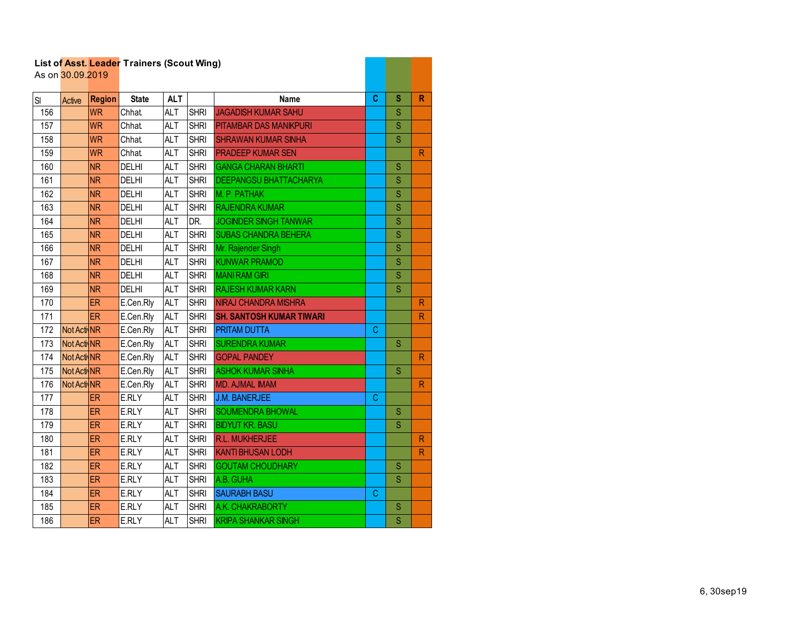|     | As on 30.09.2019 |               | List of Asst. Leader Traillers (Scout Willy) |            |             |                                 |    |   |                         |
|-----|------------------|---------------|----------------------------------------------|------------|-------------|---------------------------------|----|---|-------------------------|
| SI  | Active           | <b>Region</b> | <b>State</b>                                 | <b>ALT</b> |             | <b>Name</b>                     | C. | S | $\mathsf{R}$            |
| 156 |                  | <b>WR</b>     | Chhat.                                       | <b>ALT</b> | <b>SHRI</b> | <b>JAGADISH KUMAR SAHU</b>      |    | S |                         |
| 157 |                  | <b>WR</b>     | Chhat.                                       | <b>ALT</b> | <b>SHRI</b> | <b>PITAMBAR DAS MANIKPURI</b>   |    | S |                         |
| 158 |                  | <b>WR</b>     | <b>Chhat</b>                                 | <b>ALT</b> | <b>SHRI</b> | <b>SHRAWAN KUMAR SINHA</b>      |    | S |                         |
| 159 |                  | <b>WR</b>     | <b>Chhat</b>                                 | <b>ALT</b> | <b>SHRI</b> | <b>PRADEEP KUMAR SEN</b>        |    |   | $\mathsf{R}$            |
| 160 |                  | <b>NR</b>     | <b>DELHI</b>                                 | <b>ALT</b> | <b>SHRI</b> | <b>GANGA CHARAN BHARTI</b>      |    | S |                         |
| 161 |                  | <b>NR</b>     | <b>DELHI</b>                                 | <b>ALT</b> | <b>SHRI</b> | <b>DEEPANGSU BHATTACHARYA</b>   |    | S |                         |
| 162 |                  | <b>NR</b>     | <b>DELHI</b>                                 | <b>ALT</b> | <b>SHRI</b> | M. P. PATHAK                    |    | S |                         |
| 163 |                  | <b>NR</b>     | <b>DELHI</b>                                 | <b>ALT</b> | <b>SHRI</b> | <b>RAJENDRA KUMAR</b>           |    | S |                         |
| 164 |                  | <b>NR</b>     | <b>DELHI</b>                                 | <b>ALT</b> | DR.         | JOGINDER SINGH TANWAR           |    | Ś |                         |
| 165 |                  | <b>NR</b>     | <b>DELHI</b>                                 | <b>ALT</b> | <b>SHRI</b> | <b>SUBAS CHANDRA BEHERA</b>     |    | S |                         |
| 166 |                  | <b>NR</b>     | <b>DELHI</b>                                 | <b>ALT</b> | <b>SHRI</b> | Mr. Rajender Singh              |    | S |                         |
| 167 |                  | <b>NR</b>     | <b>DELHI</b>                                 | <b>ALT</b> | <b>SHRI</b> | <b>KUNWAR PRAMOD</b>            |    | S |                         |
| 168 |                  | <b>NR</b>     | <b>DELHI</b>                                 | <b>ALT</b> | <b>SHRI</b> | <b>MANI RAM GIRI</b>            |    | S |                         |
| 169 |                  | <b>NR</b>     | <b>DELHI</b>                                 | <b>ALT</b> | <b>SHRI</b> | <b>RAJESH KUMAR KARN</b>        |    | S |                         |
| 170 |                  | <b>ER</b>     | E.Cen.Rly                                    | <b>ALT</b> | <b>SHRI</b> | <b>NIRAJ CHANDRA MISHRA</b>     |    |   | $\mathsf{R}$            |
| 171 |                  | <b>ER</b>     | E.Cen.Rly                                    | <b>ALT</b> | <b>SHRI</b> | <b>SH. SANTOSH KUMAR TIWARI</b> |    |   | R                       |
| 172 | Not Acti NR      |               | E.Cen.Rly                                    | <b>ALT</b> | <b>SHRI</b> | <b>PRITAM DUTTA</b>             | C. |   |                         |
| 173 | Not Acti NR      |               | E.Cen.Rly                                    | <b>ALT</b> | <b>SHRI</b> | <b>SURENDRA KUMAR</b>           |    | S |                         |
| 174 | Not Acti NR      |               | E.Cen.Rly                                    | <b>ALT</b> | <b>SHRI</b> | <b>GOPAL PANDEY</b>             |    |   | $\mathsf{R}$            |
| 175 | Not Acti NR      |               | E.Cen.Rly                                    | <b>ALT</b> | <b>SHRI</b> | <b>ASHOK KUMAR SINHA</b>        |    | S |                         |
| 176 | Not Acti NR      |               | E.Cen.Rly                                    | <b>ALT</b> | <b>SHRI</b> | <b>MD. AJMAL IMAM</b>           |    |   | $\mathsf{R}$            |
| 177 |                  | ER            | E.RLY                                        | <b>ALT</b> | <b>SHRI</b> | <b>J.M. BANERJEE</b>            | C  |   |                         |
| 178 |                  | <b>ER</b>     | E.RLY                                        | <b>ALT</b> | <b>SHRI</b> | <b>SOUMENDRA BHOWAL</b>         |    | S |                         |
| 179 |                  | <b>ER</b>     | E.RLY                                        | ALT        | <b>SHRI</b> | <b>BIDYUT KR. BASU</b>          |    | S |                         |
| 180 |                  | ER            | E.RLY                                        | <b>ALT</b> | <b>SHRI</b> | R.L. MUKHERJEE                  |    |   | $\mathsf{R}$            |
| 181 |                  | ER            | E.RLY                                        | <b>ALT</b> | <b>SHRI</b> | <b>KANTI BHUSAN LODH</b>        |    |   | $\overline{\mathsf{R}}$ |
| 182 |                  | <b>ER</b>     | E.RLY                                        | <b>ALT</b> | <b>SHRI</b> | <b>GOUTAM CHOUDHARY</b>         |    | S |                         |
| 183 |                  | <b>ER</b>     | E.RLY                                        | <b>ALT</b> | <b>SHRI</b> | A.B. GUHA                       |    | S |                         |
| 184 |                  | ER            | E.RLY                                        | <b>ALT</b> | <b>SHRI</b> | <b>SAURABH BASU</b>             | C  |   |                         |
| 185 |                  | ER            | E.RLY                                        | <b>ALT</b> | <b>SHRI</b> | A.K. CHAKRABORTY                |    | S |                         |
| 186 |                  | ER            | E.RLY                                        | <b>ALT</b> | <b>SHRI</b> | <b>KRIPA SHANKAR SINGH</b>      |    | S |                         |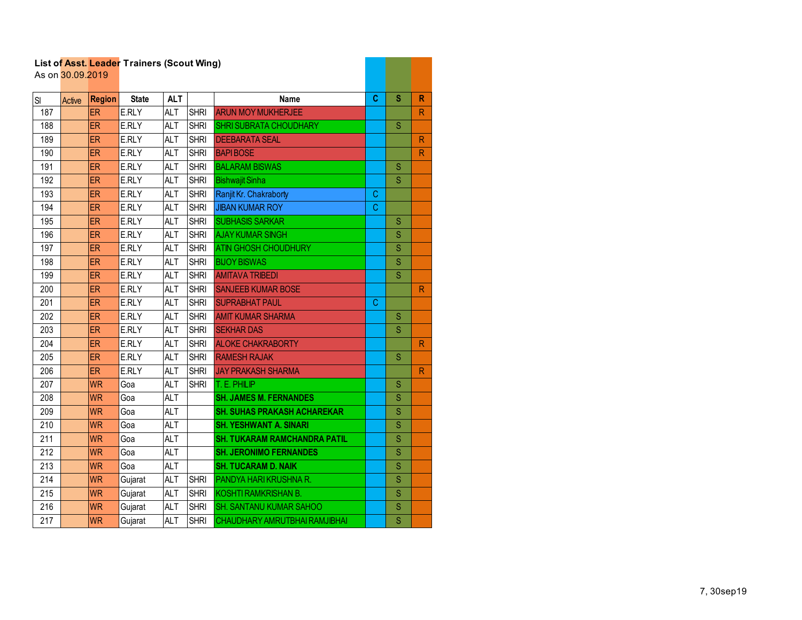|                  | As on 30.09.2019 |               |              |            |             |                                     |   |                         |                         |
|------------------|------------------|---------------|--------------|------------|-------------|-------------------------------------|---|-------------------------|-------------------------|
| SI               | Active           | <b>Region</b> | <b>State</b> | <b>ALT</b> |             | <b>Name</b>                         | C | $\mathbf{s}$            | $\mathsf{R}$            |
| 187              |                  | <b>ER</b>     | E.RLY        | <b>ALT</b> | <b>SHRI</b> | <b>ARUN MOY MUKHERJEE</b>           |   |                         | $\mathsf{R}$            |
| 188              |                  | <b>ER</b>     | E.RLY        | <b>ALT</b> | <b>SHRI</b> | <b>SHRI SUBRATA CHOUDHARY</b>       |   | S                       |                         |
| 189              |                  | ER            | E.RLY        | <b>ALT</b> | <b>SHRI</b> | <b>DEEBARATA SEAL</b>               |   |                         | $\mathsf{R}$            |
| 190              |                  | ER            | E.RLY        | <b>ALT</b> | <b>SHRI</b> | <b>BAPIBOSE</b>                     |   |                         | $\overline{\mathsf{R}}$ |
| 191              |                  | <b>ER</b>     | E.RLY        | <b>ALT</b> | <b>SHRI</b> | <b>BALARAM BISWAS</b>               |   | S                       |                         |
| 192              |                  | <b>ER</b>     | E.RLY        | <b>ALT</b> | <b>SHRI</b> | <b>Bishwajit Sinha</b>              |   | S                       |                         |
| 193              |                  | <b>ER</b>     | E.RLY        | <b>ALT</b> | <b>SHRI</b> | Ranjit Kr. Chakraborty              | C |                         |                         |
| 194              |                  | ER            | E.RLY        | <b>ALT</b> | <b>SHRI</b> | <b>JIBAN KUMAR ROY</b>              | C |                         |                         |
| 195              |                  | ER            | E.RLY        | <b>ALT</b> | <b>SHRI</b> | <b>SUBHASIS SARKAR</b>              |   | S                       |                         |
| 196              |                  | ER.           | E.RLY        | <b>ALT</b> | <b>SHRI</b> | <b>AJAY KUMAR SINGH</b>             |   | S                       |                         |
| 197              |                  | <b>ER</b>     | E.RLY        | <b>ALT</b> | <b>SHRI</b> | <b>ATIN GHOSH CHOUDHURY</b>         |   | S                       |                         |
| 198              |                  | <b>ER</b>     | E.RLY        | <b>ALT</b> | <b>SHRI</b> | <b>BIJOY BISWAS</b>                 |   | Ś                       |                         |
| 199              |                  | <b>ER</b>     | E.RLY        | <b>ALT</b> | <b>SHRI</b> | <b>AMITAVA TRIBEDI</b>              |   | S                       |                         |
| 200              |                  | ER.           | E.RLY        | <b>ALT</b> | <b>SHRI</b> | <b>SANJEEB KUMAR BOSE</b>           |   |                         | $\mathsf{R}$            |
| 201              |                  | <b>ER</b>     | E.RLY        | <b>ALT</b> | <b>SHRI</b> | <b>SUPRABHAT PAUL</b>               | C |                         |                         |
| 202              |                  | <b>ER</b>     | E.RLY        | <b>ALT</b> | <b>SHRI</b> | <b>AMIT KUMAR SHARMA</b>            |   | S                       |                         |
| 203              |                  | <b>ER</b>     | E.RLY        | <b>ALT</b> | <b>SHRI</b> | <b>SEKHAR DAS</b>                   |   | S                       |                         |
| 204              |                  | ER.           | E.RLY        | <b>ALT</b> | <b>SHRI</b> | <b>ALOKE CHAKRABORTY</b>            |   |                         | $\overline{\mathsf{R}}$ |
| 205              |                  | ER            | E.RLY        | <b>ALT</b> | <b>SHRI</b> | <b>RAMESH RAJAK</b>                 |   | S                       |                         |
| 206              |                  | <b>ER</b>     | E.RLY        | <b>ALT</b> | <b>SHRI</b> | <b>JAY PRAKASH SHARMA</b>           |   |                         | $\mathsf{R}$            |
| 207              |                  | <b>WR</b>     | Goa          | <b>ALT</b> | <b>SHRI</b> | T. E. PHILIP                        |   | S                       |                         |
| 208              |                  | <b>WR</b>     | Goa          | <b>ALT</b> |             | <b>SH. JAMES M. FERNANDES</b>       |   | S                       |                         |
| 209              |                  | <b>WR</b>     | Goa          | <b>ALT</b> |             | <b>SH. SUHAS PRAKASH ACHAREKAR</b>  |   | Ś                       |                         |
| 210              |                  | <b>WR</b>     | Goa          | <b>ALT</b> |             | <b>SH. YESHWANT A. SINARI</b>       |   | S                       |                         |
| 211              |                  | <b>WR</b>     | Goa          | <b>ALT</b> |             | <b>SH. TUKARAM RAMCHANDRA PATIL</b> |   | S                       |                         |
| $\overline{212}$ |                  | <b>WR</b>     | Goa          | <b>ALT</b> |             | <b>SH. JERONIMO FERNANDES</b>       |   | S                       |                         |
| $\overline{213}$ |                  | <b>WR</b>     | Goa          | <b>ALT</b> |             | <b>SH. TUCARAM D. NAIK</b>          |   | $\overline{\mathsf{S}}$ |                         |
| 214              |                  | <b>WR</b>     | Gujarat      | <b>ALT</b> | <b>SHRI</b> | PANDYA HARI KRUSHNA R.              |   | S                       |                         |
| 215              |                  | <b>WR</b>     | Gujarat      | <b>ALT</b> | <b>SHRI</b> | <b>KOSHTI RAMKRISHAN B.</b>         |   | S                       |                         |
| 216              |                  | <b>WR</b>     | Gujarat      | <b>ALT</b> | <b>SHRI</b> | <b>SH. SANTANU KUMAR SAHOO</b>      |   | S                       |                         |
| 217              |                  | <b>WR</b>     | Gujarat      | <b>ALT</b> | <b>SHRI</b> | CHAUDHARY AMRUTBHAI RAMJIBHAI       |   | $\overline{\mathbf{S}}$ |                         |

and the company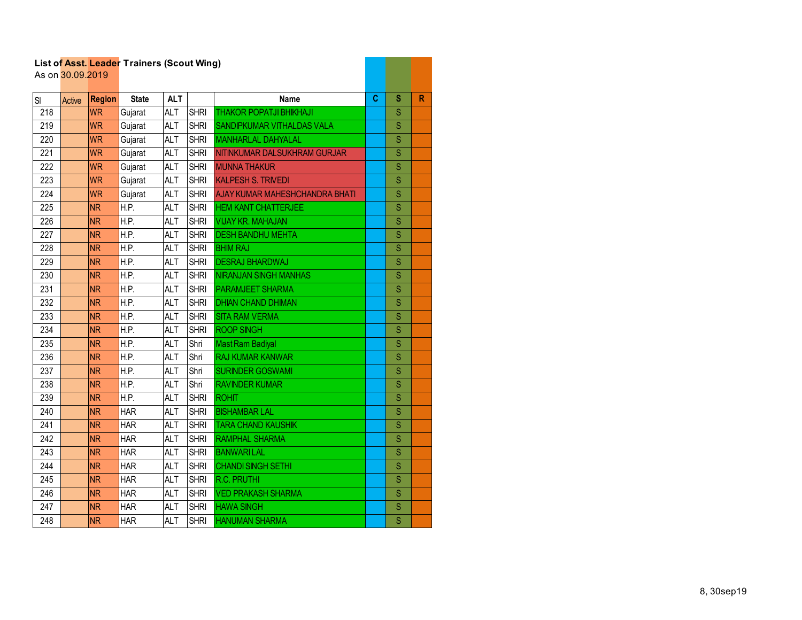|     |                  |               | List of Asst. Leader Trainers (Scout Wing) |            |             |                                       |   |                         |   |
|-----|------------------|---------------|--------------------------------------------|------------|-------------|---------------------------------------|---|-------------------------|---|
|     | As on 30.09.2019 |               |                                            |            |             |                                       |   |                         |   |
| SI  | Active           | <b>Region</b> | <b>State</b>                               | <b>ALT</b> |             | <b>Name</b>                           | C | s                       | R |
| 218 |                  | <b>WR</b>     | Gujarat                                    | <b>ALT</b> | <b>SHRI</b> | <b>THAKOR POPATJI BHIKHAJI</b>        |   | S                       |   |
| 219 |                  | <b>WR</b>     | Gujarat                                    | <b>ALT</b> | <b>SHRI</b> | SANDIPKUMAR VITHALDAS VALA            |   | S                       |   |
| 220 |                  | <b>WR</b>     | Gujarat                                    | <b>ALT</b> | <b>SHRI</b> | <b>MANHARLAL DAHYALAL</b>             |   | Ś                       |   |
| 221 |                  | <b>WR</b>     | Gujarat                                    | <b>ALT</b> | <b>SHRI</b> | NITINKUMAR DALSUKHRAM GURJAR          |   | S                       |   |
| 222 |                  | <b>WR</b>     | Gujarat                                    | <b>ALT</b> | <b>SHRI</b> | <b>MUNNA THAKUR</b>                   |   | Ś                       |   |
| 223 |                  | <b>WR</b>     | Gujarat                                    | <b>ALT</b> | <b>SHRI</b> | <b>KALPESH S. TRIVEDI</b>             |   | Ś                       |   |
| 224 |                  | <b>WR</b>     | Gujarat                                    | <b>ALT</b> | <b>SHRI</b> | <b>AJAY KUMAR MAHESHCHANDRA BHATI</b> |   | S                       |   |
| 225 |                  | <b>NR</b>     | H.P.                                       | <b>ALT</b> | <b>SHRI</b> | <b>HEM KANT CHATTERJEE</b>            |   | S                       |   |
| 226 |                  | <b>NR</b>     | H.P.                                       | <b>ALT</b> | <b>SHRI</b> | <b>VIJAY KR. MAHAJAN</b>              |   | Ś                       |   |
| 227 |                  | <b>NR</b>     | H.P.                                       | <b>ALT</b> | <b>SHRI</b> | <b>DESH BANDHU MEHTA</b>              |   | S                       |   |
| 228 |                  | <b>NR</b>     | H.P.                                       | <b>ALT</b> | <b>SHRI</b> | <b>BHIM RAJ</b>                       |   | $\overline{\mathsf{S}}$ |   |
| 229 |                  | <b>NR</b>     | H.P.                                       | <b>ALT</b> | <b>SHRI</b> | <b>DESRAJ BHARDWAJ</b>                |   | S                       |   |
| 230 |                  | <b>NR</b>     | H.P.                                       | <b>ALT</b> | <b>SHRI</b> | <b>NIRANJAN SINGH MANHAS</b>          |   | S                       |   |
| 231 |                  | <b>NR</b>     | H.P.                                       | <b>ALT</b> | <b>SHRI</b> | <b>PARAMJEET SHARMA</b>               |   | Ś                       |   |
| 232 |                  | <b>NR</b>     | H.P.                                       | <b>ALT</b> | <b>SHRI</b> | <b>DHIAN CHAND DHIMAN</b>             |   | Ś                       |   |
| 233 |                  | <b>NR</b>     | H.P.                                       | <b>ALT</b> | <b>SHRI</b> | <b>SITA RAM VERMA</b>                 |   | S                       |   |
| 234 |                  | <b>NR</b>     | H.P.                                       | <b>ALT</b> | <b>SHRI</b> | <b>ROOP SINGH</b>                     |   | S                       |   |
| 235 |                  | <b>NR</b>     | H.P.                                       | <b>ALT</b> | Shri        | <b>Mast Ram Badiyal</b>               |   | S                       |   |
| 236 |                  | <b>NR</b>     | H.P.                                       | <b>ALT</b> | Shri        | <b>RAJ KUMAR KANWAR</b>               |   | S                       |   |
| 237 |                  | <b>NR</b>     | H.P.                                       | <b>ALT</b> | Shri        | <b>SURINDER GOSWAMI</b>               |   | S                       |   |
| 238 |                  | <b>NR</b>     | H.P.                                       | <b>ALT</b> | Shri        | <b>RAVINDER KUMAR</b>                 |   | S                       |   |
| 239 |                  | <b>NR</b>     | H.P.                                       | <b>ALT</b> | <b>SHRI</b> | <b>ROHIT</b>                          |   | Ś                       |   |
| 240 |                  | <b>NR</b>     | <b>HAR</b>                                 | <b>ALT</b> | <b>SHRI</b> | <b>BISHAMBAR LAL</b>                  |   | Ś                       |   |
| 241 |                  | <b>NR</b>     | <b>HAR</b>                                 | <b>ALT</b> | <b>SHRI</b> | <b>TARA CHAND KAUSHIK</b>             |   | S                       |   |
| 242 |                  | <b>NR</b>     | <b>HAR</b>                                 | <b>ALT</b> | <b>SHRI</b> | <b>RAMPHAL SHARMA</b>                 |   | Ś                       |   |
| 243 |                  | <b>NR</b>     | <b>HAR</b>                                 | <b>ALT</b> | <b>SHRI</b> | <b>BANWARILAL</b>                     |   | S                       |   |
| 244 |                  | <b>NR</b>     | HAR                                        | <b>ALT</b> | <b>SHRI</b> | <b>CHANDI SINGH SETHI</b>             |   | $\overline{\mathsf{S}}$ |   |
| 245 |                  | <b>NR</b>     | <b>HAR</b>                                 | <b>ALT</b> | <b>SHRI</b> | <b>R.C. PRUTHI</b>                    |   | S                       |   |
| 246 |                  | <b>NR</b>     | <b>HAR</b>                                 | ALT        | <b>SHRI</b> | <b>VED PRAKASH SHARMA</b>             |   | Ś                       |   |
| 247 |                  | <b>NR</b>     | <b>HAR</b>                                 | <b>ALT</b> | <b>SHRI</b> | <b>HAWA SINGH</b>                     |   | S                       |   |
| 248 |                  | <b>NR</b>     | <b>HAR</b>                                 | <b>ALT</b> | <b>SHRI</b> | <b>HANUMAN SHARMA</b>                 |   | $\overline{\mathsf{S}}$ |   |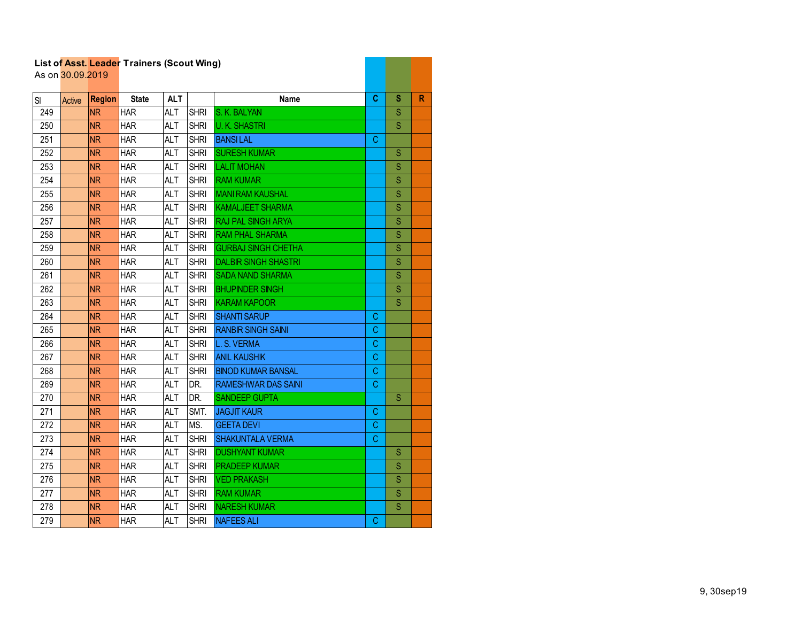|     | As on 30.09.2019 |               |              |            |             |                             |    |   |              |
|-----|------------------|---------------|--------------|------------|-------------|-----------------------------|----|---|--------------|
| SI  | Active           | <b>Region</b> | <b>State</b> | <b>ALT</b> |             | <b>Name</b>                 | C  | s | $\mathbb{R}$ |
| 249 |                  | <b>NR</b>     | <b>HAR</b>   | <b>ALT</b> | <b>SHRI</b> | S. K. BALYAN                |    | S |              |
| 250 |                  | <b>NR</b>     | <b>HAR</b>   | <b>ALT</b> | <b>SHRI</b> | <b>U.K. SHASTRI</b>         |    | S |              |
| 251 |                  | <b>NR</b>     | <b>HAR</b>   | <b>ALT</b> | <b>SHRI</b> | <b>BANSILAL</b>             | C  |   |              |
| 252 |                  | <b>NR</b>     | <b>HAR</b>   | <b>ALT</b> | <b>SHRI</b> | <b>SURESH KUMAR</b>         |    | S |              |
| 253 |                  | <b>NR</b>     | <b>HAR</b>   | <b>ALT</b> | <b>SHRI</b> | <b>LALIT MOHAN</b>          |    | S |              |
| 254 |                  | <b>NR</b>     | <b>HAR</b>   | <b>ALT</b> | <b>SHRI</b> | <b>RAM KUMAR</b>            |    | S |              |
| 255 |                  | <b>NR</b>     | <b>HAR</b>   | <b>ALT</b> | <b>SHRI</b> | <b>MANI RAM KAUSHAL</b>     |    | S |              |
| 256 |                  | <b>NR</b>     | <b>HAR</b>   | <b>ALT</b> | <b>SHRI</b> | <b>KAMALJEET SHARMA</b>     |    | S |              |
| 257 |                  | <b>NR</b>     | <b>HAR</b>   | <b>ALT</b> | <b>SHRI</b> | RAJ PAL SINGH ARYA          |    | S |              |
| 258 |                  | <b>NR</b>     | <b>HAR</b>   | <b>ALT</b> | <b>SHRI</b> | <b>RAM PHAL SHARMA</b>      |    | S |              |
| 259 |                  | <b>NR</b>     | <b>HAR</b>   | <b>ALT</b> | <b>SHRI</b> | <b>GURBAJ SINGH CHETHA</b>  |    | S |              |
| 260 |                  | <b>NR</b>     | <b>HAR</b>   | <b>ALT</b> | <b>SHRI</b> | <b>DALBIR SINGH SHASTRI</b> |    | S |              |
| 261 |                  | <b>NR</b>     | <b>HAR</b>   | <b>ALT</b> | <b>SHRI</b> | <b>SADA NAND SHARMA</b>     |    | S |              |
| 262 |                  | <b>NR</b>     | <b>HAR</b>   | ALT        | <b>SHRI</b> | <b>BHUPINDER SINGH</b>      |    | S |              |
| 263 |                  | <b>NR</b>     | <b>HAR</b>   | ALT        | <b>SHRI</b> | <b>KARAM KAPOOR</b>         |    | S |              |
| 264 |                  | <b>NR</b>     | <b>HAR</b>   | <b>ALT</b> | <b>SHRI</b> | <b>SHANTI SARUP</b>         | C  |   |              |
| 265 |                  | <b>NR</b>     | <b>HAR</b>   | <b>ALT</b> | <b>SHRI</b> | <b>RANBIR SINGH SAINI</b>   | C  |   |              |
| 266 |                  | <b>NR</b>     | <b>HAR</b>   | <b>ALT</b> | <b>SHRI</b> | L. S. VERMA                 | C  |   |              |
| 267 |                  | <b>NR</b>     | <b>HAR</b>   | <b>ALT</b> | <b>SHRI</b> | <b>ANIL KAUSHIK</b>         | C  |   |              |
| 268 |                  | <b>NR</b>     | <b>HAR</b>   | ALT        | <b>SHRI</b> | <b>BINOD KUMAR BANSAL</b>   | С  |   |              |
| 269 |                  | <b>NR</b>     | <b>HAR</b>   | <b>ALT</b> | DR.         | <b>RAMESHWAR DAS SAINI</b>  | C  |   |              |
| 270 |                  | <b>NR</b>     | <b>HAR</b>   | <b>ALT</b> | DR.         | <b>SANDEEP GUPTA</b>        |    | S |              |
| 271 |                  | <b>NR</b>     | <b>HAR</b>   | <b>ALT</b> | SMT.        | <b>JAGJIT KAUR</b>          | C  |   |              |
| 272 |                  | <b>NR</b>     | <b>HAR</b>   | <b>ALT</b> | MS.         | <b>GEETA DEVI</b>           | C  |   |              |
| 273 |                  | <b>NR</b>     | <b>HAR</b>   | <b>ALT</b> | <b>SHRI</b> | <b>SHAKUNTALA VERMA</b>     | C  |   |              |
| 274 |                  | <b>NR</b>     | <b>HAR</b>   | <b>ALT</b> | <b>SHRI</b> | <b>DUSHYANT KUMAR</b>       |    | S |              |
| 275 |                  | <b>NR</b>     | <b>HAR</b>   | <b>ALT</b> | <b>SHRI</b> | <b>PRADEEP KUMAR</b>        |    | S |              |
| 276 |                  | <b>NR</b>     | <b>HAR</b>   | <b>ALT</b> | <b>SHRI</b> | <b>VED PRAKASH</b>          |    | S |              |
| 277 |                  | <b>NR</b>     | <b>HAR</b>   | <b>ALT</b> | <b>SHRI</b> | <b>RAM KUMAR</b>            |    | S |              |
| 278 |                  | <b>NR</b>     | <b>HAR</b>   | <b>ALT</b> | <b>SHRI</b> | <b>NARESH KUMAR</b>         |    | S |              |
| 279 |                  | <b>NR</b>     | <b>HAR</b>   | <b>ALT</b> | <b>SHRI</b> | <b>NAFEES ALI</b>           | C. |   |              |

and the state of the state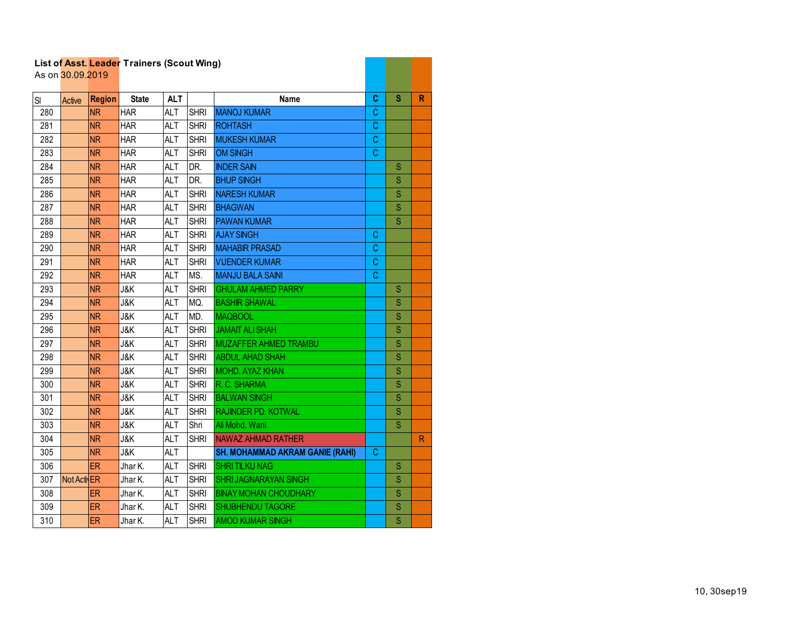|     | As on 30.09.2019 |               | List of Asst. Leader Traillers (Scout Willy) |            |             |                                        |             |   |              |
|-----|------------------|---------------|----------------------------------------------|------------|-------------|----------------------------------------|-------------|---|--------------|
| SI  | Active           | <b>Region</b> | <b>State</b>                                 | <b>ALT</b> |             | <b>Name</b>                            | C           | S | R            |
| 280 |                  | <b>NR</b>     | <b>HAR</b>                                   | <b>ALT</b> | <b>SHRI</b> | <b>MANOJ KUMAR</b>                     | C           |   |              |
| 281 |                  | <b>NR</b>     | <b>HAR</b>                                   | <b>ALT</b> | <b>SHRI</b> | <b>ROHTASH</b>                         | C           |   |              |
| 282 |                  | <b>NR</b>     | <b>HAR</b>                                   | ALT        | <b>SHRI</b> | <b>MUKESH KUMAR</b>                    | C           |   |              |
| 283 |                  | <b>NR</b>     | <b>HAR</b>                                   | <b>ALT</b> | <b>SHRI</b> | <b>OM SINGH</b>                        | C           |   |              |
| 284 |                  | <b>NR</b>     | <b>HAR</b>                                   | <b>ALT</b> | DR.         | <b>INDER SAIN</b>                      |             | S |              |
| 285 |                  | <b>NR</b>     | <b>HAR</b>                                   | <b>ALT</b> | DR.         | <b>BHUP SINGH</b>                      |             | S |              |
| 286 |                  | <b>NR</b>     | <b>HAR</b>                                   | <b>ALT</b> | <b>SHRI</b> | <b>NARESH KUMAR</b>                    |             | Ś |              |
| 287 |                  | <b>NR</b>     | <b>HAR</b>                                   | ALT        | <b>SHRI</b> | <b>BHAGWAN</b>                         |             | S |              |
| 288 |                  | <b>NR</b>     | <b>HAR</b>                                   | ALT        | <b>SHRI</b> | <b>PAWAN KUMAR</b>                     |             | S |              |
| 289 |                  | <b>NR</b>     | <b>HAR</b>                                   | <b>ALT</b> | <b>SHRI</b> | <b>AJAY SINGH</b>                      | C           |   |              |
| 290 |                  | <b>NR</b>     | <b>HAR</b>                                   | <b>ALT</b> | <b>SHRI</b> | <b>MAHABIR PRASAD</b>                  | C           |   |              |
| 291 |                  | <b>NR</b>     | <b>HAR</b>                                   | <b>ALT</b> | <b>SHRI</b> | <b>VIJENDER KUMAR</b>                  | C           |   |              |
| 292 |                  | <b>NR</b>     | <b>HAR</b>                                   | <b>ALT</b> | MS.         | <b>MANJU BALA SAINI</b>                | $\mathbf C$ |   |              |
| 293 |                  | <b>NR</b>     | J&K                                          | <b>ALT</b> | <b>SHRI</b> | <b>GHULAM AHMED PARRY</b>              |             | S |              |
| 294 |                  | <b>NR</b>     | <b>J&amp;K</b>                               | <b>ALT</b> | MQ.         | <b>BASHIR SHAWAL</b>                   |             | S |              |
| 295 |                  | <b>NR</b>     | <b>J&amp;K</b>                               | <b>ALT</b> | MD.         | <b>MAQBOOL</b>                         |             | S |              |
| 296 |                  | <b>NR</b>     | J&K                                          | <b>ALT</b> | <b>SHRI</b> | <b>JAMAIT ALI SHAH</b>                 |             | S |              |
| 297 |                  | <b>NR</b>     | <b>J&amp;K</b>                               | ALT        | <b>SHRI</b> | <b>MUZAFFER AHMED TRAMBU</b>           |             | Ś |              |
| 298 |                  | <b>NR</b>     | <b>J&amp;K</b>                               | <b>ALT</b> | <b>SHRI</b> | <b>ABDUL AHAD SHAH</b>                 |             | Ś |              |
| 299 |                  | <b>NR</b>     | <b>J&amp;K</b>                               | <b>ALT</b> | <b>SHRI</b> | MOHD. AYAZ KHAN                        |             | S |              |
| 300 |                  | <b>NR</b>     | J&K                                          | <b>ALT</b> | <b>SHRI</b> | R. C. SHARMA                           |             | S |              |
| 301 |                  | <b>NR</b>     | J&K                                          | ALT        | <b>SHRI</b> | <b>BALWAN SINGH</b>                    |             | S |              |
| 302 |                  | <b>NR</b>     | <b>J&amp;K</b>                               | <b>ALT</b> | <b>SHRI</b> | <b>RAJINDER PD. KOTWAL</b>             |             | S |              |
| 303 |                  | <b>NR</b>     | <b>J&amp;K</b>                               | <b>ALT</b> | Shri        | Ali Mohd. Wani                         |             | S |              |
| 304 |                  | <b>NR</b>     | J&K                                          | <b>ALT</b> | <b>SHRI</b> | <b>NAWAZ AHMAD RATHER</b>              |             |   | $\mathsf{R}$ |
| 305 |                  | <b>NR</b>     | J&K                                          | <b>ALT</b> |             | <b>SH. MOHAMMAD AKRAM GANIE (RAHI)</b> | C.          |   |              |
| 306 |                  | <b>ER</b>     | Jhar K.                                      | <b>ALT</b> | <b>SHRI</b> | <b>SHRITILKU NAG</b>                   |             | S |              |
| 307 | Not Acti ER      |               | Jhar K.                                      | <b>ALT</b> | <b>SHRI</b> | <b>SHRI JAGNARAYAN SINGH</b>           |             | S |              |
| 308 |                  | ER            | Jhar K.                                      | <b>ALT</b> | <b>SHRI</b> | <b>BINAY MOHAN CHOUDHARY</b>           |             | S |              |
| 309 |                  | <b>ER</b>     | Jhar K.                                      | <b>ALT</b> | <b>SHRI</b> | <b>SHUBHENDU TAGORE</b>                |             | S |              |
| 310 |                  | <b>ER</b>     | Jhar K.                                      | <b>ALT</b> | <b>SHRI</b> | <b>AMOD KUMAR SINGH</b>                |             | Ś |              |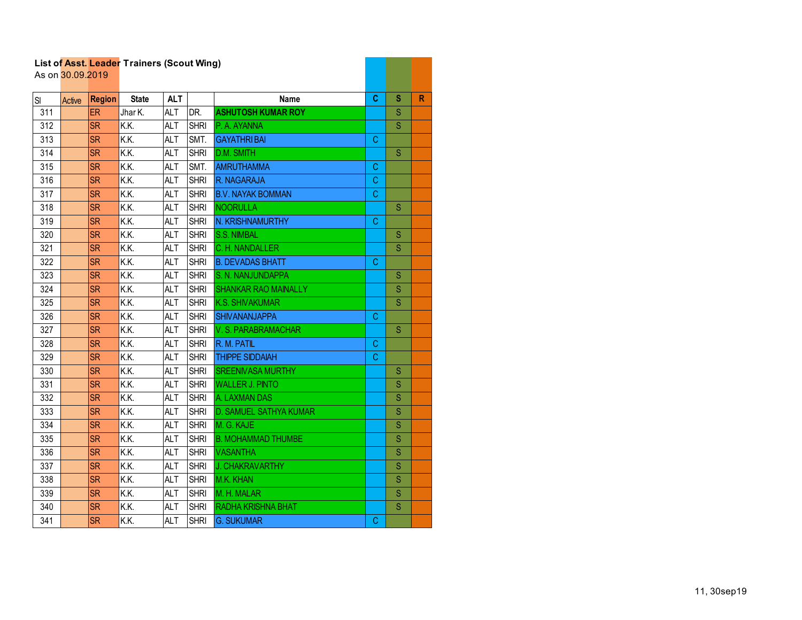|     | As on 30.09.2019 |               | List of Asst. Leader Trainers (Scout Wing) |            |             |                             |    |             |    |
|-----|------------------|---------------|--------------------------------------------|------------|-------------|-----------------------------|----|-------------|----|
| SI  | Active           | <b>Region</b> | <b>State</b>                               | <b>ALT</b> |             | <b>Name</b>                 | C  | s           | R. |
| 311 |                  | <b>ER</b>     | Jhar K.                                    | <b>ALT</b> | DR.         | <b>ASHUTOSH KUMAR ROY</b>   |    | S           |    |
| 312 |                  | <b>SR</b>     | K.K.                                       | <b>ALT</b> | <b>SHRI</b> | P. A. AYANNA                |    | S           |    |
| 313 |                  | <b>SR</b>     | K.K.                                       | ALT        | SMT.        | <b>GAYATHRIBAI</b>          | C  |             |    |
| 314 |                  | <b>SR</b>     | K.K.                                       | <b>ALT</b> | <b>SHRI</b> | D.M. SMITH                  |    | S           |    |
| 315 |                  | <b>SR</b>     | K.K.                                       | <b>ALT</b> | SMT.        | <b>AMRUTHAMMA</b>           | C. |             |    |
| 316 |                  | <b>SR</b>     | K.K.                                       | <b>ALT</b> | <b>SHRI</b> | R. NAGARAJA                 | C  |             |    |
| 317 |                  | <b>SR</b>     | K.K.                                       | <b>ALT</b> | <b>SHRI</b> | <b>B.V. NAYAK BOMMAN</b>    | C  |             |    |
| 318 |                  | <b>SR</b>     | K.K.                                       | <b>ALT</b> | <b>SHRI</b> | <b>NOORULLA</b>             |    | S           |    |
| 319 |                  | <b>SR</b>     | K.K.                                       | <b>ALT</b> | <b>SHRI</b> | N. KRISHNAMURTHY            | C  |             |    |
| 320 |                  | <b>SR</b>     | K.K.                                       | <b>ALT</b> | <b>SHRI</b> | <b>S.S. NIMBAL</b>          |    | S           |    |
| 321 |                  | <b>SR</b>     | K.K.                                       | <b>ALT</b> | <b>SHRI</b> | C. H. NANDALLER             |    | S           |    |
| 322 |                  | <b>SR</b>     | K.K.                                       | <b>ALT</b> | <b>SHRI</b> | <b>B. DEVADAS BHATT</b>     | C  |             |    |
| 323 |                  | <b>SR</b>     | K.K.                                       | <b>ALT</b> | <b>SHRI</b> | S. N. NANJUNDAPPA           |    | S           |    |
| 324 |                  | <b>SR</b>     | K.K.                                       | <b>ALT</b> | <b>SHRI</b> | <b>SHANKAR RAO MAINALLY</b> |    | S           |    |
| 325 |                  | <b>SR</b>     | K.K.                                       | <b>ALT</b> | <b>SHRI</b> | <b>K.S. SHIVAKUMAR</b>      |    | S           |    |
| 326 |                  | <b>SR</b>     | K.K.                                       | <b>ALT</b> | <b>SHRI</b> | <b>SHIVANANJAPPA</b>        | C. |             |    |
| 327 |                  | <b>SR</b>     | K.K.                                       | <b>ALT</b> | <b>SHRI</b> | V. S. PARABRAMACHAR         |    | S           |    |
| 328 |                  | <b>SR</b>     | K.K.                                       | <b>ALT</b> | <b>SHRI</b> | R. M. PATIL                 | C. |             |    |
| 329 |                  | <b>SR</b>     | K.K.                                       | <b>ALT</b> | <b>SHRI</b> | <b>THIPPE SIDDAIAH</b>      | C  |             |    |
| 330 |                  | <b>SR</b>     | K.K.                                       | <b>ALT</b> | <b>SHRI</b> | <b>SREENIVASA MURTHY</b>    |    | S           |    |
| 331 |                  | <b>SR</b>     | K.K.                                       | <b>ALT</b> | <b>SHRI</b> | <b>WALLER J. PINTO</b>      |    | S           |    |
| 332 |                  | <b>SR</b>     | K.K.                                       | <b>ALT</b> | <b>SHRI</b> | A. LAXMAN DAS               |    | $\mathbf S$ |    |
| 333 |                  | <b>SR</b>     | K.K.                                       | <b>ALT</b> | <b>SHRI</b> | D. SAMUEL SATHYA KUMAR      |    | S           |    |
| 334 |                  | <b>SR</b>     | K.K.                                       | <b>ALT</b> | <b>SHRI</b> | M. G. KAJE                  |    | S           |    |
| 335 |                  | <b>SR</b>     | K.K.                                       | <b>ALT</b> | <b>SHRI</b> | <b>B. MOHAMMAD THUMBE</b>   |    | S           |    |
| 336 |                  | <b>SR</b>     | K.K.                                       | <b>ALT</b> | <b>SHRI</b> | <b>VASANTHA</b>             |    | S           |    |
| 337 |                  | <b>SR</b>     | K.K.                                       | <b>ALT</b> | <b>SHRI</b> | J. CHAKRAVARTHY             |    | S           |    |
| 338 |                  | <b>SR</b>     | K.K.                                       | <b>ALT</b> | <b>SHRI</b> | M.K. KHAN                   |    | S           |    |
| 339 |                  | <b>SR</b>     | K.K.                                       | <b>ALT</b> | <b>SHRI</b> | M. H. MALAR                 |    | S           |    |
| 340 |                  | <b>SR</b>     | K.K.                                       | <b>ALT</b> | <b>SHRI</b> | <b>RADHA KRISHNA BHAT</b>   |    | S           |    |
| 341 |                  | <b>SR</b>     | K.K.                                       | <b>ALT</b> | <b>SHRI</b> | <b>G. SUKUMAR</b>           | C. |             |    |

and the control of the con-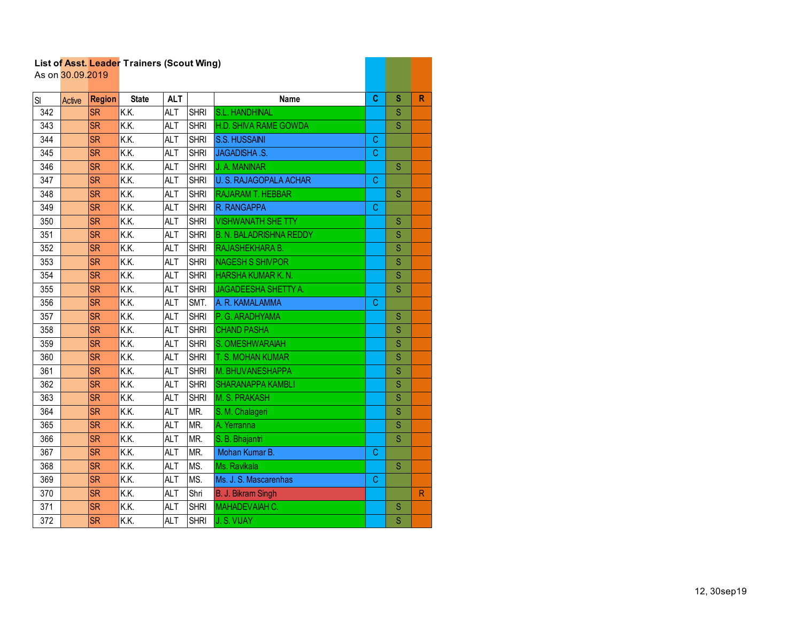|     | As on 30.09.2019 |               |                   | List of Asst. Leager Trailiers (Scout Willy) |             |                                |             |                         |   |  |  |
|-----|------------------|---------------|-------------------|----------------------------------------------|-------------|--------------------------------|-------------|-------------------------|---|--|--|
| SI  | Active           | <b>Region</b> | <b>State</b>      | <b>ALT</b>                                   |             | <b>Name</b>                    | C           | S                       | R |  |  |
| 342 |                  | <b>SR</b>     | K.K.              | <b>ALT</b>                                   | <b>SHRI</b> | S.L. HANDHINAL                 |             | Ś                       |   |  |  |
| 343 |                  | <b>SR</b>     | K.K.              | <b>ALT</b>                                   | <b>SHRI</b> | <b>H.D. SHIVA RAME GOWDA</b>   |             | $\overline{\mathsf{S}}$ |   |  |  |
| 344 |                  | <b>SR</b>     | K.K.              | <b>ALT</b>                                   | <b>SHRI</b> | S.S. HUSSAINI                  | C           |                         |   |  |  |
| 345 |                  | <b>SR</b>     | K.K.              | <b>ALT</b>                                   | <b>SHRI</b> | <b>JAGADISHA .S.</b>           | C           |                         |   |  |  |
| 346 |                  | <b>SR</b>     | K.K.              | <b>ALT</b>                                   | <b>SHRI</b> | J. A. MANINAR                  |             | S                       |   |  |  |
| 347 |                  | <b>SR</b>     | K.K.              | <b>ALT</b>                                   | <b>SHRI</b> | <b>U. S. RAJAGOPALA ACHAR</b>  | C           |                         |   |  |  |
| 348 |                  | <b>SR</b>     | $\overline{KK}$   | <b>ALT</b>                                   | <b>SHRI</b> | <b>RAJARAM T. HEBBAR</b>       |             | S                       |   |  |  |
| 349 |                  | <b>SR</b>     | $\overline{K.K.}$ | <b>ALT</b>                                   | <b>SHRI</b> | R. RANGAPPA                    | $\mathsf C$ |                         |   |  |  |
| 350 |                  | <b>SR</b>     | K.K.              | <b>ALT</b>                                   | <b>SHRI</b> | <b>VISHWANATH SHE TTY</b>      |             | S                       |   |  |  |
| 351 |                  | <b>SR</b>     | $\overline{KK}$   | <b>ALT</b>                                   | <b>SHRI</b> | <b>B. N. BALADRISHNA REDDY</b> |             | S                       |   |  |  |
| 352 |                  | <b>SR</b>     | K.K.              | <b>ALT</b>                                   | <b>SHRI</b> | RAJASHEKHARA B.                |             | S                       |   |  |  |
| 353 |                  | <b>SR</b>     | K.K.              | <b>ALT</b>                                   | <b>SHRI</b> | <b>NAGESH S SHIVPOR</b>        |             | S                       |   |  |  |
| 354 |                  | <b>SR</b>     | K.K.              | <b>ALT</b>                                   | <b>SHRI</b> | HARSHA KUMAR K. N.             |             | $\overline{\mathsf{S}}$ |   |  |  |
| 355 |                  | <b>SR</b>     | K.K.              | <b>ALT</b>                                   | <b>SHRI</b> | <b>JAGADEESHA SHETTY A.</b>    |             | S                       |   |  |  |
| 356 |                  | <b>SR</b>     | K.K.              | <b>ALT</b>                                   | SMT.        | A. R. KAMALAMMA                | C           |                         |   |  |  |
| 357 |                  | <b>SR</b>     | K.K.              | <b>ALT</b>                                   | <b>SHRI</b> | P. G. ARADHYAMA                |             | S                       |   |  |  |
| 358 |                  | <b>SR</b>     | K.K.              | <b>ALT</b>                                   | <b>SHRI</b> | <b>CHAND PASHA</b>             |             | S                       |   |  |  |
| 359 |                  | <b>SR</b>     | K.K.              | <b>ALT</b>                                   | <b>SHRI</b> | S. OMESHWARAIAH                |             | S                       |   |  |  |
| 360 |                  | <b>SR</b>     | K.K.              | <b>ALT</b>                                   | <b>SHRI</b> | T. S. MOHAN KUMAR              |             | $\overline{\mathsf{S}}$ |   |  |  |
| 361 |                  | <b>SR</b>     | K.K.              | <b>ALT</b>                                   | <b>SHRI</b> | M. BHUVANESHAPPA               |             | Ś                       |   |  |  |
| 362 |                  | <b>SR</b>     | $\overline{K.K.}$ | <b>ALT</b>                                   | <b>SHRI</b> | <b>SHARANAPPA KAMBLI</b>       |             | S                       |   |  |  |
| 363 |                  | <b>SR</b>     | K.K.              | <b>ALT</b>                                   | <b>SHRI</b> | M. S. PRAKASH                  |             | Ś                       |   |  |  |
| 364 |                  | <b>SR</b>     | K.K.              | <b>ALT</b>                                   | MR.         | S. M. Chalageri                |             | S                       |   |  |  |
| 365 |                  | <b>SR</b>     | K.K.              | <b>ALT</b>                                   | MR.         | A. Yerranna                    |             | S                       |   |  |  |
| 366 |                  | <b>SR</b>     | K.K.              | <b>ALT</b>                                   | MR.         | S. B. Bhajantri                |             | S                       |   |  |  |
| 367 |                  | <b>SR</b>     | $\overline{KK}$   | <b>ALT</b>                                   | MR.         | Mohan Kumar B.                 | C.          |                         |   |  |  |
| 368 |                  | <b>SR</b>     | K.K.              | <b>ALT</b>                                   | MS.         | Ms. Ravikala                   |             | $\overline{S}$          |   |  |  |
| 369 |                  | <b>SR</b>     | K.K.              | <b>ALT</b>                                   | MS.         | Ms. J. S. Mascarenhas          | $\mathsf C$ |                         |   |  |  |
| 370 |                  | <b>SR</b>     | $\overline{K.K.}$ | <b>ALT</b>                                   | Shri        | B. J. Bikram Singh             |             |                         | R |  |  |
| 371 |                  | <b>SR</b>     | K.K.              | <b>ALT</b>                                   | <b>SHRI</b> | MAHADEVAIAH C.                 |             | S                       |   |  |  |
| 372 |                  | <b>SR</b>     | K.K.              | <b>ALT</b>                                   | <b>SHRI</b> | J. S. VIJAY                    |             | S                       |   |  |  |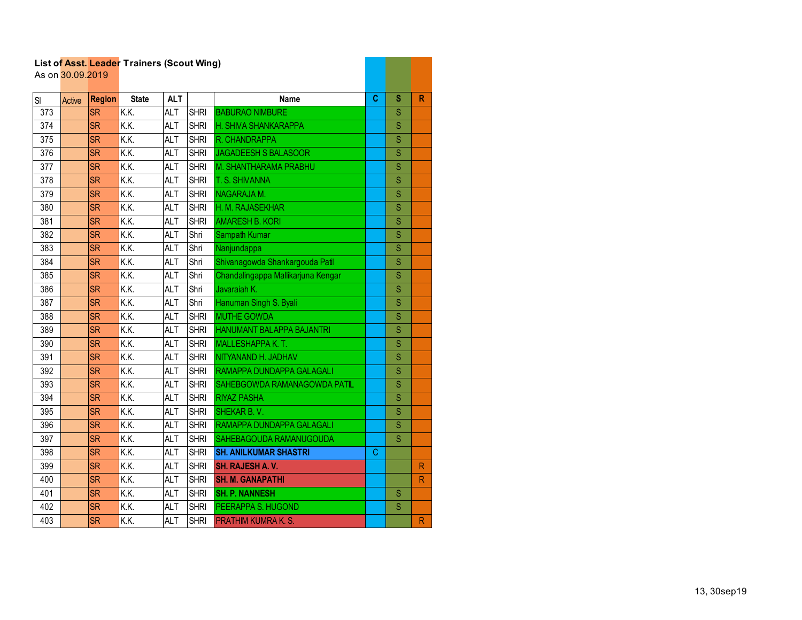|                  |                  |               | List of Asst. Leader Trainers (Scout Wing) |            |             |                                    |   |                         |                         |
|------------------|------------------|---------------|--------------------------------------------|------------|-------------|------------------------------------|---|-------------------------|-------------------------|
|                  | As on 30.09.2019 |               |                                            |            |             |                                    |   |                         |                         |
| SI               | Active           | <b>Region</b> | <b>State</b>                               | <b>ALT</b> |             | <b>Name</b>                        | C | s                       | R                       |
| 373              |                  | <b>SR</b>     | K.K.                                       | <b>ALT</b> | <b>SHRI</b> | <b>BABURAO NIMBURE</b>             |   | S                       |                         |
| $\overline{374}$ |                  | <b>SR</b>     | K.K.                                       | <b>ALT</b> | <b>SHRI</b> | H. SHIVA SHANKARAPPA               |   | $\overline{\mathsf{S}}$ |                         |
| 375              |                  | <b>SR</b>     | K.K.                                       | <b>ALT</b> | <b>SHRI</b> | R. CHANDRAPPA                      |   | Ś                       |                         |
| 376              |                  | <b>SR</b>     | K.K.                                       | <b>ALT</b> | <b>SHRI</b> | JAGADEESH S BALASOOR               |   | S                       |                         |
| 377              |                  | <b>SR</b>     | K.K.                                       | <b>ALT</b> | <b>SHRI</b> | <b>M. SHANTHARAMA PRABHU</b>       |   | S                       |                         |
| 378              |                  | <b>SR</b>     | K.K.                                       | <b>ALT</b> | <b>SHRI</b> | T. S. SHIVANNA                     |   | Ś                       |                         |
| 379              |                  | <b>SR</b>     | $\overline{K.K.}$                          | <b>ALT</b> | <b>SHRI</b> | NAGARAJA M.                        |   | $\overline{\mathbf{s}}$ |                         |
| 380              |                  | <b>SR</b>     | K.K.                                       | <b>ALT</b> | <b>SHRI</b> | H. M. RAJASEKHAR                   |   | S                       |                         |
| 381              |                  | <b>SR</b>     | K.K.                                       | <b>ALT</b> | <b>SHRI</b> | <b>AMARESH B. KORI</b>             |   | $\overline{\mathbf{S}}$ |                         |
| 382              |                  | <b>SR</b>     | K.K.                                       | <b>ALT</b> | Shri        | Sampath Kumar                      |   | S                       |                         |
| 383              |                  | <b>SR</b>     | K.K.                                       | <b>ALT</b> | Shri        | Nanjundappa                        |   | Ś                       |                         |
| 384              |                  | <b>SR</b>     | $\overline{KK}$                            | <b>ALT</b> | Shri        | Shivanagowda Shankargouda Patil    |   | $\overline{\mathsf{S}}$ |                         |
| 385              |                  | <b>SR</b>     | K.K.                                       | <b>ALT</b> | Shri        | Chandalingappa Mallikarjuna Kengar |   | $\overline{\mathsf{S}}$ |                         |
| 386              |                  | <b>SR</b>     | K.K.                                       | <b>ALT</b> | Shri        | Javaraiah K.                       |   | $\overline{\mathbf{S}}$ |                         |
| 387              |                  | <b>SR</b>     | K.K.                                       | ALT        | Shri        | Hanuman Singh S. Byali             |   | $\overline{\mathbf{S}}$ |                         |
| 388              |                  | <b>SR</b>     | K.K.                                       | <b>ALT</b> | <b>SHRI</b> | <b>MUTHE GOWDA</b>                 |   | Ś                       |                         |
| 389              |                  | <b>SR</b>     | K.K.                                       | <b>ALT</b> | <b>SHRI</b> | HANUMANT BALAPPA BAJANTRI          |   | S                       |                         |
| 390              |                  | <b>SR</b>     | K.K.                                       | <b>ALT</b> | <b>SHRI</b> | <b>MALLESHAPPA K. T.</b>           |   | S                       |                         |
| 391              |                  | <b>SR</b>     | K.K.                                       | <b>ALT</b> | <b>SHRI</b> | NITYANAND H. JADHAV                |   | S                       |                         |
| 392              |                  | <b>SR</b>     | K.K.                                       | <b>ALT</b> | <b>SHRI</b> | RAMAPPA DUNDAPPA GALAGALI          |   | S                       |                         |
| 393              |                  | <b>SR</b>     | K.K.                                       | <b>ALT</b> | <b>SHRI</b> | SAHEBGOWDA RAMANAGOWDA PATIL       |   | Ś                       |                         |
| 394              |                  | <b>SR</b>     | K.K.                                       | <b>ALT</b> | <b>SHRI</b> | <b>RIYAZ PASHA</b>                 |   | S                       |                         |
| 395              |                  | <b>SR</b>     | $\overline{KK}$                            | <b>ALT</b> | <b>SHRI</b> | <b>SHEKAR B. V.</b>                |   | Ś                       |                         |
| 396              |                  | <b>SR</b>     | $\overline{KK}$                            | <b>ALT</b> | <b>SHRI</b> | RAMAPPA DUNDAPPA GALAGALI          |   | S                       |                         |
| 397              |                  | <b>SR</b>     | $\overline{KK}$                            | <b>ALT</b> | <b>SHRI</b> | SAHEBAGOUDA RAMANUGOUDA            |   | S                       |                         |
| 398              |                  | <b>SR</b>     | $\overline{KK}$                            | <b>ALT</b> | <b>SHRI</b> | <b>SH. ANILKUMAR SHASTRI</b>       | С |                         |                         |
| 399              |                  | <b>SR</b>     | K.K.                                       | <b>ALT</b> | <b>SHRI</b> | SH. RAJESH A.V.                    |   |                         | $\mathsf{R}$            |
| 400              |                  | <b>SR</b>     | K.K.                                       | <b>ALT</b> | <b>SHRI</b> | <b>SH. M. GANAPATHI</b>            |   |                         | $\mathsf{R}$            |
| 401              |                  | <b>SR</b>     | K.K.                                       | <b>ALT</b> | <b>SHRI</b> | <b>SH. P. NANNESH</b>              |   | S                       |                         |
| 402              |                  | <b>SR</b>     | K.K.                                       | <b>ALT</b> | <b>SHRI</b> | PEERAPPA S. HUGOND                 |   | S                       |                         |
| 403              |                  | <b>SR</b>     | $\overline{K.K.}$                          | <b>ALT</b> | <b>SHRI</b> | <b>PRATHIM KUMRA K. S.</b>         |   |                         | $\overline{\mathsf{R}}$ |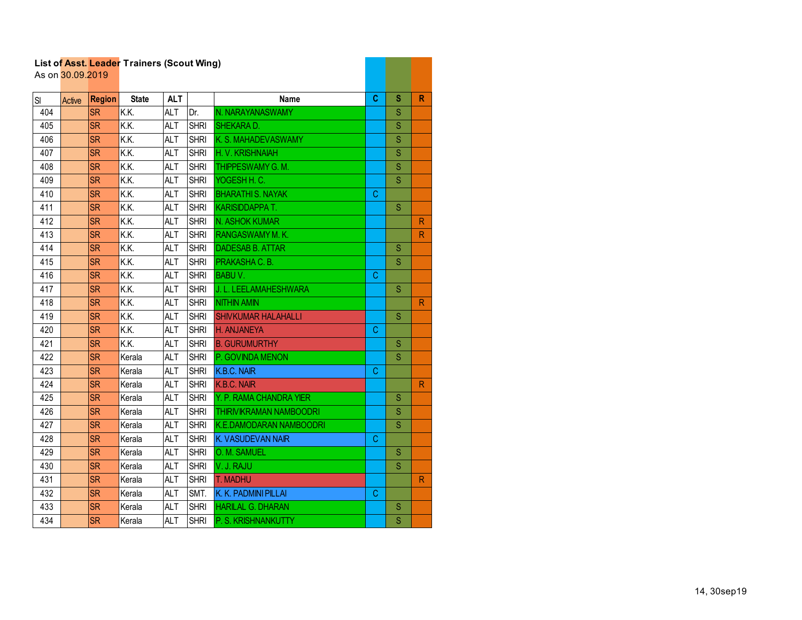|     | As on 30.09.2019 |               | List of Asst. Leager Traillers (Scout Willy) |            |             |                                |    |             |              |
|-----|------------------|---------------|----------------------------------------------|------------|-------------|--------------------------------|----|-------------|--------------|
| SI  | Active           | <b>Region</b> | <b>State</b>                                 | <b>ALT</b> |             | <b>Name</b>                    | C  | S           | R            |
| 404 |                  | <b>SR</b>     | K.K.                                         | <b>ALT</b> | Dr.         | N. NARAYANASWAMY               |    | S           |              |
| 405 |                  | <b>SR</b>     | K.K.                                         | <b>ALT</b> | <b>SHRI</b> | SHEKARA D.                     |    | S           |              |
| 406 |                  | <b>SR</b>     | K.K.                                         | ALT        | <b>SHRI</b> | K. S. MAHADEVASWAMY            |    | S           |              |
| 407 |                  | <b>SR</b>     | K.K.                                         | <b>ALT</b> | <b>SHRI</b> | H. V. KRISHNAIAH               |    | S           |              |
| 408 |                  | <b>SR</b>     | K.K.                                         | <b>ALT</b> | <b>SHRI</b> | THIPPESWAMY G. M.              |    | S           |              |
| 409 |                  | <b>SR</b>     | K.K.                                         | <b>ALT</b> | <b>SHRI</b> | YOGESH H. C.                   |    | S           |              |
| 410 |                  | <b>SR</b>     | K.K.                                         | <b>ALT</b> | <b>SHRI</b> | <b>BHARATHI S. NAYAK</b>       | C. |             |              |
| 411 |                  | <b>SR</b>     | K.K.                                         | <b>ALT</b> | <b>SHRI</b> | <b>KARISIDDAPPAT.</b>          |    | S           |              |
| 412 |                  | <b>SR</b>     | K.K.                                         | <b>ALT</b> | <b>SHRI</b> | N. ASHOK KUMAR                 |    |             | R.           |
| 413 |                  | <b>SR</b>     | K.K.                                         | <b>ALT</b> | <b>SHRI</b> | <b>RANGASWAMY M.K.</b>         |    |             | R.           |
| 414 |                  | <b>SR</b>     | K.K.                                         | <b>ALT</b> | <b>SHRI</b> | <b>DADESAB B. ATTAR</b>        |    | S           |              |
| 415 |                  | <b>SR</b>     | K.K.                                         | <b>ALT</b> | <b>SHRI</b> | PRAKASHA C.B.                  |    | S           |              |
| 416 |                  | <b>SR</b>     | K.K.                                         | <b>ALT</b> | <b>SHRI</b> | <b>BABUV.</b>                  | С  |             |              |
| 417 |                  | <b>SR</b>     | K.K.                                         | <b>ALT</b> | <b>SHRI</b> | J. L. LEELAMAHESHWARA          |    | S           |              |
| 418 |                  | <b>SR</b>     | K.K.                                         | <b>ALT</b> | <b>SHRI</b> | <b>NITHIN AMIN</b>             |    |             | R.           |
| 419 |                  | <b>SR</b>     | K.K.                                         | <b>ALT</b> | <b>SHRI</b> | <b>SHIVKUMAR HALAHALLI</b>     |    | S           |              |
| 420 |                  | <b>SR</b>     | K.K.                                         | <b>ALT</b> | <b>SHRI</b> | H. ANJANEYA                    | C  |             |              |
| 421 |                  | <b>SR</b>     | K.K.                                         | <b>ALT</b> | <b>SHRI</b> | <b>B. GURUMURTHY</b>           |    | S           |              |
| 422 |                  | <b>SR</b>     | Kerala                                       | <b>ALT</b> | <b>SHRI</b> | P. GOVINDA MENON               |    | S           |              |
| 423 |                  | <b>SR</b>     | Kerala                                       | <b>ALT</b> | <b>SHRI</b> | K.B.C. NAIR                    | C. |             |              |
| 424 |                  | <b>SR</b>     | Kerala                                       | <b>ALT</b> | <b>SHRI</b> | K.B.C. NAIR                    |    |             | $\mathsf{R}$ |
| 425 |                  | <b>SR</b>     | Kerala                                       | <b>ALT</b> | <b>SHRI</b> | Y. P. RAMA CHANDRA YIER        |    | S           |              |
| 426 |                  | <b>SR</b>     | Kerala                                       | <b>ALT</b> | <b>SHRI</b> | <b>THIRIVIKRAMAN NAMBOODRI</b> |    | S           |              |
| 427 |                  | <b>SR</b>     | Kerala                                       | <b>ALT</b> | <b>SHRI</b> | <b>K.E.DAMODARAN NAMBOODRI</b> |    | S           |              |
| 428 |                  | <b>SR</b>     | Kerala                                       | <b>ALT</b> | <b>SHRI</b> | K. VASUDEVAN NAIR              | C  |             |              |
| 429 |                  | <b>SR</b>     | Kerala                                       | <b>ALT</b> | <b>SHRI</b> | O. M. SAMUEL                   |    | S           |              |
| 430 |                  | <b>SR</b>     | Kerala                                       | <b>ALT</b> | <b>SHRI</b> | V. J. RAJU                     |    | S           |              |
| 431 |                  | <b>SR</b>     | Kerala                                       | <b>ALT</b> | <b>SHRI</b> | <b>T. MADHU</b>                |    |             | R            |
| 432 |                  | <b>SR</b>     | Kerala                                       | <b>ALT</b> | SMT.        | K. K. PADMINI PILLAI           | C  |             |              |
| 433 |                  | <b>SR</b>     | Kerala                                       | <b>ALT</b> | <b>SHRI</b> | <b>HARILAL G. DHARAN</b>       |    | $\mathbb S$ |              |
| 434 |                  | <b>SR</b>     | Kerala                                       | <b>ALT</b> | <b>SHRI</b> | P. S. KRISHNANKUTTY            |    | S           |              |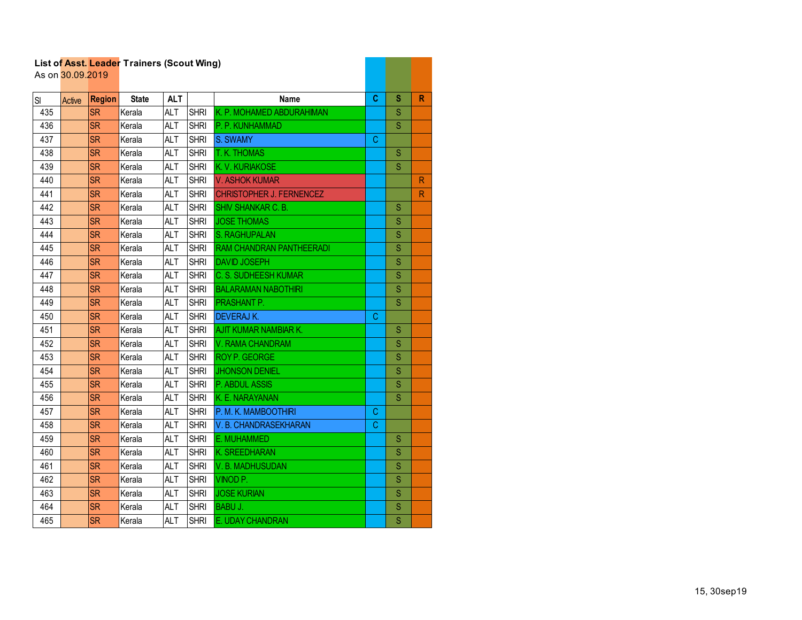|     | As on 30.09.2019 |               | List of Asst. Leader Trainers (Scout Wing) |            |             |                                 |   |                         |    |
|-----|------------------|---------------|--------------------------------------------|------------|-------------|---------------------------------|---|-------------------------|----|
| SI  | Active           | <b>Region</b> | <b>State</b>                               | <b>ALT</b> |             | Name                            | C | s                       | R  |
| 435 |                  | <b>SR</b>     | Kerala                                     | <b>ALT</b> | <b>SHRI</b> | K. P. MOHAMED ABDURAHIMAN       |   | S                       |    |
| 436 |                  | <b>SR</b>     | Kerala                                     | <b>ALT</b> | <b>SHRI</b> | P. P. KUNHAMMAD                 |   | $\overline{\mathbf{S}}$ |    |
| 437 |                  | <b>SR</b>     | Kerala                                     | ALT        | <b>SHRI</b> | S. SWAMY                        | С |                         |    |
| 438 |                  | <b>SR</b>     | Kerala                                     | <b>ALT</b> | <b>SHRI</b> | T. K. THOMAS                    |   | S                       |    |
| 439 |                  | <b>SR</b>     | Kerala                                     | <b>ALT</b> | <b>SHRI</b> | K. V. KURIAKOSE                 |   | S                       |    |
| 440 |                  | <b>SR</b>     | Kerala                                     | <b>ALT</b> | <b>SHRI</b> | <b>V. ASHOK KUMAR</b>           |   |                         | R  |
| 441 |                  | <b>SR</b>     | Kerala                                     | <b>ALT</b> | <b>SHRI</b> | <b>CHRISTOPHER J. FERNENCEZ</b> |   |                         | R. |
| 442 |                  | <b>SR</b>     | Kerala                                     | <b>ALT</b> | <b>SHRI</b> | <b>SHIV SHANKAR C. B.</b>       |   | S                       |    |
| 443 |                  | <b>SR</b>     | Kerala                                     | <b>ALT</b> | <b>SHRI</b> | <b>JOSE THOMAS</b>              |   | S                       |    |
| 444 |                  | <b>SR</b>     | Kerala                                     | <b>ALT</b> | <b>SHRI</b> | S. RAGHUPALAN                   |   | S                       |    |
| 445 |                  | <b>SR</b>     | Kerala                                     | <b>ALT</b> | <b>SHRI</b> | RAM CHANDRAN PANTHEERADI        |   | S                       |    |
| 446 |                  | <b>SR</b>     | Kerala                                     | <b>ALT</b> | <b>SHRI</b> | <b>DAVID JOSEPH</b>             |   | S                       |    |
| 447 |                  | <b>SR</b>     | Kerala                                     | <b>ALT</b> | <b>SHRI</b> | <b>C. S. SUDHEESH KUMAR</b>     |   | S                       |    |
| 448 |                  | <b>SR</b>     | Kerala                                     | ALT        | <b>SHRI</b> | <b>BALARAMAN NABOTHIRI</b>      |   | S                       |    |
| 449 |                  | <b>SR</b>     | Kerala                                     | <b>ALT</b> | <b>SHRI</b> | PRASHANT P.                     |   | S                       |    |
| 450 |                  | <b>SR</b>     | Kerala                                     | <b>ALT</b> | <b>SHRI</b> | <b>DEVERAJ K.</b>               | C |                         |    |
| 451 |                  | <b>SR</b>     | Kerala                                     | <b>ALT</b> | <b>SHRI</b> | AJIT KUMAR NAMBIAR K.           |   | S                       |    |
| 452 |                  | <b>SR</b>     | Kerala                                     | <b>ALT</b> | <b>SHRI</b> | V. RAMA CHANDRAM                |   | S                       |    |
| 453 |                  | <b>SR</b>     | Kerala                                     | <b>ALT</b> | <b>SHRI</b> | <b>ROY P. GEORGE</b>            |   | S                       |    |
| 454 |                  | <b>SR</b>     | Kerala                                     | <b>ALT</b> | <b>SHRI</b> | <b>JHONSON DENIEL</b>           |   | $\mathbf S$             |    |
| 455 |                  | <b>SR</b>     | Kerala                                     | <b>ALT</b> | <b>SHRI</b> | P. ABDUL ASSIS                  |   | S                       |    |
| 456 |                  | <b>SR</b>     | Kerala                                     | <b>ALT</b> | <b>SHRI</b> | K. E. NARAYANAN                 |   | S                       |    |
| 457 |                  | <b>SR</b>     | Kerala                                     | <b>ALT</b> | <b>SHRI</b> | P. M. K. MAMBOOTHIRI            | С |                         |    |
| 458 |                  | <b>SR</b>     | Kerala                                     | <b>ALT</b> | <b>SHRI</b> | V. B. CHANDRASEKHARAN           | C |                         |    |
| 459 |                  | <b>SR</b>     | Kerala                                     | <b>ALT</b> | <b>SHRI</b> | E. MUHAMMED                     |   | S                       |    |
| 460 |                  | <b>SR</b>     | Kerala                                     | <b>ALT</b> | <b>SHRI</b> | K. SREEDHARAN                   |   | S                       |    |
| 461 |                  | <b>SR</b>     | Kerala                                     | <b>ALT</b> | <b>SHRI</b> | V.B. MADHUSUDAN                 |   | S                       |    |
| 462 |                  | <b>SR</b>     | Kerala                                     | <b>ALT</b> | <b>SHRI</b> | VINOD <sub>P.</sub>             |   | S                       |    |
| 463 |                  | <b>SR</b>     | Kerala                                     | <b>ALT</b> | <b>SHRI</b> | <b>JOSE KURIAN</b>              |   | S                       |    |
| 464 |                  | <b>SR</b>     | Kerala                                     | <b>ALT</b> | <b>SHRI</b> | BABU J.                         |   | $\mathbf S$             |    |
| 465 |                  | <b>SR</b>     | Kerala                                     | <b>ALT</b> | <b>SHRI</b> | E. UDAY CHANDRAN                |   | S                       |    |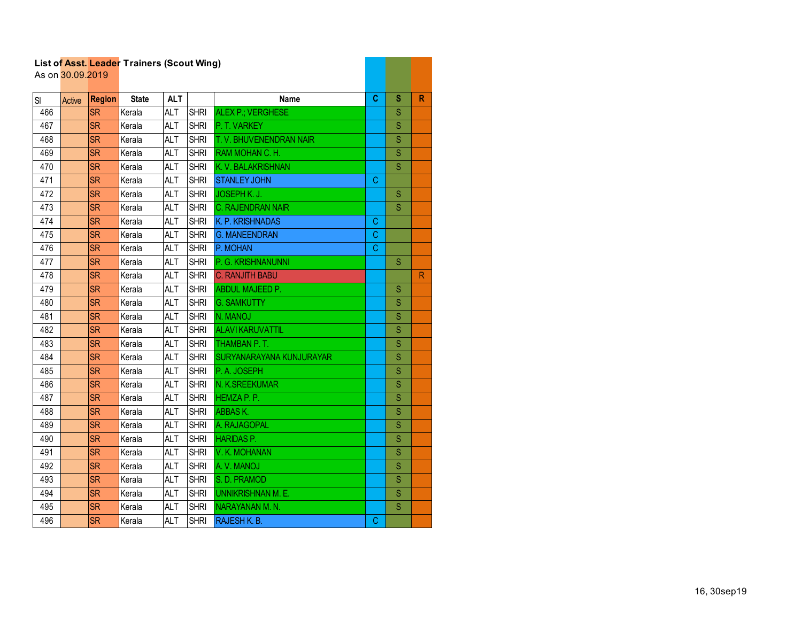|     | As on 30.09.2019 |               | List of Asst. Leader Traillers (Scout Willy) |            |             |                           |    |             |   |
|-----|------------------|---------------|----------------------------------------------|------------|-------------|---------------------------|----|-------------|---|
| SI  | Active           | <b>Region</b> | <b>State</b>                                 | <b>ALT</b> |             | <b>Name</b>               | C  | S           | R |
| 466 |                  | <b>SR</b>     | Kerala                                       | <b>ALT</b> | <b>SHRI</b> | ALEX P.; VERGHESE         |    | S           |   |
| 467 |                  | <b>SR</b>     | Kerala                                       | <b>ALT</b> | <b>SHRI</b> | P. T. VARKEY              |    | S           |   |
| 468 |                  | <b>SR</b>     | Kerala                                       | <b>ALT</b> | <b>SHRI</b> | T. V. BHUVENENDRAN NAIR   |    | S           |   |
| 469 |                  | <b>SR</b>     | Kerala                                       | <b>ALT</b> | <b>SHRI</b> | RAM MOHAN C. H.           |    | S           |   |
| 470 |                  | <b>SR</b>     | Kerala                                       | <b>ALT</b> | <b>SHRI</b> | K. V. BALAKRISHNAN        |    | S           |   |
| 471 |                  | <b>SR</b>     | Kerala                                       | <b>ALT</b> | <b>SHRI</b> | <b>STANLEY JOHN</b>       | С  |             |   |
| 472 |                  | <b>SR</b>     | Kerala                                       | <b>ALT</b> | <b>SHRI</b> | JOSEPH K. J.              |    | $\mathbf S$ |   |
| 473 |                  | <b>SR</b>     | Kerala                                       | <b>ALT</b> | <b>SHRI</b> | <b>C. RAJENDRAN NAIR</b>  |    | S           |   |
| 474 |                  | <b>SR</b>     | Kerala                                       | <b>ALT</b> | <b>SHRI</b> | K. P. KRISHNADAS          | С  |             |   |
| 475 |                  | <b>SR</b>     | Kerala                                       | <b>ALT</b> | <b>SHRI</b> | <b>G. MANEENDRAN</b>      | C. |             |   |
| 476 |                  | <b>SR</b>     | Kerala                                       | <b>ALT</b> | <b>SHRI</b> | P. MOHAN                  | C  |             |   |
| 477 |                  | <b>SR</b>     | Kerala                                       | <b>ALT</b> | <b>SHRI</b> | P. G. KRISHNANUNNI        |    | S           |   |
| 478 |                  | <b>SR</b>     | Kerala                                       | <b>ALT</b> | <b>SHRI</b> | <b>C. RANJITH BABU</b>    |    |             | R |
| 479 |                  | <b>SR</b>     | Kerala                                       | <b>ALT</b> | <b>SHRI</b> | <b>ABDUL MAJEED P.</b>    |    | S           |   |
| 480 |                  | <b>SR</b>     | Kerala                                       | <b>ALT</b> | <b>SHRI</b> | <b>G. SAMKUTTY</b>        |    | S           |   |
| 481 |                  | <b>SR</b>     | Kerala                                       | <b>ALT</b> | <b>SHRI</b> | N. MANOJ                  |    | S           |   |
| 482 |                  | <b>SR</b>     | Kerala                                       | <b>ALT</b> | <b>SHRI</b> | <b>ALAVIKARUVATTIL</b>    |    | S           |   |
| 483 |                  | <b>SR</b>     | Kerala                                       | <b>ALT</b> | <b>SHRI</b> | <b>THAMBAN P.T.</b>       |    | S           |   |
| 484 |                  | <b>SR</b>     | Kerala                                       | <b>ALT</b> | <b>SHRI</b> | SURYANARAYANA KUNJURAYAR  |    | S           |   |
| 485 |                  | <b>SR</b>     | Kerala                                       | <b>ALT</b> | <b>SHRI</b> | P.A. JOSEPH               |    | S           |   |
| 486 |                  | <b>SR</b>     | Kerala                                       | <b>ALT</b> | <b>SHRI</b> | N. K.SREEKUMAR            |    | S           |   |
| 487 |                  | <b>SR</b>     | Kerala                                       | <b>ALT</b> | <b>SHRI</b> | HEMZA P. P.               |    | S           |   |
| 488 |                  | <b>SR</b>     | Kerala                                       | <b>ALT</b> | <b>SHRI</b> | <b>ABBASK.</b>            |    | S           |   |
| 489 |                  | <b>SR</b>     | Kerala                                       | <b>ALT</b> | <b>SHRI</b> | A. RAJAGOPAL              |    | S           |   |
| 490 |                  | <b>SR</b>     | Kerala                                       | <b>ALT</b> | <b>SHRI</b> | <b>HARIDAS P.</b>         |    | S           |   |
| 491 |                  | <b>SR</b>     | Kerala                                       | <b>ALT</b> | <b>SHRI</b> | V. K. MOHANAN             |    | S           |   |
| 492 |                  | <b>SR</b>     | Kerala                                       | <b>ALT</b> | <b>SHRI</b> | A.V. MANOJ                |    | S           |   |
| 493 |                  | <b>SR</b>     | Kerala                                       | <b>ALT</b> | <b>SHRI</b> | S. D. PRAMOD              |    | S           |   |
| 494 |                  | <b>SR</b>     | Kerala                                       | <b>ALT</b> | <b>SHRI</b> | <b>UNNIKRISHNAN M. E.</b> |    | S           |   |
| 495 |                  | <b>SR</b>     | Kerala                                       | <b>ALT</b> | <b>SHRI</b> | NARAYANAN M.N.            |    | S           |   |
| 496 |                  | <b>SR</b>     | Kerala                                       | <b>ALT</b> | <b>SHRI</b> | RAJESH K. B.              | C  |             |   |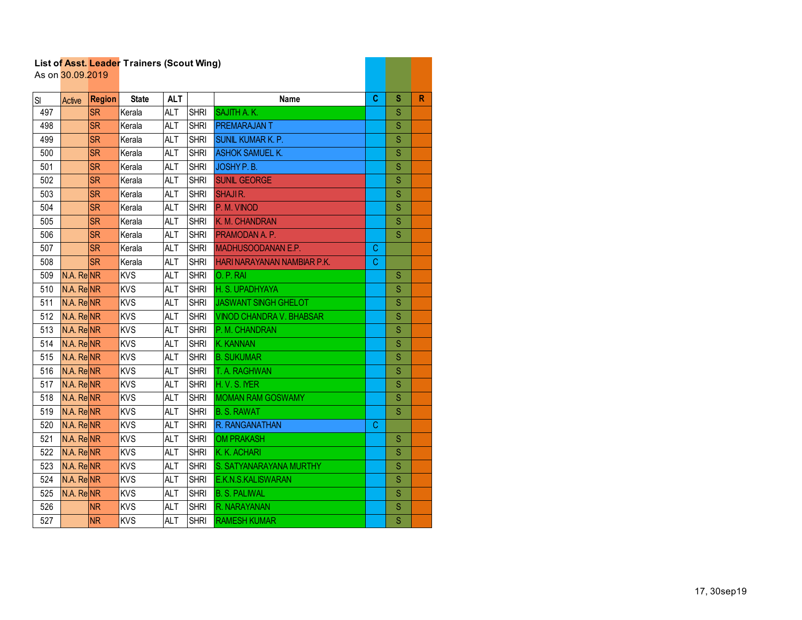|     | As on 30.09.2019      |               | List of Asst. Leader Traillers (Scout Willy) |            |             |                                 |             |               |   |
|-----|-----------------------|---------------|----------------------------------------------|------------|-------------|---------------------------------|-------------|---------------|---|
| SI  | Active                | <b>Region</b> | <b>State</b>                                 | <b>ALT</b> |             | <b>Name</b>                     | C           | S             | R |
| 497 |                       | <b>SR</b>     | Kerala                                       | <b>ALT</b> | <b>SHRI</b> | <b>SAJITH A.K.</b>              |             | S             |   |
| 498 |                       | <b>SR</b>     | Kerala                                       | <b>ALT</b> | <b>SHRI</b> | <b>PREMARAJANT</b>              |             | S             |   |
| 499 |                       | <b>SR</b>     | Kerala                                       | <b>ALT</b> | <b>SHRI</b> | <b>SUNIL KUMAR K. P.</b>        |             | S             |   |
| 500 |                       | <b>SR</b>     | Kerala                                       | <b>ALT</b> | <b>SHRI</b> | <b>ASHOK SAMUEL K.</b>          |             | S             |   |
| 501 |                       | <b>SR</b>     | Kerala                                       | <b>ALT</b> | <b>SHRI</b> | JOSHY P.B.                      |             | S             |   |
| 502 |                       | <b>SR</b>     | Kerala                                       | <b>ALT</b> | <b>SHRI</b> | <b>SUNIL GEORGE</b>             |             | S             |   |
| 503 |                       | <b>SR</b>     | Kerala                                       | <b>ALT</b> | <b>SHRI</b> | <b>SHAJIR.</b>                  |             | Ś             |   |
| 504 |                       | <b>SR</b>     | Kerala                                       | <b>ALT</b> | <b>SHRI</b> | P. M. VINOD                     |             | S             |   |
| 505 |                       | <b>SR</b>     | Kerala                                       | <b>ALT</b> | <b>SHRI</b> | K. M. CHANDRAN                  |             | S             |   |
| 506 |                       | <b>SR</b>     | Kerala                                       | <b>ALT</b> | <b>SHRI</b> | PRAMODAN A. P.                  |             | S             |   |
| 507 |                       | <b>SR</b>     | Kerala                                       | <b>ALT</b> | <b>SHRI</b> | <b>MADHUSOODANAN E.P.</b>       | C           |               |   |
| 508 |                       | <b>SR</b>     | Kerala                                       | <b>ALT</b> | <b>SHRI</b> | HARI NARAYANAN NAMBIAR P.K.     | $\mathbf C$ |               |   |
| 509 | N.A. ReNR             |               | <b>KVS</b>                                   | <b>ALT</b> | <b>SHRI</b> | O. P. RAI                       |             | S             |   |
| 510 | $N.A.$ Re $NR$        |               | <b>KVS</b>                                   | <b>ALT</b> | <b>SHRI</b> | H. S. UPADHYAYA                 |             | S             |   |
| 511 | N.A. ReNR             |               | <b>KVS</b>                                   | <b>ALT</b> | <b>SHRI</b> | JASWANT SINGH GHELOT            |             | S             |   |
| 512 | N.A. ReNR             |               | <b>KVS</b>                                   | <b>ALT</b> | <b>SHRI</b> | <b>VINOD CHANDRA V. BHABSAR</b> |             | S             |   |
| 513 | N.A. ReNR             |               | <b>KVS</b>                                   | <b>ALT</b> | <b>SHRI</b> | P. M. CHANDRAN                  |             | S             |   |
| 514 | N.A. ReNR             |               | <b>KVS</b>                                   | <b>ALT</b> | <b>SHRI</b> | K. KANNAN                       |             | S             |   |
| 515 | $N.A.$ Re $NR$        |               | <b>KVS</b>                                   | <b>ALT</b> | <b>SHRI</b> | <b>B. SUKUMAR</b>               |             | S             |   |
| 516 | N.A. ReNR             |               | <b>KVS</b>                                   | <b>ALT</b> | <b>SHRI</b> | T. A. RAGHWAN                   |             | S             |   |
| 517 | N.A. ReNR             |               | <b>KVS</b>                                   | <b>ALT</b> | <b>SHRI</b> | H.V.S. MER                      |             | S             |   |
| 518 | N.A. ReNR             |               | <b>KVS</b>                                   | <b>ALT</b> | <b>SHRI</b> | <b>MOMAN RAM GOSWAMY</b>        |             | S             |   |
| 519 | N.A. ReNR             |               | <b>KVS</b>                                   | <b>ALT</b> | <b>SHRI</b> | <b>B. S. RAWAT</b>              |             | S             |   |
| 520 | N.A. ReNR             |               | <b>KVS</b>                                   | <b>ALT</b> | <b>SHRI</b> | R. RANGANATHAN                  | C           |               |   |
| 521 | N.A. Re <sub>NR</sub> |               | <b>KVS</b>                                   | <b>ALT</b> | <b>SHRI</b> | <b>OM PRAKASH</b>               |             | ${\mathbb S}$ |   |
| 522 | N.A. ReNR             |               | <b>KVS</b>                                   | <b>ALT</b> | <b>SHRI</b> | K. K. ACHARI                    |             | S             |   |
| 523 | N.A. ReNR             |               | KVS                                          | <b>ALT</b> | <b>SHRI</b> | S. SATYANARAYANA MURTHY         |             | S             |   |
| 524 | N.A. ReNR             |               | <b>KVS</b>                                   | <b>ALT</b> | <b>SHRI</b> | E.K.N.S.KALISWARAN              |             | S             |   |
| 525 | N.A. ReNR             |               | <b>KVS</b>                                   | <b>ALT</b> | <b>SHRI</b> | <b>B. S. PALIWAL</b>            |             | S             |   |
| 526 |                       | <b>NR</b>     | <b>KVS</b>                                   | <b>ALT</b> | <b>SHRI</b> | R. NARAYANAN                    |             | S             |   |
| 527 |                       | <b>NR</b>     | <b>KVS</b>                                   | <b>ALT</b> | <b>SHRI</b> | <b>RAMESH KUMAR</b>             |             | S             |   |

and the company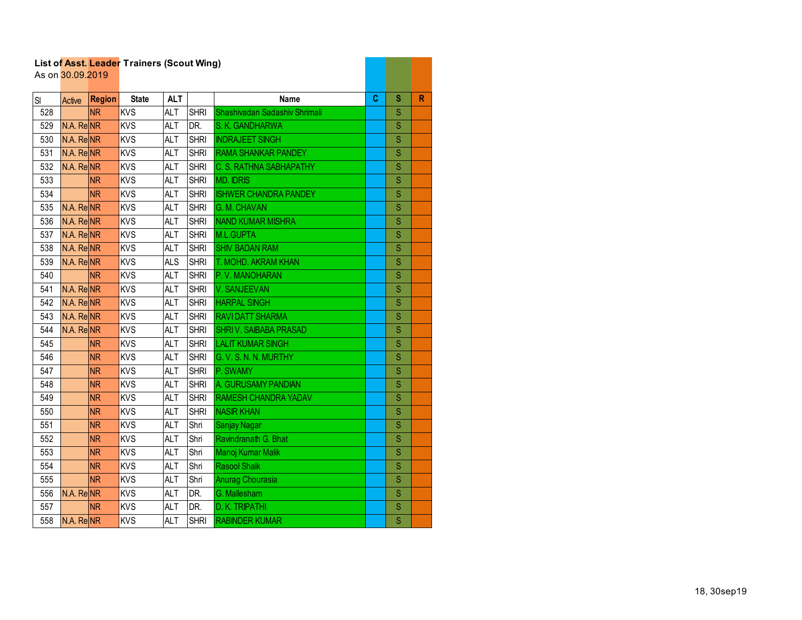|     | As on 30.09.2019      |                        | List of Asst. Leader Trainers (Scout Wing) |            |             |                               |    |                         |   |
|-----|-----------------------|------------------------|--------------------------------------------|------------|-------------|-------------------------------|----|-------------------------|---|
|     |                       |                        |                                            |            |             |                               |    |                         |   |
| SI  | Active                | <b>Region</b>          | <b>State</b>                               | <b>ALT</b> |             | <b>Name</b>                   | C. | S                       | R |
| 528 |                       | <b>NR</b>              | <b>KVS</b>                                 | <b>ALT</b> | <b>SHRI</b> | Shashivadan Sadashiv Shrimali |    | S                       |   |
| 529 | N.A. ReNR             |                        | <b>KVS</b>                                 | <b>ALT</b> | DR.         | S. K. GANDHARWA               |    | $\overline{\mathbf{s}}$ |   |
| 530 | N.A. ReNR             |                        | <b>KVS</b>                                 | <b>ALT</b> | <b>SHRI</b> | <b>INDRAJEET SINGH</b>        |    | S                       |   |
| 531 | N.A. ReNR             |                        | <b>KVS</b>                                 | <b>ALT</b> | <b>SHRI</b> | <b>RAMA SHANKAR PANDEY</b>    |    | S                       |   |
| 532 | N.A. ReNR             |                        | KVS                                        | <b>ALT</b> | <b>SHRI</b> | C. S. RATHNA SABHAPATHY       |    | S                       |   |
| 533 |                       | <b>NR</b>              | <b>KVS</b>                                 | <b>ALT</b> | <b>SHRI</b> | <b>MD. IDRIS</b>              |    | S                       |   |
| 534 |                       | <b>NR</b>              | <b>KVS</b>                                 | <b>ALT</b> | <b>SHRI</b> | <b>ISHWER CHANDRA PANDEY</b>  |    | S                       |   |
| 535 | N.A. ReNR             |                        | <b>KVS</b>                                 | <b>ALT</b> | <b>SHRI</b> | <b>G. M. CHAVAN</b>           |    | S                       |   |
| 536 | N.A. ReNR             |                        | <b>KVS</b>                                 | <b>ALT</b> | <b>SHRI</b> | <b>NAND KUMAR MISHRA</b>      |    | S                       |   |
| 537 | N.A. Re <sub>NR</sub> |                        | <b>KVS</b>                                 | <b>ALT</b> | <b>SHRI</b> | M.L.GUPTA                     |    | S                       |   |
| 538 | N.A. ReNR             |                        | <b>KVS</b>                                 | <b>ALT</b> | <b>SHRI</b> | <b>SHIV BADAN RAM</b>         |    | S                       |   |
| 539 | N.A. Re <b>NR</b>     |                        | KVS                                        | <b>ALS</b> | <b>SHRI</b> | T. MOHD. AKRAM KHAN           |    | S                       |   |
| 540 |                       | <b>NR</b>              | <b>KVS</b>                                 | <b>ALT</b> | <b>SHRI</b> | P.V. MANOHARAN                |    | S                       |   |
| 541 | N.A. ReNR             |                        | <b>KVS</b>                                 | <b>ALT</b> | <b>SHRI</b> | V. SANJEEVAN                  |    | S                       |   |
| 542 | N.A. ReNR             |                        | <b>KVS</b>                                 | <b>ALT</b> | <b>SHRI</b> | <b>HARPAL SINGH</b>           |    | $\mathbf S$             |   |
| 543 | N.A. Re <sub>NR</sub> |                        | <b>KVS</b>                                 | <b>ALT</b> | <b>SHRI</b> | <b>RAVIDATT SHARMA</b>        |    | S                       |   |
| 544 | N.A. ReNR             |                        | <b>KVS</b>                                 | <b>ALT</b> | <b>SHRI</b> | <b>SHRIV. SAIBABA PRASAD</b>  |    | S                       |   |
| 545 |                       | <b>NR</b>              | <b>KVS</b>                                 | <b>ALT</b> | <b>SHRI</b> | <b>LALIT KUMAR SINGH</b>      |    | S                       |   |
| 546 |                       | <b>NR</b>              | <b>KVS</b>                                 | <b>ALT</b> | <b>SHRI</b> | G. V. S. N. N. MURTHY         |    | S                       |   |
| 547 |                       | <b>NR</b>              | <b>KVS</b>                                 | <b>ALT</b> | <b>SHRI</b> | P. SWAMY                      |    | S                       |   |
| 548 |                       | <b>NR</b>              | <b>KVS</b>                                 | <b>ALT</b> | <b>SHRI</b> | A. GURUSAMY PANDIAN           |    | S                       |   |
| 549 |                       | <b>NR</b>              | <b>KVS</b>                                 | <b>ALT</b> | <b>SHRI</b> | <b>RAMESH CHANDRA YADAV</b>   |    | S                       |   |
| 550 |                       | <b>NR</b>              | <b>KVS</b>                                 | <b>ALT</b> | <b>SHRI</b> | <b>NASIR KHAN</b>             |    | S                       |   |
| 551 |                       | <b>NR</b>              | <b>KVS</b>                                 | <b>ALT</b> | Shri        | <b>Sanjay Nagar</b>           |    | S                       |   |
| 552 |                       | <b>NR</b>              | KVS                                        | <b>ALT</b> | Shri        | Ravindranath G. Bhat          |    | S                       |   |
| 553 |                       | <b>NR</b>              | <b>KVS</b>                                 | <b>ALT</b> | Shri        | Manoj Kumar Malik             |    | S                       |   |
| 554 |                       | $\overline{\text{NR}}$ | KVS                                        | <b>ALT</b> | Shri        | <b>Rasool Shaik</b>           |    | $\overline{\mathbf{s}}$ |   |
| 555 |                       | <b>NR</b>              | <b>KVS</b>                                 | <b>ALT</b> | Shri        | <b>Anurag Chourasia</b>       |    | S                       |   |
| 556 | N.A. ReNR             |                        | <b>KVS</b>                                 | <b>ALT</b> | DR.         | G. Mallesham                  |    | S                       |   |
| 557 |                       | <b>NR</b>              | <b>KVS</b>                                 | <b>ALT</b> | DR.         | D. K. TRIPATHI                |    | S                       |   |
| 558 | N.A. ReNR             |                        | <b>KVS</b>                                 | <b>ALT</b> | <b>SHRI</b> | <b>RABINDER KUMAR</b>         |    | $\overline{\mathsf{S}}$ |   |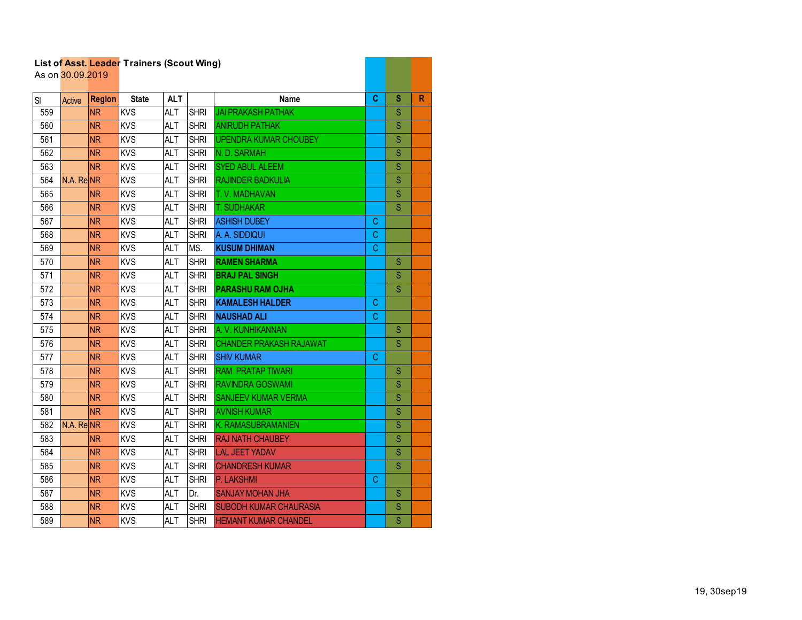|     | As on 30.09.2019 |               | List of Asst. Leader Trainers (Scout Wing) |            |             |                                |    |                         |              |
|-----|------------------|---------------|--------------------------------------------|------------|-------------|--------------------------------|----|-------------------------|--------------|
| SI  | Active           | <b>Region</b> | <b>State</b>                               | <b>ALT</b> |             | <b>Name</b>                    | C  | S                       | $\mathsf{R}$ |
| 559 |                  | <b>NR</b>     | <b>KVS</b>                                 | <b>ALT</b> | <b>SHRI</b> | <b>JAI PRAKASH PATHAK</b>      |    | S                       |              |
| 560 |                  | <b>NR</b>     | <b>KVS</b>                                 | <b>ALT</b> | <b>SHRI</b> | <b>ANIRUDH PATHAK</b>          |    | $\overline{\mathbf{S}}$ |              |
| 561 |                  | <b>NR</b>     | <b>KVS</b>                                 | <b>ALT</b> | <b>SHRI</b> | <b>UPENDRA KUMAR CHOUBEY</b>   |    | S                       |              |
| 562 |                  | <b>NR</b>     | <b>KVS</b>                                 | <b>ALT</b> | <b>SHRI</b> | N.D. SARMAH                    |    | S                       |              |
| 563 |                  | <b>NR</b>     | <b>KVS</b>                                 | <b>ALT</b> | <b>SHRI</b> | <b>SYED ABUL ALEEM</b>         |    | S                       |              |
| 564 | N.A. ReNR        |               | <b>KVS</b>                                 | <b>ALT</b> | <b>SHRI</b> | RAJINDER BADKULIA              |    | S                       |              |
| 565 |                  | <b>NR</b>     | <b>KVS</b>                                 | <b>ALT</b> | <b>SHRI</b> | T. V. MADHAVAN                 |    | S                       |              |
| 566 |                  | <b>NR</b>     | <b>KVS</b>                                 | <b>ALT</b> | <b>SHRI</b> | <b>T. SUDHAKAR</b>             |    | S                       |              |
| 567 |                  | <b>NR</b>     | <b>KVS</b>                                 | <b>ALT</b> | <b>SHRI</b> | <b>ASHISH DUBEY</b>            | C  |                         |              |
| 568 |                  | <b>NR</b>     | <b>KVS</b>                                 | <b>ALT</b> | <b>SHRI</b> | A. A. SIDDIQUI                 | C. |                         |              |
| 569 |                  | <b>NR</b>     | <b>KVS</b>                                 | <b>ALT</b> | MS.         | <b>KUSUM DHIMAN</b>            | C  |                         |              |
| 570 |                  | <b>NR</b>     | <b>KVS</b>                                 | <b>ALT</b> | <b>SHRI</b> | <b>RAMEN SHARMA</b>            |    | S                       |              |
| 571 |                  | <b>NR</b>     | <b>KVS</b>                                 | <b>ALT</b> | <b>SHRI</b> | <b>BRAJ PAL SINGH</b>          |    | $\mathbf S$             |              |
| 572 |                  | <b>NR</b>     | <b>KVS</b>                                 | <b>ALT</b> | <b>SHRI</b> | <b>PARASHU RAM OJHA</b>        |    | S                       |              |
| 573 |                  | <b>NR</b>     | <b>KVS</b>                                 | <b>ALT</b> | <b>SHRI</b> | <b>KAMALESH HALDER</b>         | С  |                         |              |
| 574 |                  | <b>NR</b>     | <b>KVS</b>                                 | <b>ALT</b> | <b>SHRI</b> | <b>NAUSHAD ALI</b>             | C. |                         |              |
| 575 |                  | <b>NR</b>     | <b>KVS</b>                                 | <b>ALT</b> | <b>SHRI</b> | A. V. KUNHIKANNAN              |    | S                       |              |
| 576 |                  | <b>NR</b>     | <b>KVS</b>                                 | <b>ALT</b> | <b>SHRI</b> | <b>CHANDER PRAKASH RAJAWAT</b> |    | S                       |              |
| 577 |                  | <b>NR</b>     | <b>KVS</b>                                 | ALT        | <b>SHRI</b> | <b>SHIV KUMAR</b>              | C  |                         |              |
| 578 |                  | <b>NR</b>     | <b>KVS</b>                                 | <b>ALT</b> | <b>SHRI</b> | <b>RAM PRATAP TIWARI</b>       |    | S                       |              |
| 579 |                  | <b>NR</b>     | <b>KVS</b>                                 | <b>ALT</b> | <b>SHRI</b> | <b>RAVINDRA GOSWAMI</b>        |    | S                       |              |
| 580 |                  | <b>NR</b>     | <b>KVS</b>                                 | <b>ALT</b> | <b>SHRI</b> | <b>SANJEEV KUMAR VERMA</b>     |    | S                       |              |
| 581 |                  | <b>NR</b>     | <b>KVS</b>                                 | <b>ALT</b> | <b>SHRI</b> | <b>AVNISH KUMAR</b>            |    | S                       |              |
| 582 | N.A. ReNR        |               | <b>KVS</b>                                 | ALT        | <b>SHRI</b> | K. RAMASUBRAMANIEN             |    | S                       |              |
| 583 |                  | <b>NR</b>     | <b>KVS</b>                                 | <b>ALT</b> | <b>SHRI</b> | <b>RAJ NATH CHAUBEY</b>        |    | S                       |              |
| 584 |                  | <b>NR</b>     | <b>KVS</b>                                 | <b>ALT</b> | <b>SHRI</b> | <b>LAL JEET YADAV</b>          |    | S                       |              |
| 585 |                  | <b>NR</b>     | KVS                                        | <b>ALT</b> | <b>SHRI</b> | <b>CHANDRESH KUMAR</b>         |    | $\overline{\mathbf{S}}$ |              |
| 586 |                  | <b>NR</b>     | <b>KVS</b>                                 | <b>ALT</b> | <b>SHRI</b> | P. LAKSHMI                     | C  |                         |              |
| 587 |                  | <b>NR</b>     | <b>KVS</b>                                 | <b>ALT</b> | Dr.         | <b>SANJAY MOHAN JHA</b>        |    | ${\mathbb S}$           |              |
| 588 |                  | <b>NR</b>     | <b>KVS</b>                                 | <b>ALT</b> | <b>SHRI</b> | <b>SUBODH KUMAR CHAURASIA</b>  |    | $\mathbf S$             |              |
| 589 |                  | <b>NR</b>     | <b>KVS</b>                                 | <b>ALT</b> | <b>SHRI</b> | <b>HEMANT KUMAR CHANDEL</b>    |    | S                       |              |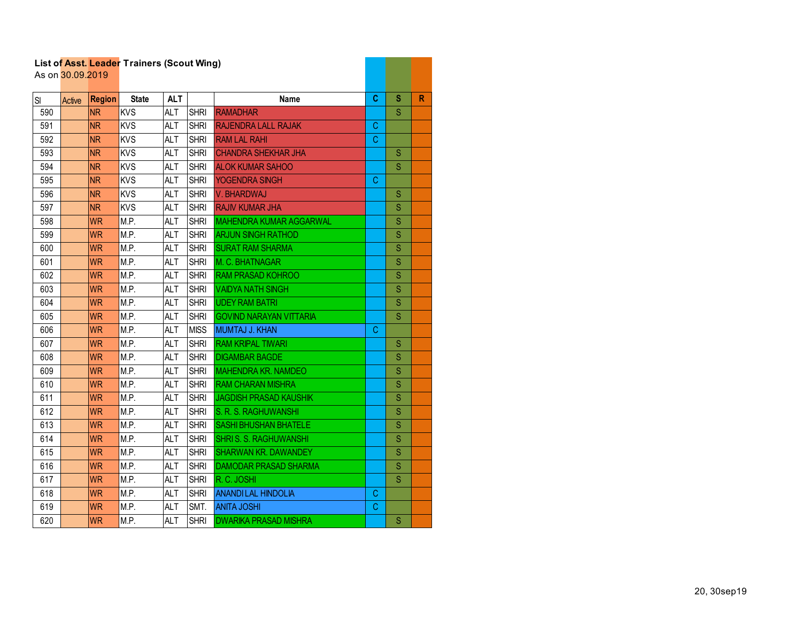|     | List of Asst. Leager Traillers (Scout Willy)<br>As on 30.09.2019 |               |              |            |             |                                |             |                         |   |
|-----|------------------------------------------------------------------|---------------|--------------|------------|-------------|--------------------------------|-------------|-------------------------|---|
| SI  | Active                                                           | <b>Region</b> | <b>State</b> | <b>ALT</b> |             | <b>Name</b>                    | C.          | S                       | R |
| 590 |                                                                  | <b>NR</b>     | <b>KVS</b>   | <b>ALT</b> | <b>SHRI</b> | <b>RAMADHAR</b>                |             | S                       |   |
| 591 |                                                                  | <b>NR</b>     | <b>KVS</b>   | <b>ALT</b> | <b>SHRI</b> | <b>RAJENDRA LALL RAJAK</b>     | C           |                         |   |
| 592 |                                                                  | <b>NR</b>     | <b>KVS</b>   | <b>ALT</b> | <b>SHRI</b> | <b>RAM LAL RAHI</b>            | $\mathsf C$ |                         |   |
| 593 |                                                                  | <b>NR</b>     | <b>KVS</b>   | <b>ALT</b> | <b>SHRI</b> | <b>CHANDRA SHEKHAR JHA</b>     |             | S                       |   |
| 594 |                                                                  | <b>NR</b>     | <b>KVS</b>   | <b>ALT</b> | <b>SHRI</b> | <b>ALOK KUMAR SAHOO</b>        |             | S                       |   |
| 595 |                                                                  | <b>NR</b>     | <b>KVS</b>   | <b>ALT</b> | <b>SHRI</b> | <b>YOGENDRA SINGH</b>          | C           |                         |   |
| 596 |                                                                  | <b>NR</b>     | <b>KVS</b>   | <b>ALT</b> | <b>SHRI</b> | V. BHARDWAJ                    |             | S                       |   |
| 597 |                                                                  | <b>NR</b>     | <b>KVS</b>   | <b>ALT</b> | <b>SHRI</b> | <b>RAJIV KUMAR JHA</b>         |             | S                       |   |
| 598 |                                                                  | <b>WR</b>     | M.P.         | <b>ALT</b> | <b>SHRI</b> | <b>MAHENDRA KUMAR AGGARWAL</b> |             | S                       |   |
| 599 |                                                                  | <b>WR</b>     | M.P.         | <b>ALT</b> | <b>SHRI</b> | <b>ARJUN SINGH RATHOD</b>      |             | S                       |   |
| 600 |                                                                  | <b>WR</b>     | M.P.         | <b>ALT</b> | <b>SHRI</b> | <b>SURAT RAM SHARMA</b>        |             | S                       |   |
| 601 |                                                                  | <b>WR</b>     | M.P.         | <b>ALT</b> | <b>SHRI</b> | M. C. BHATNAGAR                |             | S                       |   |
| 602 |                                                                  | <b>WR</b>     | M.P.         | <b>ALT</b> | <b>SHRI</b> | <b>RAM PRASAD KOHROO</b>       |             | S                       |   |
| 603 |                                                                  | <b>WR</b>     | M.P.         | <b>ALT</b> | <b>SHRI</b> | <b>VAIDYA NATH SINGH</b>       |             | S                       |   |
| 604 |                                                                  | <b>WR</b>     | M.P.         | <b>ALT</b> | <b>SHRI</b> | <b>UDEY RAM BATRI</b>          |             | S                       |   |
| 605 |                                                                  | <b>WR</b>     | M.P.         | <b>ALT</b> | <b>SHRI</b> | <b>GOVIND NARAYAN VITTARIA</b> |             | S                       |   |
| 606 |                                                                  | <b>WR</b>     | M.P.         | <b>ALT</b> | <b>MISS</b> | MUMTAJ J. KHAN                 | C           |                         |   |
| 607 |                                                                  | <b>WR</b>     | M.P.         | <b>ALT</b> | <b>SHRI</b> | <b>RAM KRIPAL TIWARI</b>       |             | S                       |   |
| 608 |                                                                  | <b>WR</b>     | M.P.         | <b>ALT</b> | <b>SHRI</b> | <b>DIGAMBAR BAGDE</b>          |             | S                       |   |
| 609 |                                                                  | <b>WR</b>     | M.P.         | <b>ALT</b> | <b>SHRI</b> | <b>MAHENDRA KR. NAMDEO</b>     |             | S                       |   |
| 610 |                                                                  | <b>WR</b>     | M.P.         | <b>ALT</b> | <b>SHRI</b> | <b>RAM CHARAN MISHRA</b>       |             | S                       |   |
| 611 |                                                                  | <b>WR</b>     | M.P.         | <b>ALT</b> | <b>SHRI</b> | <b>JAGDISH PRASAD KAUSHIK</b>  |             | S                       |   |
| 612 |                                                                  | <b>WR</b>     | M.P.         | <b>ALT</b> | <b>SHRI</b> | S. R. S. RAGHUWANSHI           |             | S                       |   |
| 613 |                                                                  | <b>WR</b>     | M.P.         | <b>ALT</b> | <b>SHRI</b> | <b>SASHI BHUSHAN BHATELE</b>   |             | S                       |   |
| 614 |                                                                  | <b>WR</b>     | M.P.         | <b>ALT</b> | <b>SHRI</b> | <b>SHRIS. S. RAGHUWANSHI</b>   |             | S                       |   |
| 615 |                                                                  | <b>WR</b>     | M.P.         | <b>ALT</b> | <b>SHRI</b> | <b>SHARWAN KR. DAWANDEY</b>    |             | S                       |   |
| 616 |                                                                  | <b>WR</b>     | M.P.         | <b>ALT</b> | <b>SHRI</b> | <b>DAMODAR PRASAD SHARMA</b>   |             | $\overline{\mathbf{s}}$ |   |
| 617 |                                                                  | <b>WR</b>     | M.P.         | <b>ALT</b> | <b>SHRI</b> | R.C. JOSHI                     |             | S                       |   |
| 618 |                                                                  | <b>WR</b>     | M.P.         | <b>ALT</b> | <b>SHRI</b> | <b>ANANDILAL HINDOLIA</b>      | С           |                         |   |
| 619 |                                                                  | <b>WR</b>     | M.P.         | <b>ALT</b> | SMT.        | <b>ANITA JOSHI</b>             | C           |                         |   |
| 620 |                                                                  | <b>WR</b>     | M.P.         | <b>ALT</b> | <b>SHRI</b> | <b>DWARIKA PRASAD MISHRA</b>   |             | S                       |   |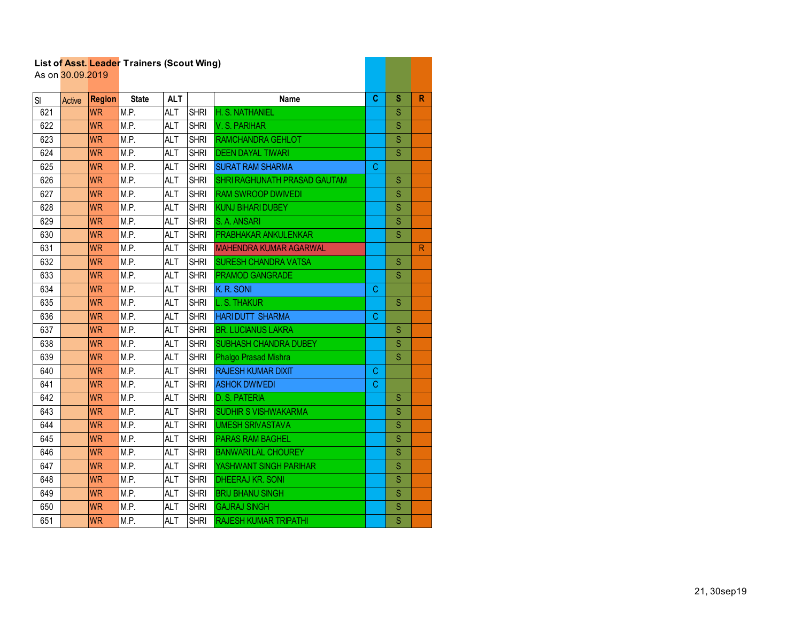|     | As on 30.09.2019 |               | List of Asst. Leader Trainers (Scout Wing) |            |             |                                     |    |                                                                                                                                                                                                                                                                                                                                                                                                                                                          |           |
|-----|------------------|---------------|--------------------------------------------|------------|-------------|-------------------------------------|----|----------------------------------------------------------------------------------------------------------------------------------------------------------------------------------------------------------------------------------------------------------------------------------------------------------------------------------------------------------------------------------------------------------------------------------------------------------|-----------|
| SI  | Active           | <b>Region</b> | <b>State</b>                               | <b>ALT</b> |             | <b>Name</b>                         | C  | S                                                                                                                                                                                                                                                                                                                                                                                                                                                        | R         |
| 621 |                  | <b>WR</b>     | M.P.                                       | <b>ALT</b> | <b>SHRI</b> | H. S. NATHANIEL                     |    | S                                                                                                                                                                                                                                                                                                                                                                                                                                                        |           |
| 622 |                  | <b>WR</b>     | M.P.                                       | <b>ALT</b> | <b>SHRI</b> | V. S. PARIHAR                       |    | $\mathbf S$                                                                                                                                                                                                                                                                                                                                                                                                                                              |           |
| 623 |                  | <b>WR</b>     | M.P.                                       | <b>ALT</b> | <b>SHRI</b> | RAMCHANDRA GEHLOT                   |    | $\mathsf{S}% _{T}=\mathsf{S}_{T}\!\left( a,b\right) ,\ \mathsf{S}_{T}=\mathsf{S}_{T}\!\left( a,b\right) ,\ \mathsf{S}_{T}=\mathsf{S}_{T}\!\left( a,b\right) ,\ \mathsf{S}_{T}=\mathsf{S}_{T}\!\left( a,b\right) ,\ \mathsf{S}_{T}=\mathsf{S}_{T}\!\left( a,b\right) ,\ \mathsf{S}_{T}=\mathsf{S}_{T}\!\left( a,b\right) ,\ \mathsf{S}_{T}=\mathsf{S}_{T}\!\left( a,b\right) ,\ \mathsf{S}_{T}=\mathsf{S}_{T}\!\left( a,b\right) ,\ \mathsf{S}_{T}=\math$ |           |
| 624 |                  | <b>WR</b>     | M.P.                                       | <b>ALT</b> | <b>SHRI</b> | <b>DEEN DAYAL TIWARI</b>            |    | S                                                                                                                                                                                                                                                                                                                                                                                                                                                        |           |
| 625 |                  | <b>WR</b>     | M.P.                                       | <b>ALT</b> | <b>SHRI</b> | <b>SURAT RAM SHARMA</b>             | C  |                                                                                                                                                                                                                                                                                                                                                                                                                                                          |           |
| 626 |                  | <b>WR</b>     | M.P.                                       | <b>ALT</b> | <b>SHRI</b> | <b>SHRI RAGHUNATH PRASAD GAUTAM</b> |    | S                                                                                                                                                                                                                                                                                                                                                                                                                                                        |           |
| 627 |                  | <b>WR</b>     | M.P.                                       | <b>ALT</b> | <b>SHRI</b> | <b>RAM SWROOP DWIVEDI</b>           |    | S                                                                                                                                                                                                                                                                                                                                                                                                                                                        |           |
| 628 |                  | <b>WR</b>     | M.P.                                       | <b>ALT</b> | <b>SHRI</b> | <b>KUNJ BIHARI DUBEY</b>            |    | S                                                                                                                                                                                                                                                                                                                                                                                                                                                        |           |
| 629 |                  | <b>WR</b>     | M.P.                                       | <b>ALT</b> | <b>SHRI</b> | S. A. ANSARI                        |    | S                                                                                                                                                                                                                                                                                                                                                                                                                                                        |           |
| 630 |                  | <b>WR</b>     | M.P.                                       | <b>ALT</b> | <b>SHRI</b> | <b>PRABHAKAR ANKULENKAR</b>         |    | S                                                                                                                                                                                                                                                                                                                                                                                                                                                        |           |
| 631 |                  | <b>WR</b>     | M.P.                                       | <b>ALT</b> | <b>SHRI</b> | <b>MAHENDRA KUMAR AGARWAL</b>       |    |                                                                                                                                                                                                                                                                                                                                                                                                                                                          | ${\sf R}$ |
| 632 |                  | <b>WR</b>     | M.P.                                       | <b>ALT</b> | <b>SHRI</b> | <b>SURESH CHANDRA VATSA</b>         |    | S                                                                                                                                                                                                                                                                                                                                                                                                                                                        |           |
| 633 |                  | <b>WR</b>     | M.P.                                       | <b>ALT</b> | <b>SHRI</b> | <b>PRAMOD GANGRADE</b>              |    | S                                                                                                                                                                                                                                                                                                                                                                                                                                                        |           |
| 634 |                  | <b>WR</b>     | M.P.                                       | <b>ALT</b> | <b>SHRI</b> | K. R. SONI                          | C. |                                                                                                                                                                                                                                                                                                                                                                                                                                                          |           |
| 635 |                  | <b>WR</b>     | M.P.                                       | <b>ALT</b> | <b>SHRI</b> | L. S. THAKUR                        |    | <sub>S</sub>                                                                                                                                                                                                                                                                                                                                                                                                                                             |           |
| 636 |                  | <b>WR</b>     | M.P.                                       | <b>ALT</b> | <b>SHRI</b> | <b>HARI DUTT SHARMA</b>             | C  |                                                                                                                                                                                                                                                                                                                                                                                                                                                          |           |
| 637 |                  | <b>WR</b>     | M.P.                                       | <b>ALT</b> | <b>SHRI</b> | <b>BR. LUCIANUS LAKRA</b>           |    | S                                                                                                                                                                                                                                                                                                                                                                                                                                                        |           |
| 638 |                  | <b>WR</b>     | M.P.                                       | <b>ALT</b> | <b>SHRI</b> | <b>SUBHASH CHANDRA DUBEY</b>        |    | S                                                                                                                                                                                                                                                                                                                                                                                                                                                        |           |
| 639 |                  | <b>WR</b>     | M.P.                                       | <b>ALT</b> | <b>SHRI</b> | Phalgo Prasad Mishra                |    | S                                                                                                                                                                                                                                                                                                                                                                                                                                                        |           |
| 640 |                  | <b>WR</b>     | M.P.                                       | <b>ALT</b> | <b>SHRI</b> | <b>RAJESH KUMAR DIXIT</b>           | C  |                                                                                                                                                                                                                                                                                                                                                                                                                                                          |           |
| 641 |                  | <b>WR</b>     | M.P.                                       | <b>ALT</b> | <b>SHRI</b> | <b>ASHOK DWIVEDI</b>                | C. |                                                                                                                                                                                                                                                                                                                                                                                                                                                          |           |
| 642 |                  | <b>WR</b>     | M.P.                                       | <b>ALT</b> | <b>SHRI</b> | <b>D. S. PATERIA</b>                |    | S                                                                                                                                                                                                                                                                                                                                                                                                                                                        |           |
| 643 |                  | <b>WR</b>     | M.P.                                       | <b>ALT</b> | <b>SHRI</b> | <b>SUDHIR S VISHWAKARMA</b>         |    | S                                                                                                                                                                                                                                                                                                                                                                                                                                                        |           |
| 644 |                  | <b>WR</b>     | M.P.                                       | <b>ALT</b> | <b>SHRI</b> | <b>UMESH SRIVASTAVA</b>             |    | S                                                                                                                                                                                                                                                                                                                                                                                                                                                        |           |
| 645 |                  | <b>WR</b>     | M.P.                                       | <b>ALT</b> | <b>SHRI</b> | <b>PARAS RAM BAGHEL</b>             |    | S                                                                                                                                                                                                                                                                                                                                                                                                                                                        |           |
| 646 |                  | <b>WR</b>     | M.P.                                       | <b>ALT</b> | <b>SHRI</b> | <b>BANWARILAL CHOUREY</b>           |    | Ś                                                                                                                                                                                                                                                                                                                                                                                                                                                        |           |
| 647 |                  | <b>WR</b>     | M.P.                                       | <b>ALT</b> | <b>SHRI</b> | YASHWANT SINGH PARIHAR              |    | S                                                                                                                                                                                                                                                                                                                                                                                                                                                        |           |
| 648 |                  | <b>WR</b>     | M.P.                                       | <b>ALT</b> | <b>SHRI</b> | <b>DHEERAJ KR. SONI</b>             |    | $\mathbf S$                                                                                                                                                                                                                                                                                                                                                                                                                                              |           |
| 649 |                  | <b>WR</b>     | M.P.                                       | <b>ALT</b> | <b>SHRI</b> | <b>BRIJ BHANU SINGH</b>             |    | S                                                                                                                                                                                                                                                                                                                                                                                                                                                        |           |
| 650 |                  | <b>WR</b>     | M.P.                                       | <b>ALT</b> | <b>SHRI</b> | <b>GAJRAJ SINGH</b>                 |    | $\mathbf S$                                                                                                                                                                                                                                                                                                                                                                                                                                              |           |
| 651 |                  | <b>WR</b>     | M.P.                                       | <b>ALT</b> | <b>SHRI</b> | <b>RAJESH KUMAR TRIPATHI</b>        |    | S                                                                                                                                                                                                                                                                                                                                                                                                                                                        |           |

**Contract Contract Contract**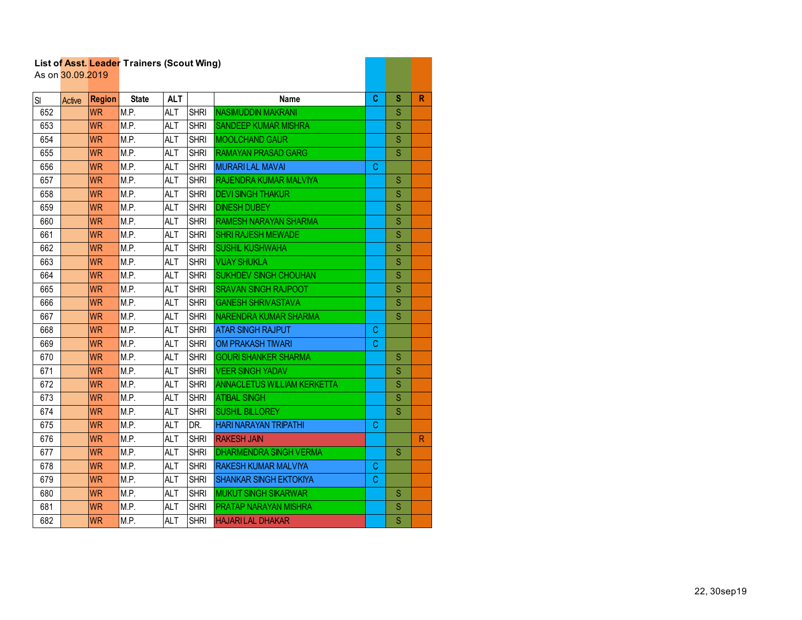|     | As on 30.09.2019 |               | List of Asst. Leader Trainers (Scout Wing) |            |             |                                    |   |                         |              |
|-----|------------------|---------------|--------------------------------------------|------------|-------------|------------------------------------|---|-------------------------|--------------|
| SI  | Active           | <b>Region</b> | <b>State</b>                               | <b>ALT</b> |             | <b>Name</b>                        | C | s                       | R            |
| 652 |                  | <b>WR</b>     | M.P.                                       | <b>ALT</b> | <b>SHRI</b> | <b>NASIMUDDIN MAKRANI</b>          |   | S                       |              |
| 653 |                  | <b>WR</b>     | M.P.                                       | ALT        | <b>SHRI</b> | <b>SANDEEP KUMAR MISHRA</b>        |   | $\overline{\mathbf{S}}$ |              |
| 654 |                  | <b>WR</b>     | M.P.                                       | <b>ALT</b> | <b>SHRI</b> | <b>MOOLCHAND GAUR</b>              |   | S                       |              |
| 655 |                  | <b>WR</b>     | M.P.                                       | <b>ALT</b> | <b>SHRI</b> | <b>RAMAYAN PRASAD GARG</b>         |   | S                       |              |
| 656 |                  | <b>WR</b>     | M.P.                                       | <b>ALT</b> | <b>SHRI</b> | <b>MURARILAL MAVAI</b>             | C |                         |              |
| 657 |                  | <b>WR</b>     | M.P.                                       | <b>ALT</b> | <b>SHRI</b> | <b>RAJENDRA KUMAR MALVIYA</b>      |   | S                       |              |
| 658 |                  | <b>WR</b>     | M.P.                                       | <b>ALT</b> | <b>SHRI</b> | <b>DEVI SINGH THAKUR</b>           |   | S                       |              |
| 659 |                  | <b>WR</b>     | M.P.                                       | <b>ALT</b> | <b>SHRI</b> | <b>DINESH DUBEY</b>                |   | S                       |              |
| 660 |                  | <b>WR</b>     | M.P.                                       | <b>ALT</b> | <b>SHRI</b> | <b>RAMESH NARAYAN SHARMA</b>       |   | S                       |              |
| 661 |                  | <b>WR</b>     | M.P.                                       | <b>ALT</b> | <b>SHRI</b> | <b>SHRI RAJESH MEWADE</b>          |   | S                       |              |
| 662 |                  | <b>WR</b>     | M.P.                                       | <b>ALT</b> | <b>SHRI</b> | <b>SUSHIL KUSHWAHA</b>             |   | S                       |              |
| 663 |                  | <b>WR</b>     | M.P.                                       | <b>ALT</b> | <b>SHRI</b> | <b>VUAY SHUKLA</b>                 |   | S                       |              |
| 664 |                  | <b>WR</b>     | M.P.                                       | <b>ALT</b> | <b>SHRI</b> | <b>SUKHDEV SINGH CHOUHAN</b>       |   | S                       |              |
| 665 |                  | <b>WR</b>     | M.P.                                       | <b>ALT</b> | <b>SHRI</b> | <b>SRAVAN SINGH RAJPOOT</b>        |   | S                       |              |
| 666 |                  | <b>WR</b>     | M.P.                                       | <b>ALT</b> | <b>SHRI</b> | <b>GANESH SHRIVASTAVA</b>          |   | S                       |              |
| 667 |                  | <b>WR</b>     | M.P.                                       | <b>ALT</b> | <b>SHRI</b> | NARENDRA KUMAR SHARMA              |   | S                       |              |
| 668 |                  | <b>WR</b>     | M.P.                                       | <b>ALT</b> | <b>SHRI</b> | <b>ATAR SINGH RAJPUT</b>           | C |                         |              |
| 669 |                  | <b>WR</b>     | M.P.                                       | <b>ALT</b> | <b>SHRI</b> | <b>OM PRAKASH TIWARI</b>           | C |                         |              |
| 670 |                  | <b>WR</b>     | M.P.                                       | <b>ALT</b> | <b>SHRI</b> | <b>GOURI SHANKER SHARMA</b>        |   | S                       |              |
| 671 |                  | <b>WR</b>     | M.P.                                       | <b>ALT</b> | <b>SHRI</b> | <b>VEER SINGH YADAV</b>            |   | S                       |              |
| 672 |                  | <b>WR</b>     | M.P.                                       | <b>ALT</b> | <b>SHRI</b> | <b>ANNACLETUS WILLIAM KERKETTA</b> |   | S                       |              |
| 673 |                  | <b>WR</b>     | M.P.                                       | <b>ALT</b> | <b>SHRI</b> | <b>ATIBAL SINGH</b>                |   | S                       |              |
| 674 |                  | <b>WR</b>     | M.P.                                       | <b>ALT</b> | <b>SHRI</b> | <b>SUSHIL BILLOREY</b>             |   | S                       |              |
| 675 |                  | <b>WR</b>     | M.P.                                       | <b>ALT</b> | DR.         | <b>HARI NARAYAN TRIPATHI</b>       | C |                         |              |
| 676 |                  | <b>WR</b>     | M.P.                                       | <b>ALT</b> | <b>SHRI</b> | <b>RAKESH JAIN</b>                 |   |                         | $\mathsf{R}$ |
| 677 |                  | <b>WR</b>     | M.P.                                       | <b>ALT</b> | <b>SHRI</b> | <b>DHARMENDRA SINGH VERMA</b>      |   | S                       |              |
| 678 |                  | <b>WR</b>     | M.P.                                       | <b>ALT</b> | <b>SHRI</b> | <b>RAKESH KUMAR MALVIYA</b>        | C |                         |              |
| 679 |                  | <b>WR</b>     | M.P.                                       | <b>ALT</b> | <b>SHRI</b> | <b>SHANKAR SINGH EKTOKIYA</b>      | C |                         |              |
| 680 |                  | <b>WR</b>     | M.P.                                       | <b>ALT</b> | <b>SHRI</b> | <b>MUKUT SINGH SIKARWAR</b>        |   | S                       |              |
| 681 |                  | <b>WR</b>     | M.P.                                       | <b>ALT</b> | <b>SHRI</b> | <b>PRATAP NARAYAN MISHRA</b>       |   | S                       |              |
| 682 |                  | <b>WR</b>     | M.P.                                       | <b>ALT</b> | <b>SHRI</b> | <b>HAJARILAL DHAKAR</b>            |   | S                       |              |

a barat da ka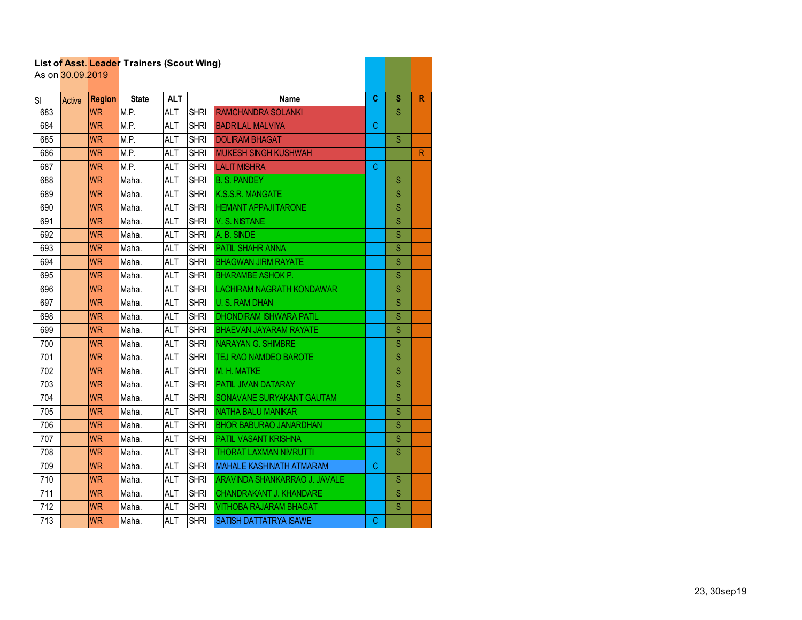|     | As on 30.09.2019 |               |              |            |             |                                  |   |             |              |
|-----|------------------|---------------|--------------|------------|-------------|----------------------------------|---|-------------|--------------|
| SI  | Active           | <b>Region</b> | <b>State</b> | <b>ALT</b> |             | <b>Name</b>                      | C | S           | $\mathbb{R}$ |
| 683 |                  | <b>WR</b>     | M.P.         | <b>ALT</b> | <b>SHRI</b> | <b>RAMCHANDRA SOLANKI</b>        |   | S           |              |
| 684 |                  | <b>WR</b>     | M.P.         | <b>ALT</b> | <b>SHRI</b> | <b>BADRILAL MALVIYA</b>          | C |             |              |
| 685 |                  | <b>WR</b>     | M.P.         | <b>ALT</b> | <b>SHRI</b> | <b>DOLIRAM BHAGAT</b>            |   | S           |              |
| 686 |                  | <b>WR</b>     | M.P.         | <b>ALT</b> | <b>SHRI</b> | <b>MUKESH SINGH KUSHWAH</b>      |   |             | $\mathsf{R}$ |
| 687 |                  | <b>WR</b>     | M.P.         | <b>ALT</b> | <b>SHRI</b> | <b>LALIT MISHRA</b>              | C |             |              |
| 688 |                  | <b>WR</b>     | Maha.        | <b>ALT</b> | <b>SHRI</b> | <b>B. S. PANDEY</b>              |   | S           |              |
| 689 |                  | <b>WR</b>     | Maha.        | <b>ALT</b> | <b>SHRI</b> | K.S.S.R. MANGATE                 |   | S           |              |
| 690 |                  | <b>WR</b>     | Maha.        | <b>ALT</b> | <b>SHRI</b> | <b>HEMANT APPAJI TARONE</b>      |   | S           |              |
| 691 |                  | <b>WR</b>     | Maha.        | <b>ALT</b> | <b>SHRI</b> | V.S. NISTANE                     |   | S           |              |
| 692 |                  | <b>WR</b>     | Maha.        | <b>ALT</b> | <b>SHRI</b> | A. B. SINDE                      |   | S           |              |
| 693 |                  | <b>WR</b>     | Maha.        | <b>ALT</b> | <b>SHRI</b> | <b>PATIL SHAHR ANNA</b>          |   | S           |              |
| 694 |                  | <b>WR</b>     | Maha.        | <b>ALT</b> | <b>SHRI</b> | <b>BHAGWAN JIRM RAYATE</b>       |   | S           |              |
| 695 |                  | <b>WR</b>     | Maha.        | <b>ALT</b> | <b>SHRI</b> | <b>BHARAMBE ASHOK P.</b>         |   | S           |              |
| 696 |                  | <b>WR</b>     | Maha.        | <b>ALT</b> | <b>SHRI</b> | <b>LACHIRAM NAGRATH KONDAWAR</b> |   | S           |              |
| 697 |                  | <b>WR</b>     | Maha.        | <b>ALT</b> | <b>SHRI</b> | <b>U.S. RAM DHAN</b>             |   | S           |              |
| 698 |                  | <b>WR</b>     | Maha.        | <b>ALT</b> | <b>SHRI</b> | <b>DHONDIRAM ISHWARA PATIL</b>   |   | S           |              |
| 699 |                  | <b>WR</b>     | Maha.        | <b>ALT</b> | <b>SHRI</b> | <b>BHAEVAN JAYARAM RAYATE</b>    |   | S           |              |
| 700 |                  | <b>WR</b>     | Maha.        | <b>ALT</b> | <b>SHRI</b> | <b>NARAYAN G. SHIMBRE</b>        |   | S           |              |
| 701 |                  | <b>WR</b>     | Maha.        | <b>ALT</b> | <b>SHRI</b> | TEJ RAO NAMDEO BAROTE            |   | $\mathbf S$ |              |
| 702 |                  | <b>WR</b>     | Maha.        | <b>ALT</b> | <b>SHRI</b> | M. H. MATKE                      |   | S           |              |
| 703 |                  | <b>WR</b>     | Maha.        | <b>ALT</b> | <b>SHRI</b> | <b>PATIL JIVAN DATARAY</b>       |   | S           |              |
| 704 |                  | <b>WR</b>     | Maha.        | <b>ALT</b> | <b>SHRI</b> | SONAVANE SURYAKANT GAUTAM        |   | S           |              |
| 705 |                  | <b>WR</b>     | Maha.        | <b>ALT</b> | <b>SHRI</b> | <b>NATHA BALU MANIKAR</b>        |   | S           |              |
| 706 |                  | <b>WR</b>     | Maha.        | <b>ALT</b> | <b>SHRI</b> | <b>BHOR BABURAO JANARDHAN</b>    |   | S           |              |
| 707 |                  | <b>WR</b>     | Maha.        | <b>ALT</b> | <b>SHRI</b> | <b>PATIL VASANT KRISHNA</b>      |   | S           |              |
| 708 |                  | <b>WR</b>     | Maha.        | <b>ALT</b> | <b>SHRI</b> | <b>THORAT LAXMAN NIVRUTTI</b>    |   | S           |              |
| 709 |                  | <b>WR</b>     | Maha.        | <b>ALT</b> | <b>SHRI</b> | <b>MAHALE KASHINATH ATMARAM</b>  | C |             |              |
| 710 |                  | <b>WR</b>     | Maha.        | <b>ALT</b> | <b>SHRI</b> | ARAVINDA SHANKARRAO J. JAVALE    |   | S           |              |
| 711 |                  | <b>WR</b>     | Maha.        | <b>ALT</b> | <b>SHRI</b> | <b>CHANDRAKANT J. KHANDARE</b>   |   | S           |              |
| 712 |                  | <b>WR</b>     | Maha.        | <b>ALT</b> | <b>SHRI</b> | <b>VITHOBA RAJARAM BHAGAT</b>    |   | S           |              |
| 713 |                  | <b>WR</b>     | Maha.        | <b>ALT</b> | <b>SHRI</b> | <b>SATISH DATTATRYA ISAWE</b>    | C |             |              |

a di Bandaria.<br>Ny faritr'ora dia GMT+1.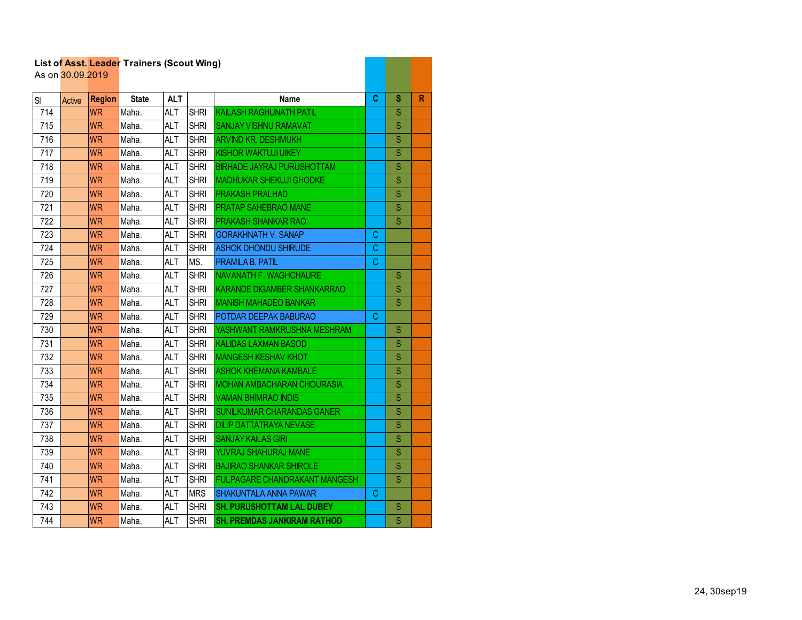|     |                  |               | List of Asst. Leader Trainers (Scout Wing) |            |             |                                      |    |             |   |
|-----|------------------|---------------|--------------------------------------------|------------|-------------|--------------------------------------|----|-------------|---|
|     | As on 30.09.2019 |               |                                            |            |             |                                      |    |             |   |
| SI  | Active           | <b>Region</b> | <b>State</b>                               | <b>ALT</b> |             | <b>Name</b>                          | C  | S           | R |
| 714 |                  | <b>WR</b>     | Maha.                                      | <b>ALT</b> | <b>SHRI</b> | <b>KAILASH RAGHUNATH PATIL</b>       |    | S           |   |
| 715 |                  | <b>WR</b>     | Maha.                                      | <b>ALT</b> | <b>SHRI</b> | <b>SANJAY VISHNU RAMAVAT</b>         |    | S           |   |
| 716 |                  | <b>WR</b>     | Maha.                                      | <b>ALT</b> | <b>SHRI</b> | <b>ARVIND KR. DESHMUKH</b>           |    | S           |   |
| 717 |                  | <b>WR</b>     | Maha.                                      | <b>ALT</b> | <b>SHRI</b> | <b>KISHOR WAKTUJI UIKEY</b>          |    | S           |   |
| 718 |                  | <b>WR</b>     | Maha.                                      | ALT        | <b>SHRI</b> | <b>BIRHADE JAYRAJ PURUSHOTTAM</b>    |    | S           |   |
| 719 |                  | <b>WR</b>     | Maha.                                      | ALT        | <b>SHRI</b> | <b>MADHUKAR SHEKUJI GHODKE</b>       |    | S           |   |
| 720 |                  | <b>WR</b>     | Maha.                                      | <b>ALT</b> | <b>SHRI</b> | <b>PRAKASH PRALHAD</b>               |    | S           |   |
| 721 |                  | <b>WR</b>     | Maha.                                      | <b>ALT</b> | <b>SHRI</b> | <b>PRATAP SAHEBRAO MANE</b>          |    | S           |   |
| 722 |                  | <b>WR</b>     | Maha.                                      | <b>ALT</b> | <b>SHRI</b> | PRAKASH SHANKAR RAO                  |    | S           |   |
| 723 |                  | <b>WR</b>     | Maha.                                      | <b>ALT</b> | <b>SHRI</b> | <b>GORAKHNATH V. SANAP</b>           | С  |             |   |
| 724 |                  | <b>WR</b>     | Maha.                                      | <b>ALT</b> | <b>SHRI</b> | <b>ASHOK DHONDU SHIRUDE</b>          | C. |             |   |
| 725 |                  | <b>WR</b>     | Maha.                                      | ALT        | MS.         | <b>PRAMILA B. PATIL</b>              | С  |             |   |
| 726 |                  | <b>WR</b>     | Maha.                                      | <b>ALT</b> | <b>SHRI</b> | NAVANATH F. WAGHCHAURE               |    | S           |   |
| 727 |                  | <b>WR</b>     | Maha.                                      | <b>ALT</b> | <b>SHRI</b> | KARANDE DIGAMBER SHANKARRAO          |    | S           |   |
| 728 |                  | <b>WR</b>     | Maha.                                      | <b>ALT</b> | <b>SHRI</b> | <b>MANISH MAHADEO BANKAR</b>         |    | S           |   |
| 729 |                  | <b>WR</b>     | Maha.                                      | <b>ALT</b> | <b>SHRI</b> | POTDAR DEEPAK BABURAO                | C  |             |   |
| 730 |                  | <b>WR</b>     | Maha.                                      | <b>ALT</b> | <b>SHRI</b> | YASHWANT RAMKRUSHNA MESHRAM          |    | S           |   |
| 731 |                  | <b>WR</b>     | Maha.                                      | ALT        | <b>SHRI</b> | <b>KALIDAS LAXMAN BASOD</b>          |    | S           |   |
| 732 |                  | <b>WR</b>     | Maha.                                      | ALT        | <b>SHRI</b> | <b>MANGESH KESHAV KHOT</b>           |    | S           |   |
| 733 |                  | <b>WR</b>     | Maha.                                      | <b>ALT</b> | <b>SHRI</b> | <b>ASHOK KHEMANA KAMBALE</b>         |    | S           |   |
| 734 |                  | <b>WR</b>     | Maha.                                      | <b>ALT</b> | <b>SHRI</b> | <b>MOHAN AMBACHARAN CHOURASIA</b>    |    | S           |   |
| 735 |                  | <b>WR</b>     | Maha.                                      | ALT        | <b>SHRI</b> | <b>VAMAN BHIMRAO INDIS</b>           |    | S           |   |
| 736 |                  | <b>WR</b>     | Maha.                                      | ALT        | <b>SHRI</b> | <b>SUNILKUMAR CHARANDAS GANER</b>    |    | $\mathbf S$ |   |
| 737 |                  | <b>WR</b>     | Maha.                                      | <b>ALT</b> | <b>SHRI</b> | <b>DILIP DATTATRAYA NEVASE</b>       |    | S           |   |
| 738 |                  | <b>WR</b>     | Maha.                                      | <b>ALT</b> | <b>SHRI</b> | <b>SANJAY KAILAS GIRI</b>            |    | S           |   |
| 739 |                  | <b>WR</b>     | Maha.                                      | <b>ALT</b> | <b>SHRI</b> | YUVRAJ SHAHURAJ MANE                 |    | S           |   |
| 740 |                  | <b>WR</b>     | Maha.                                      | <b>ALT</b> | <b>SHRI</b> | <b>BAJIRAO SHANKAR SHIROLE</b>       |    | S           |   |
| 741 |                  | <b>WR</b>     | Maha.                                      | <b>ALT</b> | <b>SHRI</b> | <b>FULPAGARE CHANDRAKANT MANGESH</b> |    | S           |   |
| 742 |                  | <b>WR</b>     | Maha.                                      | ALT        | <b>MRS</b>  | <b>SHAKUNTALA ANNA PAWAR</b>         | С  |             |   |
| 743 |                  | <b>WR</b>     | Maha.                                      | ALT        | <b>SHRI</b> | <b>SH. PURUSHOTTAM LAL DUBEY</b>     |    | S           |   |
| 744 |                  | <b>WR</b>     | Maha.                                      | <b>ALT</b> | <b>SHRI</b> | <b>SH. PREMDAS JANKIRAM RATHOD</b>   |    | S           |   |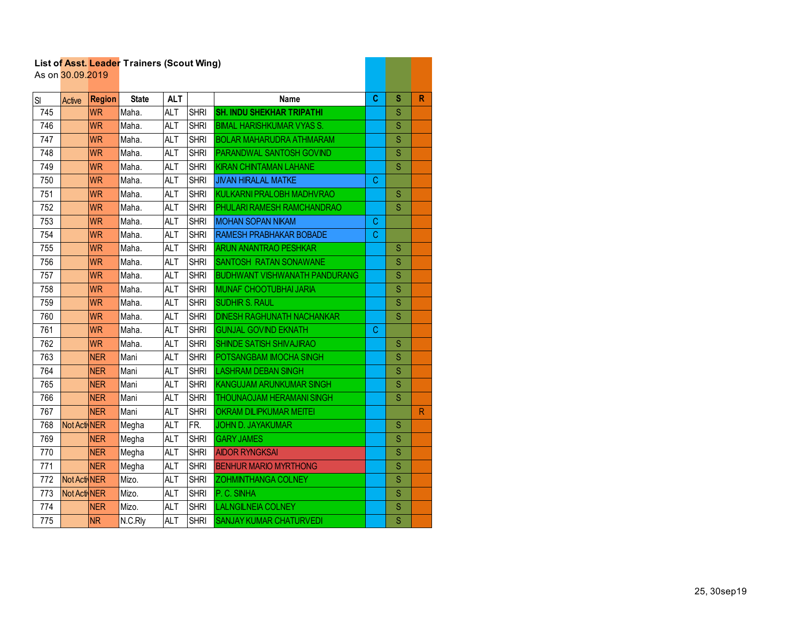|     |                  |               | List of Asst. Leader Trainers (Scout Wing) |            |             |                                      |   |                         |              |
|-----|------------------|---------------|--------------------------------------------|------------|-------------|--------------------------------------|---|-------------------------|--------------|
|     | As on 30.09.2019 |               |                                            |            |             |                                      |   |                         |              |
| SI  | Active           | <b>Region</b> | <b>State</b>                               | <b>ALT</b> |             | <b>Name</b>                          | C | s                       | R            |
| 745 |                  | <b>WR</b>     | Maha.                                      | <b>ALT</b> | <b>SHRI</b> | <b>SH. INDU SHEKHAR TRIPATHI</b>     |   | S                       |              |
| 746 |                  | <b>WR</b>     | Maha.                                      | <b>ALT</b> | <b>SHRI</b> | <b>BIMAL HARISHKUMAR VYAS S.</b>     |   | $\overline{\mathsf{S}}$ |              |
| 747 |                  | <b>WR</b>     | Maha.                                      | <b>ALT</b> | <b>SHRI</b> | <b>BOLAR MAHARUDRA ATHMARAM</b>      |   | S                       |              |
| 748 |                  | <b>WR</b>     | Maha.                                      | <b>ALT</b> | <b>SHRI</b> | PARANDWAL SANTOSH GOVIND             |   | S                       |              |
| 749 |                  | <b>WR</b>     | Maha.                                      | <b>ALT</b> | <b>SHRI</b> | <b>KIRAN CHINTAMAN LAHANE</b>        |   | S                       |              |
| 750 |                  | <b>WR</b>     | Maha.                                      | <b>ALT</b> | <b>SHRI</b> | <b>JIVAN HIRALAL MATKE</b>           | С |                         |              |
| 751 |                  | <b>WR</b>     | Maha.                                      | <b>ALT</b> | <b>SHRI</b> | KULKARNI PRALOBH MADHVRAO            |   | S                       |              |
| 752 |                  | <b>WR</b>     | Maha.                                      | <b>ALT</b> | <b>SHRI</b> | PHULARI RAMESH RAMCHANDRAO           |   | S                       |              |
| 753 |                  | <b>WR</b>     | Maha.                                      | <b>ALT</b> | <b>SHRI</b> | <b>MOHAN SOPAN NIKAM</b>             | С |                         |              |
| 754 |                  | <b>WR</b>     | Maha.                                      | <b>ALT</b> | <b>SHRI</b> | RAMESH PRABHAKAR BOBADE              | C |                         |              |
| 755 |                  | <b>WR</b>     | Maha.                                      | <b>ALT</b> | <b>SHRI</b> | <b>ARUN ANANTRAO PESHKAR</b>         |   | S                       |              |
| 756 |                  | <b>WR</b>     | Maha.                                      | <b>ALT</b> | <b>SHRI</b> | <b>SANTOSH RATAN SONAWANE</b>        |   | S                       |              |
| 757 |                  | <b>WR</b>     | Maha.                                      | <b>ALT</b> | <b>SHRI</b> | <b>BUDHWANT VISHWANATH PANDURANG</b> |   | S                       |              |
| 758 |                  | <b>WR</b>     | Maha.                                      | <b>ALT</b> | <b>SHRI</b> | <b>MUNAF CHOOTUBHAI JARIA</b>        |   | S                       |              |
| 759 |                  | <b>WR</b>     | Maha.                                      | <b>ALT</b> | <b>SHRI</b> | <b>SUDHIR S. RAUL</b>                |   | Ś                       |              |
| 760 |                  | <b>WR</b>     | Maha.                                      | <b>ALT</b> | <b>SHRI</b> | <b>DINESH RAGHUNATH NACHANKAR</b>    |   | S                       |              |
| 761 |                  | <b>WR</b>     | Maha.                                      | <b>ALT</b> | <b>SHRI</b> | <b>GUNJAL GOVIND EKNATH</b>          | С |                         |              |
| 762 |                  | <b>WR</b>     | Maha.                                      | <b>ALT</b> | <b>SHRI</b> | <b>SHINDE SATISH SHIVAJIRAO</b>      |   | S                       |              |
| 763 |                  | <b>NER</b>    | Mani                                       | <b>ALT</b> | <b>SHRI</b> | POTSANGBAM IMOCHA SINGH              |   | S                       |              |
| 764 |                  | <b>NER</b>    | Mani                                       | <b>ALT</b> | <b>SHRI</b> | <b>LASHRAM DEBAN SINGH</b>           |   | S                       |              |
| 765 |                  | <b>NER</b>    | Mani                                       | <b>ALT</b> | <b>SHRI</b> | KANGUJAM ARUNKUMAR SINGH             |   | S                       |              |
| 766 |                  | <b>NER</b>    | Mani                                       | <b>ALT</b> | <b>SHRI</b> | <b>THOUNAOJAM HERAMANI SINGH</b>     |   | S                       |              |
| 767 |                  | <b>NER</b>    | Mani                                       | <b>ALT</b> | <b>SHRI</b> | <b>OKRAM DILIPKUMAR MEITEI</b>       |   |                         | $\mathsf{R}$ |
| 768 | Not Acti NER     |               | Megha                                      | <b>ALT</b> | FR.         | <b>JOHN D. JAYAKUMAR</b>             |   | S                       |              |
| 769 |                  | <b>NER</b>    | Megha                                      | <b>ALT</b> | <b>SHRI</b> | <b>GARY JAMES</b>                    |   | S                       |              |
| 770 |                  | <b>NER</b>    | Megha                                      | <b>ALT</b> | <b>SHRI</b> | <b>AIDOR RYNGKSAI</b>                |   | Ś                       |              |
| 771 |                  | <b>NER</b>    | Megha                                      | <b>ALT</b> | <b>SHRI</b> | <b>BENHUR MARIO MYRTHONG</b>         |   | S                       |              |
| 772 | Not Acti NER     |               | Mizo.                                      | <b>ALT</b> | <b>SHRI</b> | <b>ZOHMINTHANGA COLNEY</b>           |   | S                       |              |
| 773 | Not Acti NER     |               | Mizo.                                      | <b>ALT</b> | <b>SHRI</b> | P.C. SINHA                           |   | S                       |              |
| 774 |                  | <b>NER</b>    | Mizo.                                      | <b>ALT</b> | <b>SHRI</b> | <b>LALNGILNEIA COLNEY</b>            |   | S                       |              |
| 775 |                  | <b>NR</b>     | N.C.Rly                                    | <b>ALT</b> | <b>SHRI</b> | <b>SANJAY KUMAR CHATURVEDI</b>       |   | Ś                       |              |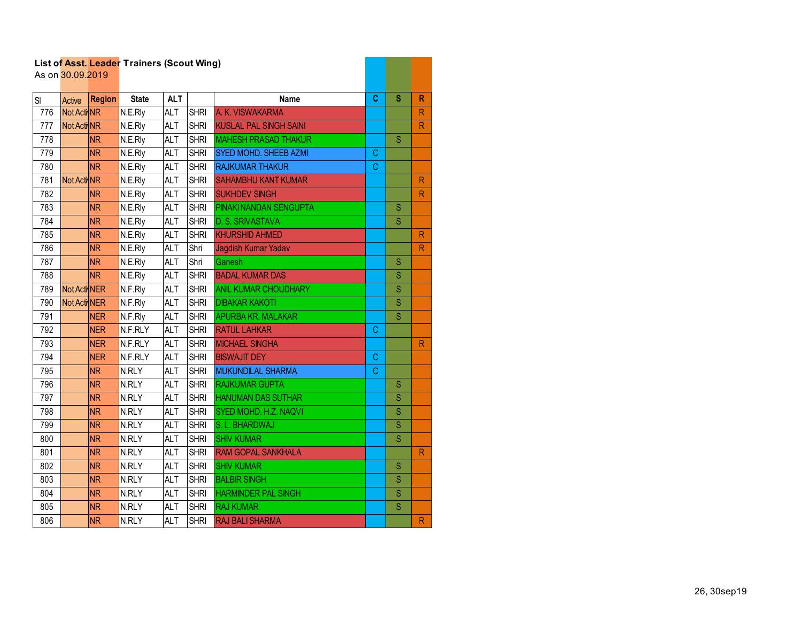|     | As on 30.09.2019 |               |              |            |             |                               |              |                         |                         |
|-----|------------------|---------------|--------------|------------|-------------|-------------------------------|--------------|-------------------------|-------------------------|
| SI  | Active           | <b>Region</b> | <b>State</b> | <b>ALT</b> |             | <b>Name</b>                   | C            | S                       | R                       |
| 776 | Not ActivNR      |               | N.E.Rly      | <b>ALT</b> | <b>SHRI</b> | A. K. VISWAKARMA              |              |                         | $\mathsf{R}$            |
| 777 | Not Acti NR      |               | N.E.Rly      | <b>ALT</b> | <b>SHRI</b> | <b>KUSLAL PAL SINGH SAINI</b> |              |                         | $\overline{\mathsf{R}}$ |
| 778 |                  | <b>NR</b>     | N.E.Rly      | <b>ALT</b> | <b>SHRI</b> | <b>MAHESH PRASAD THAKUR</b>   |              | S                       |                         |
| 779 |                  | <b>NR</b>     | N.E.Rly      | <b>ALT</b> | <b>SHRI</b> | SYED MOHD. SHEEB AZMI         | C            |                         |                         |
| 780 |                  | <b>NR</b>     | N.E.Rly      | <b>ALT</b> | <b>SHRI</b> | <b>RAJKUMAR THAKUR</b>        | C            |                         |                         |
| 781 | Not Acti NR      |               | N.E.Rly      | <b>ALT</b> | <b>SHRI</b> | <b>SAHAMBHU KANT KUMAR</b>    |              |                         | $\mathsf{R}$            |
| 782 |                  | <b>NR</b>     | N.E.Rly      | <b>ALT</b> | <b>SHRI</b> | <b>SUKHDEV SINGH</b>          |              |                         | $\overline{\mathsf{R}}$ |
| 783 |                  | <b>NR</b>     | N.E.Rly      | <b>ALT</b> | <b>SHRI</b> | PINAKI NANDAN SENGUPTA        |              | S                       |                         |
| 784 |                  | <b>NR</b>     | N.E.Rly      | <b>ALT</b> | <b>SHRI</b> | D. S. SRIVASTAVA              |              | S                       |                         |
| 785 |                  | <b>NR</b>     | N.E.Rly      | <b>ALT</b> | <b>SHRI</b> | <b>KHURSHID AHMED</b>         |              |                         | ${\sf R}$               |
| 786 |                  | <b>NR</b>     | N.E.Rly      | <b>ALT</b> | Shri        | Jagdish Kumar Yadav           |              |                         | $\mathsf{R}$            |
| 787 |                  | <b>NR</b>     | N.E.Rly      | <b>ALT</b> | Shri        | Ganesh                        |              | S                       |                         |
| 788 |                  | <b>NR</b>     | N.E.Rly      | <b>ALT</b> | <b>SHRI</b> | <b>BADAL KUMAR DAS</b>        |              | S                       |                         |
| 789 | Not Acti NER     |               | N.F.Rly      | <b>ALT</b> | <b>SHRI</b> | <b>ANIL KUMAR CHOUDHARY</b>   |              | S                       |                         |
| 790 | Not Acti NER     |               | N.F.Rly      | <b>ALT</b> | <b>SHRI</b> | <b>DIBAKAR KAKOTI</b>         |              | S                       |                         |
| 791 |                  | <b>NER</b>    | N.F.Rly      | <b>ALT</b> | <b>SHRI</b> | <b>APURBA KR. MALAKAR</b>     |              | S                       |                         |
| 792 |                  | <b>NER</b>    | N.F.RLY      | <b>ALT</b> | <b>SHRI</b> | <b>RATUL LAHKAR</b>           | C            |                         |                         |
| 793 |                  | <b>NER</b>    | N.F.RLY      | <b>ALT</b> | <b>SHRI</b> | <b>MICHAEL SINGHA</b>         |              |                         | $\mathsf{R}$            |
| 794 |                  | <b>NER</b>    | N.F.RLY      | <b>ALT</b> | <b>SHRI</b> | <b>BISWAJIT DEY</b>           | $\mathsf{C}$ |                         |                         |
| 795 |                  | <b>NR</b>     | N.RLY        | <b>ALT</b> | <b>SHRI</b> | <b>MUKUNDILAL SHARMA</b>      | C            |                         |                         |
| 796 |                  | <b>NR</b>     | N.RLY        | <b>ALT</b> | <b>SHRI</b> | <b>RAJKUMAR GUPTA</b>         |              | S                       |                         |
| 797 |                  | <b>NR</b>     | N.RLY        | <b>ALT</b> | <b>SHRI</b> | <b>HANUMAN DAS SUTHAR</b>     |              | S                       |                         |
| 798 |                  | <b>NR</b>     | N.RLY        | <b>ALT</b> | <b>SHRI</b> | SYED MOHD. H.Z. NAQVI         |              | S                       |                         |
| 799 |                  | <b>NR</b>     | N.RLY        | <b>ALT</b> | <b>SHRI</b> | S. L. BHARDWAJ                |              | S                       |                         |
| 800 |                  | <b>NR</b>     | N.RLY        | <b>ALT</b> | <b>SHRI</b> | <b>SHIV KUMAR</b>             |              | S                       |                         |
| 801 |                  | <b>NR</b>     | N.RLY        | <b>ALT</b> | <b>SHRI</b> | <b>RAM GOPAL SANKHALA</b>     |              |                         | $\mathsf{R}$            |
| 802 |                  | <b>NR</b>     | N.RLY        | <b>ALT</b> | <b>SHRI</b> | <b>SHIV KUMAR</b>             |              | $\overline{\mathbf{s}}$ |                         |
| 803 |                  | <b>NR</b>     | N.RLY        | <b>ALT</b> | <b>SHRI</b> | <b>BALBIR SINGH</b>           |              | S                       |                         |
| 804 |                  | <b>NR</b>     | N.RLY        | <b>ALT</b> | <b>SHRI</b> | <b>HARMINDER PAL SINGH</b>    |              | S                       |                         |
| 805 |                  | <b>NR</b>     | N.RLY        | <b>ALT</b> | <b>SHRI</b> | <b>RAJ KUMAR</b>              |              | $\overline{\mathbf{S}}$ |                         |
| 806 |                  | <b>NR</b>     | N.RLY        | <b>ALT</b> | <b>SHRI</b> | <b>RAJ BALI SHARMA</b>        |              |                         | $\mathsf{R}$            |

and the company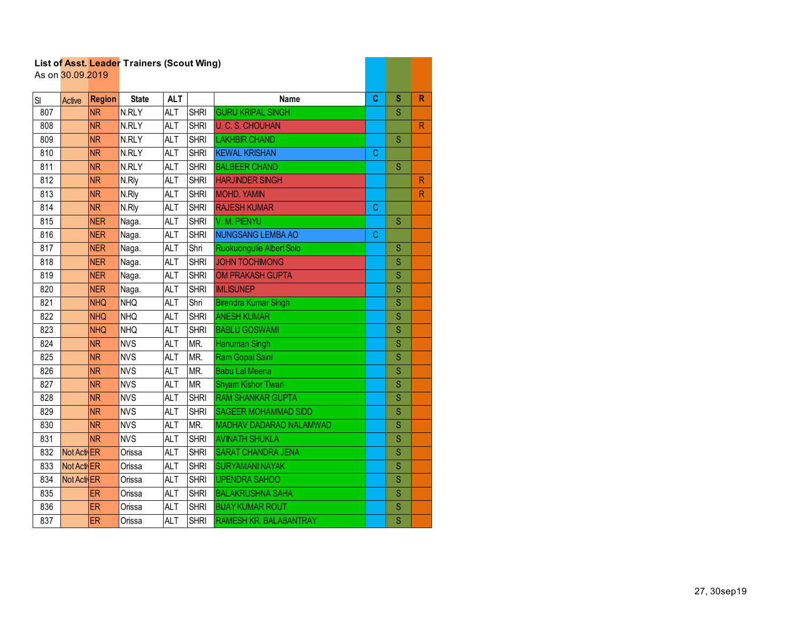|     |                  |               | List of Asst. Leader Trainers (Scout Wing) |            |             |                                |   |                         |              |
|-----|------------------|---------------|--------------------------------------------|------------|-------------|--------------------------------|---|-------------------------|--------------|
|     | As on 30.09.2019 |               |                                            |            |             |                                |   |                         |              |
| SI  | Active           | <b>Region</b> | <b>State</b>                               | <b>ALT</b> |             | <b>Name</b>                    | C | S                       | R            |
| 807 |                  | <b>NR</b>     | N.RLY                                      | <b>ALT</b> | <b>SHRI</b> | <b>GURU KRIPAL SINGH</b>       |   | S                       |              |
| 808 |                  | <b>NR</b>     | N.RLY                                      | <b>ALT</b> | <b>SHRI</b> | <b>U. C. S. CHOUHAN</b>        |   |                         | $\mathsf{R}$ |
| 809 |                  | <b>NR</b>     | N.RLY                                      | <b>ALT</b> | <b>SHRI</b> | <b>LAKHBIR CHAND</b>           |   | S                       |              |
| 810 |                  | <b>NR</b>     | N.RLY                                      | <b>ALT</b> | <b>SHRI</b> | <b>KEWAL KRISHAN</b>           | C |                         |              |
| 811 |                  | <b>NR</b>     | N.RLY                                      | <b>ALT</b> | <b>SHRI</b> | <b>BALBEER CHAND</b>           |   | $\overline{\mathsf{S}}$ |              |
| 812 |                  | <b>NR</b>     | N.Rly                                      | <b>ALT</b> | <b>SHRI</b> | <b>HARJINDER SINGH</b>         |   |                         | $\mathsf{R}$ |
| 813 |                  | <b>NR</b>     | N.Rly                                      | <b>ALT</b> | <b>SHRI</b> | <b>MOHD. YAMIN</b>             |   |                         | ${\sf R}$    |
| 814 |                  | <b>NR</b>     | N.Rly                                      | <b>ALT</b> | <b>SHRI</b> | <b>RAJESH KUMAR</b>            | С |                         |              |
| 815 |                  | <b>NER</b>    | Naga.                                      | <b>ALT</b> | <b>SHRI</b> | V. M. PIENYU                   |   | S                       |              |
| 816 |                  | <b>NER</b>    | Naga.                                      | <b>ALT</b> | <b>SHRI</b> | <b>NUNGSANG LEMBA AO</b>       | C |                         |              |
| 817 |                  | <b>NER</b>    | Naga.                                      | <b>ALT</b> | Shri        | Ruokuongulie Albert Solo       |   | S                       |              |
| 818 |                  | <b>NER</b>    | Naga.                                      | <b>ALT</b> | <b>SHRI</b> | <b>JOHN TOCHIMONG</b>          |   | S                       |              |
| 819 |                  | <b>NER</b>    | Naga.                                      | <b>ALT</b> | <b>SHRI</b> | <b>OM PRAKASH GUPTA</b>        |   | S                       |              |
| 820 |                  | <b>NER</b>    | Naga.                                      | <b>ALT</b> | <b>SHRI</b> | <b>IMLISUNEP</b>               |   | S                       |              |
| 821 |                  | <b>NHQ</b>    | <b>NHQ</b>                                 | <b>ALT</b> | Shri        | <b>Birendra Kumar Singh</b>    |   | $\overline{\mathsf{S}}$ |              |
| 822 |                  | <b>NHQ</b>    | <b>NHQ</b>                                 | <b>ALT</b> | <b>SHRI</b> | <b>ANESH KUMAR</b>             |   | S                       |              |
| 823 |                  | <b>NHQ</b>    | $\overline{\text{NHQ}}$                    | <b>ALT</b> | <b>SHRI</b> | <b>BABLU GOSWAMI</b>           |   | S                       |              |
| 824 |                  | <b>NR</b>     | <b>NVS</b>                                 | <b>ALT</b> | MR.         | Hanuman Singh                  |   | S                       |              |
| 825 |                  | <b>NR</b>     | <b>NVS</b>                                 | <b>ALT</b> | MR.         | Ram Gopal Saini                |   | S                       |              |
| 826 |                  | <b>NR</b>     | <b>NVS</b>                                 | <b>ALT</b> | MR.         | <b>Babu Lal Meena</b>          |   | S                       |              |
| 827 |                  | <b>NR</b>     | <b>NVS</b>                                 | <b>ALT</b> | <b>MR</b>   | Shyam Kishor Tiwari            |   | S                       |              |
| 828 |                  | <b>NR</b>     | <b>NVS</b>                                 | <b>ALT</b> | <b>SHRI</b> | <b>RAM SHANKAR GUPTA</b>       |   | S                       |              |
| 829 |                  | <b>NR</b>     | <b>NVS</b>                                 | <b>ALT</b> | <b>SHRI</b> | <b>SAGEER MOHAMMAD SIDD</b>    |   | S                       |              |
| 830 |                  | <b>NR</b>     | <b>NVS</b>                                 | <b>ALT</b> | MR.         | <b>MADHAV DADARAO NALAMWAD</b> |   | S                       |              |
| 831 |                  | <b>NR</b>     | <b>NVS</b>                                 | <b>ALT</b> | <b>SHRI</b> | <b>AVINATH SHUKLA</b>          |   | S                       |              |
| 832 | Not Acti ER      |               | Orissa                                     | <b>ALT</b> | <b>SHRI</b> | <b>SARAT CHANDRA JENA</b>      |   | S                       |              |
| 833 | Not Acti ER      |               | Orissa                                     | <b>ALT</b> | <b>SHRI</b> | <b>SURYAMANI NAYAK</b>         |   | $\overline{\mathsf{S}}$ |              |
| 834 | Not Acti ER      |               | Orissa                                     | <b>ALT</b> | <b>SHRI</b> | <b>UPENDRA SAHOO</b>           |   | S                       |              |
| 835 |                  | ER            | Orissa                                     | <b>ALT</b> | <b>SHRI</b> | <b>BALAKRUSHNA SAHA</b>        |   | $\overline{\mathbf{S}}$ |              |
| 836 |                  | ER            | Orissa                                     | <b>ALT</b> | <b>SHRI</b> | <b>BUAY KUMAR ROUT</b>         |   | S                       |              |
| 837 |                  | ER            | Orissa                                     | <b>ALT</b> | <b>SHRI</b> | <b>RAMESH KR. BALABANTRAY</b>  |   | S                       |              |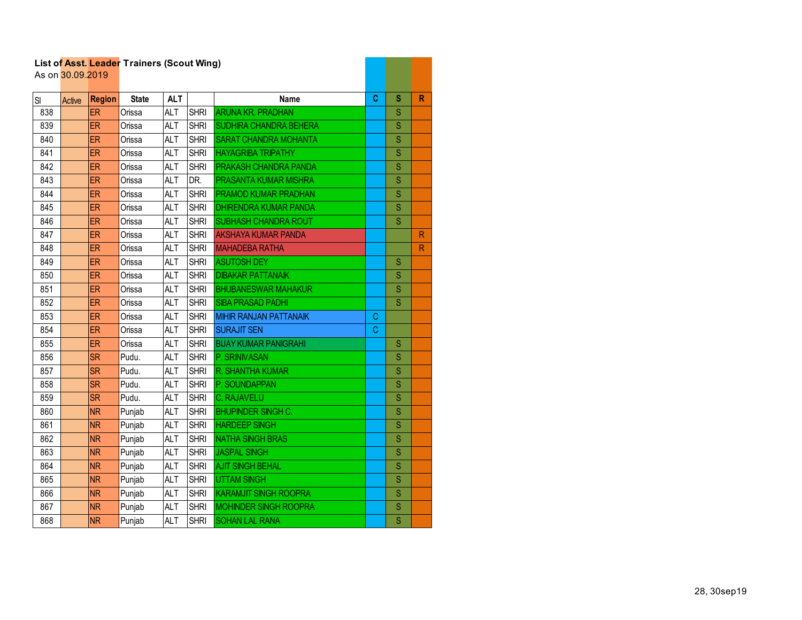|     |                  |               | List of Asst. Leader Trainers (Scout Wing) |            |             |                               |   |                         |              |
|-----|------------------|---------------|--------------------------------------------|------------|-------------|-------------------------------|---|-------------------------|--------------|
|     | As on 30.09.2019 |               |                                            |            |             |                               |   |                         |              |
| SI  | Active           | <b>Region</b> | <b>State</b>                               | <b>ALT</b> |             | Name                          | C | S                       | R            |
| 838 |                  | <b>ER</b>     | Orissa                                     | <b>ALT</b> | <b>SHRI</b> | <b>ARUNA KR. PRADHAN</b>      |   | S                       |              |
| 839 |                  | ER            | Orissa                                     | <b>ALT</b> | <b>SHRI</b> | <b>SUDHIRA CHANDRA BEHERA</b> |   | S                       |              |
| 840 |                  | ER            | Orissa                                     | <b>ALT</b> | <b>SHRI</b> | <b>SARAT CHANDRA MOHANTA</b>  |   | S                       |              |
| 841 |                  | ER            | Orissa                                     | <b>ALT</b> | <b>SHRI</b> | <b>HAYAGRIBA TRIPATHY</b>     |   | S                       |              |
| 842 |                  | ER            | Orissa                                     | <b>ALT</b> | <b>SHRI</b> | <b>PRAKASH CHANDRA PANDA</b>  |   | Ś                       |              |
| 843 |                  | <b>ER</b>     | Orissa                                     | <b>ALT</b> | DR.         | PRASANTA KUMAR MISHRA         |   | S                       |              |
| 844 |                  | ER            | Orissa                                     | <b>ALT</b> | <b>SHRI</b> | PRAMOD KUMAR PRADHAN          |   | S                       |              |
| 845 |                  | ER            | Orissa                                     | <b>ALT</b> | <b>SHRI</b> | <b>DHIRENDRA KUMAR PANDA</b>  |   | S                       |              |
| 846 |                  | ER            | Orissa                                     | <b>ALT</b> | <b>SHRI</b> | SUBHASH CHANDRA ROUT          |   | S                       |              |
| 847 |                  | ER            | Orissa                                     | <b>ALT</b> | <b>SHRI</b> | <b>AKSHAYA KUMAR PANDA</b>    |   |                         | $\mathsf{R}$ |
| 848 |                  | ER            | Orissa                                     | <b>ALT</b> | <b>SHRI</b> | <b>MAHADEBA RATHA</b>         |   |                         | $\mathsf{R}$ |
| 849 |                  | ER            | Orissa                                     | <b>ALT</b> | <b>SHRI</b> | <b>ASUTOSH DEY</b>            |   | S                       |              |
| 850 |                  | ER            | Orissa                                     | <b>ALT</b> | <b>SHRI</b> | <b>DIBAKAR PATTANAIK</b>      |   | S                       |              |
| 851 |                  | ER            | Orissa                                     | <b>ALT</b> | <b>SHRI</b> | <b>BHUBANESWAR MAHAKUR</b>    |   | Ś                       |              |
| 852 |                  | ER            | Orissa                                     | <b>ALT</b> | <b>SHRI</b> | <b>SIBA PRASAD PADHI</b>      |   | S                       |              |
| 853 |                  | ER            | Orissa                                     | <b>ALT</b> | <b>SHRI</b> | <b>MIHIR RANJAN PATTANAIK</b> | С |                         |              |
| 854 |                  | ER            | Orissa                                     | <b>ALT</b> | <b>SHRI</b> | <b>SURAJIT SEN</b>            | C |                         |              |
| 855 |                  | ER            | Orissa                                     | <b>ALT</b> | <b>SHRI</b> | <b>BIJAY KUMAR PANIGRAHI</b>  |   | S                       |              |
| 856 |                  | <b>SR</b>     | Pudu.                                      | <b>ALT</b> | <b>SHRI</b> | P. SRINIVASAN                 |   | S                       |              |
| 857 |                  | <b>SR</b>     | Pudu.                                      | <b>ALT</b> | <b>SHRI</b> | <b>R. SHANTHA KUMAR</b>       |   | Ś                       |              |
| 858 |                  | <b>SR</b>     | Pudu.                                      | <b>ALT</b> | <b>SHRI</b> | P. SOUNDAPPAN                 |   | Ś                       |              |
| 859 |                  | <b>SR</b>     | Pudu.                                      | <b>ALT</b> | <b>SHRI</b> | <b>C. RAJAVELU</b>            |   | S                       |              |
| 860 |                  | <b>NR</b>     | Punjab                                     | <b>ALT</b> | <b>SHRI</b> | <b>BHUPINDER SINGH C.</b>     |   | Ś                       |              |
| 861 |                  | <b>NR</b>     | Punjab                                     | <b>ALT</b> | <b>SHRI</b> | <b>HARDEEP SINGH</b>          |   | S                       |              |
| 862 |                  | <b>NR</b>     | Punjab                                     | <b>ALT</b> | <b>SHRI</b> | <b>NATHA SINGH BRAS</b>       |   | Ś                       |              |
| 863 |                  | <b>NR</b>     | Punjab                                     | <b>ALT</b> | <b>SHRI</b> | <b>JASPAL SINGH</b>           |   | S                       |              |
| 864 |                  | <b>NR</b>     | Punjab                                     | <b>ALT</b> | <b>SHRI</b> | <b>AJIT SINGH BEHAL</b>       |   | $\overline{\mathsf{S}}$ |              |
| 865 |                  | <b>NR</b>     | Punjab                                     | <b>ALT</b> | <b>SHRI</b> | <b>UTTAM SINGH</b>            |   | S                       |              |
| 866 |                  | <b>NR</b>     | Punjab                                     | <b>ALT</b> | <b>SHRI</b> | <b>KARAMJIT SINGH ROOPRA</b>  |   | S                       |              |
| 867 |                  | <b>NR</b>     | Punjab                                     | <b>ALT</b> | <b>SHRI</b> | <b>MOHINDER SINGH ROOPRA</b>  |   | S                       |              |
| 868 |                  | <b>NR</b>     | Punjab                                     | <b>ALT</b> | <b>SHRI</b> | <b>SOHAN LAL RANA</b>         |   | $\overline{\mathsf{S}}$ |              |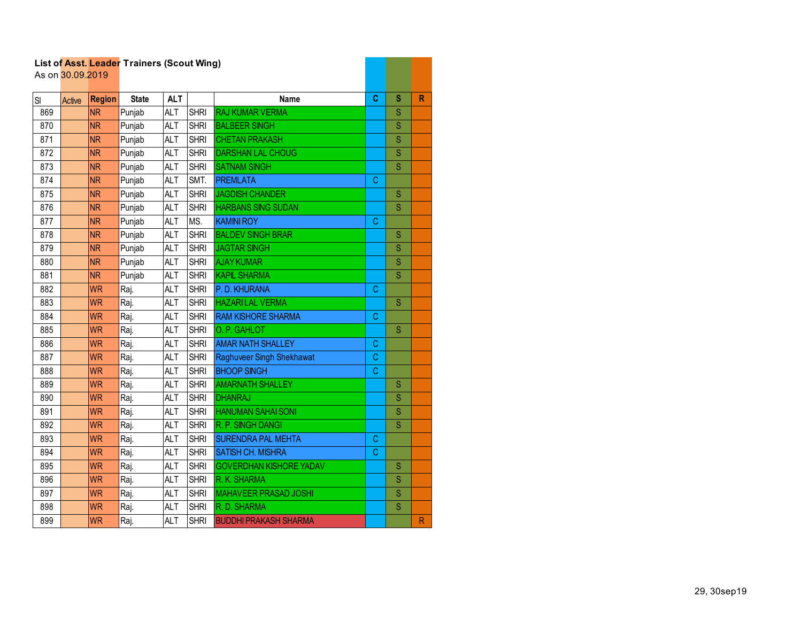|     | List of Asst. Leader Traillers (Scout Willy)<br>As on 30.09.2019 |               |              |            |             |                                |             |                         |              |
|-----|------------------------------------------------------------------|---------------|--------------|------------|-------------|--------------------------------|-------------|-------------------------|--------------|
| SI  | Active                                                           | <b>Region</b> | <b>State</b> | <b>ALT</b> |             | <b>Name</b>                    | C           | S                       | $\mathsf{R}$ |
| 869 |                                                                  | <b>NR</b>     | Punjab       | <b>ALT</b> | <b>SHRI</b> | <b>RAJ KUMAR VERMA</b>         |             | S                       |              |
| 870 |                                                                  | <b>NR</b>     | Punjab       | ALT        | <b>SHRI</b> | <b>BALBEER SINGH</b>           |             | S                       |              |
| 871 |                                                                  | <b>NR</b>     | Punjab       | <b>ALT</b> | <b>SHRI</b> | <b>CHETAN PRAKASH</b>          |             | S                       |              |
| 872 |                                                                  | <b>NR</b>     | Punjab       | <b>ALT</b> | <b>SHRI</b> | <b>DARSHAN LAL CHOUG</b>       |             | $\overline{\mathbf{S}}$ |              |
| 873 |                                                                  | <b>NR</b>     | Punjab       | <b>ALT</b> | <b>SHRI</b> | <b>SATNAM SINGH</b>            |             | S                       |              |
| 874 |                                                                  | <b>NR</b>     | Punjab       | <b>ALT</b> | SMT.        | <b>PREMLATA</b>                | C           |                         |              |
| 875 |                                                                  | <b>NR</b>     | Punjab       | <b>ALT</b> | <b>SHRI</b> | <b>JAGDISH CHANDER</b>         |             | S                       |              |
| 876 |                                                                  | <b>NR</b>     | Punjab       | <b>ALT</b> | <b>SHRI</b> | <b>HARBANS SING SUDAN</b>      |             | S                       |              |
| 877 |                                                                  | <b>NR</b>     | Punjab       | <b>ALT</b> | MS.         | <b>KAMINI ROY</b>              | C           |                         |              |
| 878 |                                                                  | <b>NR</b>     | Punjab       | <b>ALT</b> | <b>SHRI</b> | <b>BALDEV SINGH BRAR</b>       |             | S                       |              |
| 879 |                                                                  | <b>NR</b>     | Punjab       | <b>ALT</b> | <b>SHRI</b> | <b>JAGTAR SINGH</b>            |             | S                       |              |
| 880 |                                                                  | <b>NR</b>     | Punjab       | <b>ALT</b> | <b>SHRI</b> | <b>AJAY KUMAR</b>              |             | Ś                       |              |
| 881 |                                                                  | NR.           | Punjab       | <b>ALT</b> | <b>SHRI</b> | <b>KAPIL SHARMA</b>            |             | $\overline{\mathbf{S}}$ |              |
| 882 |                                                                  | <b>WR</b>     | Raj.         | <b>ALT</b> | <b>SHRI</b> | P. D. KHURANA                  | C           |                         |              |
| 883 |                                                                  | <b>WR</b>     | Raj.         | <b>ALT</b> | <b>SHRI</b> | <b>HAZARILAL VERMA</b>         |             | S                       |              |
| 884 |                                                                  | <b>WR</b>     | Raj.         | <b>ALT</b> | <b>SHRI</b> | <b>RAM KISHORE SHARMA</b>      | $\mathsf C$ |                         |              |
| 885 |                                                                  | <b>WR</b>     | Raj.         | <b>ALT</b> | <b>SHRI</b> | O. P. GAHLOT                   |             | S                       |              |
| 886 |                                                                  | <b>WR</b>     | Raj.         | <b>ALT</b> | <b>SHRI</b> | <b>AMAR NATH SHALLEY</b>       | C           |                         |              |
| 887 |                                                                  | <b>WR</b>     | Raj.         | <b>ALT</b> | <b>SHRI</b> | Raghuveer Singh Shekhawat      | С           |                         |              |
| 888 |                                                                  | <b>WR</b>     | Raj.         | <b>ALT</b> | <b>SHRI</b> | <b>BHOOP SINGH</b>             | C           |                         |              |
| 889 |                                                                  | <b>WR</b>     | Raj.         | <b>ALT</b> | <b>SHRI</b> | <b>AMARNATH SHALLEY</b>        |             | S                       |              |
| 890 |                                                                  | <b>WR</b>     | Raj.         | <b>ALT</b> | <b>SHRI</b> | <b>DHANRAJ</b>                 |             | S                       |              |
| 891 |                                                                  | <b>WR</b>     | Raj.         | <b>ALT</b> | <b>SHRI</b> | <b>HANUMAN SAHAI SONI</b>      |             | Ś                       |              |
| 892 |                                                                  | <b>WR</b>     | Raj.         | <b>ALT</b> | <b>SHRI</b> | R. P. SINGH DANGI              |             | S                       |              |
| 893 |                                                                  | <b>WR</b>     | Raj.         | <b>ALT</b> | <b>SHRI</b> | <b>SURENDRA PAL MEHTA</b>      | $\mathsf C$ |                         |              |
| 894 |                                                                  | <b>WR</b>     | Raj.         | <b>ALT</b> | <b>SHRI</b> | <b>SATISH CH. MISHRA</b>       | $\mathbf C$ |                         |              |
| 895 |                                                                  | <b>WR</b>     | Raj.         | <b>ALT</b> | <b>SHRI</b> | <b>GOVERDHAN KISHORE YADAV</b> |             | S                       |              |
| 896 |                                                                  | <b>WR</b>     | Raj.         | <b>ALT</b> | <b>SHRI</b> | R. K. SHARMA                   |             | $\overline{\mathsf{S}}$ |              |
| 897 |                                                                  | <b>WR</b>     | Raj.         | <b>ALT</b> | <b>SHRI</b> | <b>MAHAVEER PRASAD JOSHI</b>   |             | S                       |              |
| 898 |                                                                  | <b>WR</b>     | Raj.         | <b>ALT</b> | <b>SHRI</b> | R. D. SHARMA                   |             | S                       |              |
| 899 |                                                                  | <b>WR</b>     | Raj.         | <b>ALT</b> | <b>SHRI</b> | <b>BUDDHI PRAKASH SHARMA</b>   |             |                         | $\mathsf{R}$ |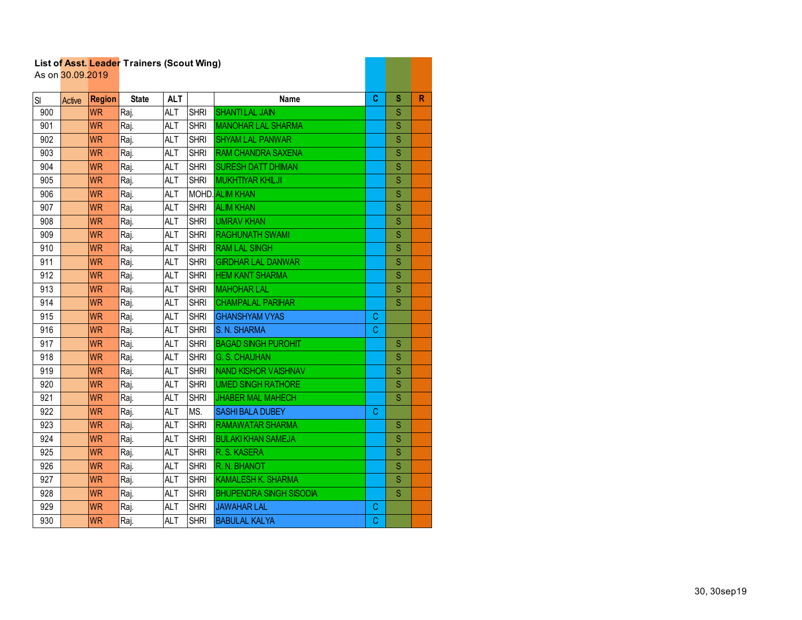|     | As on 30.09.2019 |               | List of Asst. Leader Trainers (Scout Wing) |            |             |                                |   |             |   |
|-----|------------------|---------------|--------------------------------------------|------------|-------------|--------------------------------|---|-------------|---|
|     |                  |               |                                            |            |             |                                |   |             |   |
| SI  | Active           | <b>Region</b> | <b>State</b>                               | <b>ALT</b> |             | <b>Name</b>                    | C | s           | R |
| 900 |                  | <b>WR</b>     | Raj.                                       | <b>ALT</b> | <b>SHRI</b> | <b>SHANTILAL JAIN</b>          |   | S           |   |
| 901 |                  | <b>WR</b>     | Raj.                                       | <b>ALT</b> | <b>SHRI</b> | <b>MANOHAR LAL SHARMA</b>      |   | S           |   |
| 902 |                  | <b>WR</b>     | Raj.                                       | <b>ALT</b> | <b>SHRI</b> | <b>SHYAM LAL PANWAR</b>        |   | S           |   |
| 903 |                  | <b>WR</b>     | Raj.                                       | <b>ALT</b> | <b>SHRI</b> | <b>RAM CHANDRA SAXENA</b>      |   | S           |   |
| 904 |                  | <b>WR</b>     | Raj.                                       | <b>ALT</b> | <b>SHRI</b> | <b>SURESH DATT DHIMAN</b>      |   | S           |   |
| 905 |                  | <b>WR</b>     | Raj.                                       | <b>ALT</b> | <b>SHRI</b> | <b>MUKHTIYAR KHILJI</b>        |   | S           |   |
| 906 |                  | <b>WR</b>     | Raj.                                       | <b>ALT</b> |             | <b>MOHD.</b> ALIM KHAN         |   | S           |   |
| 907 |                  | <b>WR</b>     | Raj.                                       | <b>ALT</b> | <b>SHRI</b> | <b>ALIM KHAN</b>               |   | S           |   |
| 908 |                  | <b>WR</b>     | Raj.                                       | <b>ALT</b> | <b>SHRI</b> | <b>UMRAV KHAN</b>              |   | S           |   |
| 909 |                  | <b>WR</b>     | Raj.                                       | <b>ALT</b> | <b>SHRI</b> | <b>RAGHUNATH SWAMI</b>         |   | S           |   |
| 910 |                  | <b>WR</b>     | Raj.                                       | <b>ALT</b> | <b>SHRI</b> | <b>RAM LAL SINGH</b>           |   | S           |   |
| 911 |                  | <b>WR</b>     | Raj.                                       | <b>ALT</b> | <b>SHRI</b> | <b>GIRDHAR LAL DANWAR</b>      |   | $\mathbf S$ |   |
| 912 |                  | <b>WR</b>     | Raj.                                       | <b>ALT</b> | <b>SHRI</b> | <b>HEM KANT SHARMA</b>         |   | S           |   |
| 913 |                  | <b>WR</b>     | Raj.                                       | <b>ALT</b> | <b>SHRI</b> | <b>MAHOHAR LAL</b>             |   | S           |   |
| 914 |                  | <b>WR</b>     | Raj.                                       | <b>ALT</b> | <b>SHRI</b> | <b>CHAMPALAL PARIHAR</b>       |   | S           |   |
| 915 |                  | <b>WR</b>     | Raj.                                       | <b>ALT</b> | <b>SHRI</b> | <b>GHANSHYAM VYAS</b>          | C |             |   |
| 916 |                  | <b>WR</b>     | Raj.                                       | ALT        | <b>SHRI</b> | S. N. SHARMA                   | C |             |   |
| 917 |                  | <b>WR</b>     | Raj.                                       | ALT        | <b>SHRI</b> | <b>BAGAD SINGH PUROHIT</b>     |   | S           |   |
| 918 |                  | <b>WR</b>     | Raj.                                       | <b>ALT</b> | <b>SHRI</b> | <b>G. S. CHAUHAN</b>           |   | S           |   |
| 919 |                  | <b>WR</b>     | Raj.                                       | <b>ALT</b> | <b>SHRI</b> | NAND KISHOR VAISHNAV           |   | S           |   |
| 920 |                  | <b>WR</b>     | Raj.                                       | <b>ALT</b> | <b>SHRI</b> | <b>UMED SINGH RATHORE</b>      |   | S           |   |
| 921 |                  | <b>WR</b>     | Raj.                                       | <b>ALT</b> | <b>SHRI</b> | <b>JHABER MAL MAHECH</b>       |   | S           |   |
| 922 |                  | <b>WR</b>     | Raj.                                       | <b>ALT</b> | MS.         | <b>SASHI BALA DUBEY</b>        | C |             |   |
| 923 |                  | <b>WR</b>     | Raj.                                       | ALT        | <b>SHRI</b> | <b>RAMAWATAR SHARMA</b>        |   | S           |   |
| 924 |                  | <b>WR</b>     | Raj.                                       | <b>ALT</b> | <b>SHRI</b> | <b>BULAKI KHAN SAMEJA</b>      |   | S           |   |
| 925 |                  | <b>WR</b>     | Raj.                                       | <b>ALT</b> | <b>SHRI</b> | R. S. KASERA                   |   | S           |   |
| 926 |                  | <b>WR</b>     | Raj.                                       | <b>ALT</b> | <b>SHRI</b> | R. N. BHANOT                   |   | S           |   |
| 927 |                  | <b>WR</b>     | Raj.                                       | <b>ALT</b> | <b>SHRI</b> | <b>KAMALESH K. SHARMA</b>      |   | S           |   |
| 928 |                  | <b>WR</b>     | Raj.                                       | <b>ALT</b> | <b>SHRI</b> | <b>BHUPENDRA SINGH SISODIA</b> |   | S           |   |
| 929 |                  | <b>WR</b>     | Raj.                                       | <b>ALT</b> | <b>SHRI</b> | <b>JAWAHAR LAL</b>             | С |             |   |
| 930 |                  | <b>WR</b>     | Raj.                                       | <b>ALT</b> | <b>SHRI</b> | <b>BABULAL KALYA</b>           | C |             |   |

and the control of the control of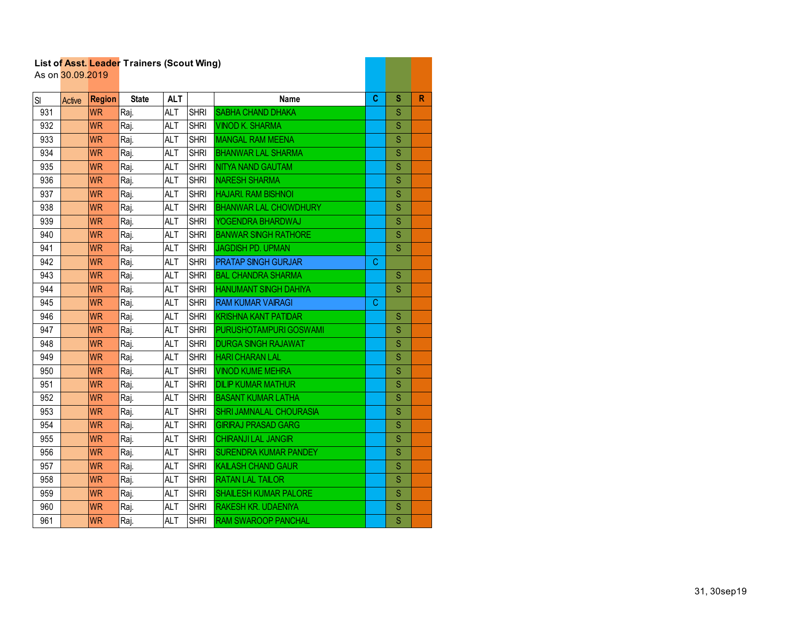|     | As on 30.09.2019 |               | List of Asst. Leader Trainers (Scout Wing) |            |             |                                |   |             |   |
|-----|------------------|---------------|--------------------------------------------|------------|-------------|--------------------------------|---|-------------|---|
| SI  | Active           | <b>Region</b> | <b>State</b>                               | <b>ALT</b> |             | Name                           | C | S           | R |
| 931 |                  | <b>WR</b>     | Raj.                                       | <b>ALT</b> | <b>SHRI</b> | <b>SABHA CHAND DHAKA</b>       |   | S           |   |
| 932 |                  | <b>WR</b>     | Raj.                                       | <b>ALT</b> | <b>SHRI</b> | <b>VINOD K. SHARMA</b>         |   | $\mathbf S$ |   |
| 933 |                  | <b>WR</b>     | Raj.                                       | <b>ALT</b> | <b>SHRI</b> | <b>MANGAL RAM MEENA</b>        |   | $\mathbf S$ |   |
| 934 |                  | <b>WR</b>     | Raj.                                       | <b>ALT</b> | <b>SHRI</b> | <b>BHANWAR LAL SHARMA</b>      |   | S           |   |
| 935 |                  | <b>WR</b>     | Raj.                                       | <b>ALT</b> | <b>SHRI</b> | NITYA NAND GAUTAM              |   | S           |   |
| 936 |                  | <b>WR</b>     | Raj.                                       | <b>ALT</b> | <b>SHRI</b> | <b>NARESH SHARMA</b>           |   | S           |   |
| 937 |                  | <b>WR</b>     | Raj.                                       | ALT        | <b>SHRI</b> | <b>HAJARI. RAM BISHNOI</b>     |   | S           |   |
| 938 |                  | <b>WR</b>     | Raj.                                       | ALT        | <b>SHRI</b> | <b>BHANWAR LAL CHOWDHURY</b>   |   | S           |   |
| 939 |                  | <b>WR</b>     | Raj.                                       | <b>ALT</b> | <b>SHRI</b> | YOGENDRA BHARDWAJ              |   | S           |   |
| 940 |                  | <b>WR</b>     | Raj.                                       | <b>ALT</b> | <b>SHRI</b> | <b>BANWAR SINGH RATHORE</b>    |   | S           |   |
| 941 |                  | <b>WR</b>     | Raj.                                       | <b>ALT</b> | <b>SHRI</b> | JAGDISH PD. UPMAN              |   | S           |   |
| 942 |                  | <b>WR</b>     | Raj.                                       | <b>ALT</b> | <b>SHRI</b> | <b>PRATAP SINGH GURJAR</b>     | C |             |   |
| 943 |                  | <b>WR</b>     | Raj.                                       | ALT        | <b>SHRI</b> | <b>BAL CHANDRA SHARMA</b>      |   | S           |   |
| 944 |                  | <b>WR</b>     | Raj.                                       | <b>ALT</b> | <b>SHRI</b> | <b>HANUMANT SINGH DAHIYA</b>   |   | S           |   |
| 945 |                  | <b>WR</b>     | Raj.                                       | <b>ALT</b> | <b>SHRI</b> | <b>RAM KUMAR VAIRAGI</b>       | C |             |   |
| 946 |                  | <b>WR</b>     | Raj.                                       | <b>ALT</b> | <b>SHRI</b> | <b>KRISHNA KANT PATIDAR</b>    |   | S           |   |
| 947 |                  | <b>WR</b>     | Raj.                                       | <b>ALT</b> | <b>SHRI</b> | PURUSHOTAMPURI GOSWAMI         |   | Ś           |   |
| 948 |                  | <b>WR</b>     | Raj.                                       | <b>ALT</b> | <b>SHRI</b> | <b>DURGA SINGH RAJAWAT</b>     |   | $\mathbf S$ |   |
| 949 |                  | <b>WR</b>     | Raj.                                       | <b>ALT</b> | <b>SHRI</b> | <b>HARI CHARAN LAL</b>         |   | $\mathbf S$ |   |
| 950 |                  | <b>WR</b>     | Raj.                                       | <b>ALT</b> | <b>SHRI</b> | <b>VINOD KUME MEHRA</b>        |   | S           |   |
| 951 |                  | <b>WR</b>     | Raj.                                       | <b>ALT</b> | <b>SHRI</b> | <b>DILIP KUMAR MATHUR</b>      |   | S           |   |
| 952 |                  | <b>WR</b>     | Raj.                                       | <b>ALT</b> | <b>SHRI</b> | <b>BASANT KUMAR LATHA</b>      |   | S           |   |
| 953 |                  | <b>WR</b>     | Raj.                                       | <b>ALT</b> | <b>SHRI</b> | <b>SHRI JAMNALAL CHOURASIA</b> |   | S           |   |
| 954 |                  | WR.           | Raj.                                       | ALT        | <b>SHRI</b> | <b>GIRIRAJ PRASAD GARG</b>     |   | S           |   |
| 955 |                  | <b>WR</b>     | Raj.                                       | <b>ALT</b> | <b>SHRI</b> | <b>CHIRANJILAL JANGIR</b>      |   | S           |   |
| 956 |                  | <b>WR</b>     | Raj.                                       | <b>ALT</b> | <b>SHRI</b> | <b>SURENDRA KUMAR PANDEY</b>   |   | Ś           |   |
| 957 |                  | <b>WR</b>     | Raj.                                       | <b>ALT</b> | <b>SHRI</b> | KAILASH CHAND GAUR             |   | S           |   |
| 958 |                  | <b>WR</b>     | Raj.                                       | <b>ALT</b> | <b>SHRI</b> | <b>RATAN LAL TAILOR</b>        |   | S           |   |
| 959 |                  | <b>WR</b>     | Raj.                                       | ALT        | <b>SHRI</b> | <b>SHAILESH KUMAR PALORE</b>   |   | S           |   |
| 960 |                  | <b>WR</b>     | Raj.                                       | <b>ALT</b> | <b>SHRI</b> | <b>RAKESH KR. UDAENIYA</b>     |   | $\mathbf S$ |   |
| 961 |                  | <b>WR</b>     | Raj.                                       | <b>ALT</b> | <b>SHRI</b> | <b>RAM SWAROOP PANCHAL</b>     |   | S           |   |

**Contract Contract Contract**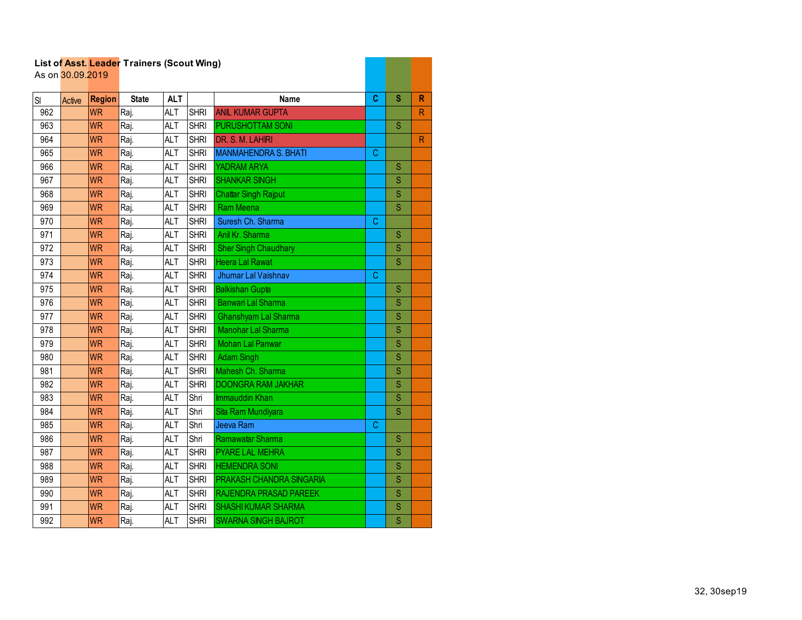|           | As on 30.09.2019 |               |              |            |             |                             |   |                         |                         |
|-----------|------------------|---------------|--------------|------------|-------------|-----------------------------|---|-------------------------|-------------------------|
| <b>SI</b> | Active           | <b>Region</b> | <b>State</b> | <b>ALT</b> |             | <b>Name</b>                 | C | S                       | $\mathsf{R}$            |
| 962       |                  | <b>WR</b>     | Raj.         | <b>ALT</b> | <b>SHRI</b> | <b>ANIL KUMAR GUPTA</b>     |   |                         | ${\sf R}$               |
| 963       |                  | <b>WR</b>     | Raj.         | <b>ALT</b> | <b>SHRI</b> | PURUSHOTTAM SONI            |   | S                       |                         |
| 964       |                  | <b>WR</b>     | Raj.         | <b>ALT</b> | <b>SHRI</b> | DR. S. M. LAHIRI            |   |                         | $\overline{\mathsf{R}}$ |
| 965       |                  | <b>WR</b>     | Raj.         | <b>ALT</b> | <b>SHRI</b> | <b>MANMAHENDRA S. BHATI</b> | C |                         |                         |
| 966       |                  | <b>WR</b>     | Raj.         | <b>ALT</b> | <b>SHRI</b> | YADRAM ARYA                 |   | S                       |                         |
| 967       |                  | <b>WR</b>     | Raj.         | <b>ALT</b> | <b>SHRI</b> | <b>SHANKAR SINGH</b>        |   | S                       |                         |
| 968       |                  | <b>WR</b>     | Raj.         | <b>ALT</b> | <b>SHRI</b> | <b>Chattar Singh Rajput</b> |   | S                       |                         |
| 969       |                  | <b>WR</b>     | Raj.         | <b>ALT</b> | <b>SHRI</b> | <b>Ram Meena</b>            |   | S                       |                         |
| 970       |                  | <b>WR</b>     | Raj.         | <b>ALT</b> | <b>SHRI</b> | Suresh Ch. Sharma           | C |                         |                         |
| 971       |                  | <b>WR</b>     | Raj.         | <b>ALT</b> | <b>SHRI</b> | Anil Kr. Sharma             |   | S                       |                         |
| 972       |                  | <b>WR</b>     | Raj.         | <b>ALT</b> | <b>SHRI</b> | <b>Sher Singh Chaudhary</b> |   | S                       |                         |
| 973       |                  | <b>WR</b>     | Raj.         | <b>ALT</b> | <b>SHRI</b> | <b>Heera Lal Rawat</b>      |   | $\overline{\mathsf{S}}$ |                         |
| 974       |                  | <b>WR</b>     | Raj.         | <b>ALT</b> | <b>SHRI</b> | Jhumar Lal Vaishnav         | C |                         |                         |
| 975       |                  | <b>WR</b>     | Raj.         | <b>ALT</b> | <b>SHRI</b> | <b>Balkishan Gupta</b>      |   | S                       |                         |
| 976       |                  | <b>WR</b>     | Raj.         | <b>ALT</b> | <b>SHRI</b> | <b>Banwari Lal Sharma</b>   |   | S                       |                         |
| 977       |                  | <b>WR</b>     | Raj.         | <b>ALT</b> | <b>SHRI</b> | Ghanshyam Lal Sharma        |   | S                       |                         |
| 978       |                  | <b>WR</b>     | Raj.         | <b>ALT</b> | <b>SHRI</b> | Manohar Lal Sharma          |   | S                       |                         |
| 979       |                  | <b>WR</b>     | Raj.         | <b>ALT</b> | <b>SHRI</b> | <b>Mohan Lal Panwar</b>     |   | S                       |                         |
| 980       |                  | <b>WR</b>     | Raj.         | <b>ALT</b> | <b>SHRI</b> | <b>Adam Singh</b>           |   | S                       |                         |
| 981       |                  | <b>WR</b>     | Raj.         | <b>ALT</b> | <b>SHRI</b> | Mahesh Ch. Sharma           |   | S                       |                         |
| 982       |                  | <b>WR</b>     | Raj.         | <b>ALT</b> | <b>SHRI</b> | <b>DOONGRA RAM JAKHAR</b>   |   | S                       |                         |
| 983       |                  | <b>WR</b>     | Raj.         | <b>ALT</b> | Shri        | <b>Immauddin Khan</b>       |   | S                       |                         |
| 984       |                  | <b>WR</b>     | Raj.         | <b>ALT</b> | Shri        | Sita Ram Mundiyara          |   | $\overline{\mathsf{S}}$ |                         |
| 985       |                  | <b>WR</b>     | Raj.         | <b>ALT</b> | Shri        | Jeeva Ram                   | C |                         |                         |
| 986       |                  | <b>WR</b>     | Raj.         | <b>ALT</b> | Shri        | Ramawatar Sharma            |   | S                       |                         |
| 987       |                  | <b>WR</b>     | Raj.         | <b>ALT</b> | <b>SHRI</b> | <b>PYARE LAL MEHRA</b>      |   | S                       |                         |
| 988       |                  | <b>WR</b>     | Raj.         | <b>ALT</b> | <b>SHRI</b> | <b>HEMENDRA SONI</b>        |   | $\overline{\mathbf{S}}$ |                         |
| 989       |                  | <b>WR</b>     | Raj.         | <b>ALT</b> | <b>SHRI</b> | PRAKASH CHANDRA SINGARIA    |   | S                       |                         |
| 990       |                  | <b>WR</b>     | Raj.         | <b>ALT</b> | <b>SHRI</b> | RAJENDRA PRASAD PAREEK      |   | S                       |                         |
| 991       |                  | <b>WR</b>     | Raj.         | <b>ALT</b> | <b>SHRI</b> | <b>SHASHI KUMAR SHARMA</b>  |   | S                       |                         |
| 992       |                  | <b>WR</b>     | Raj.         | <b>ALT</b> | <b>SHRI</b> | <b>SWARNA SINGH BAJROT</b>  |   | $\overline{\mathsf{S}}$ |                         |

a di Bandaria di Bandaria (Bandaria)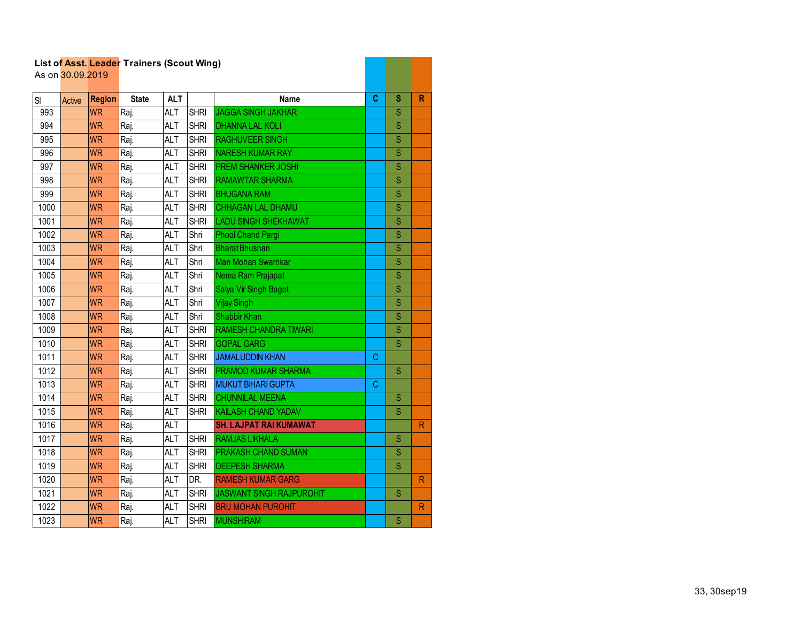|      | As on 30.09.2019 |               | List of Asst. Leader Trainers (Scout Wing) |            |             |                                 |   |                         |              |
|------|------------------|---------------|--------------------------------------------|------------|-------------|---------------------------------|---|-------------------------|--------------|
| SI   | <b>Active</b>    | <b>Region</b> | <b>State</b>                               | <b>ALT</b> |             | <b>Name</b>                     | C | S                       | R            |
| 993  |                  | <b>WR</b>     | Raj.                                       | <b>ALT</b> | <b>SHRI</b> | <b>JAGGA SINGH JAKHAR</b>       |   | S                       |              |
| 994  |                  | <b>WR</b>     | Raj.                                       | <b>ALT</b> | <b>SHRI</b> | <b>DHANNA LAL KOLI</b>          |   | $\overline{\mathbf{S}}$ |              |
| 995  |                  | <b>WR</b>     | Raj.                                       | <b>ALT</b> | <b>SHRI</b> | <b>RAGHUVEER SINGH</b>          |   | S                       |              |
| 996  |                  | <b>WR</b>     | Raj.                                       | <b>ALT</b> | <b>SHRI</b> | NARESH KUMAR RAY                |   | S                       |              |
| 997  |                  | <b>WR</b>     | Raj.                                       | <b>ALT</b> | <b>SHRI</b> | PREM SHANKER JOSHI              |   | S                       |              |
| 998  |                  | <b>WR</b>     | Raj.                                       | <b>ALT</b> | <b>SHRI</b> | <b>RAMAWTAR SHARMA</b>          |   | S                       |              |
| 999  |                  | <b>WR</b>     | Raj.                                       | <b>ALT</b> | <b>SHRI</b> | <b>BHUGANA RAM</b>              |   | S                       |              |
| 1000 |                  | <b>WR</b>     | Raj.                                       | <b>ALT</b> | <b>SHRI</b> | <b>CHHAGAN LAL DHAMU</b>        |   | S                       |              |
| 1001 |                  | <b>WR</b>     | Raj.                                       | <b>ALT</b> | <b>SHRI</b> | <b>LADU SINGH SHEKHAWAT</b>     |   | S                       |              |
| 1002 |                  | <b>WR</b>     | Raj.                                       | <b>ALT</b> | Shri        | <b>Phool Chand Pargi</b>        |   | S                       |              |
| 1003 |                  | <b>WR</b>     | Raj.                                       | <b>ALT</b> | Shri        | <b>Bharat Bhushan</b>           |   | S                       |              |
| 1004 |                  | <b>WR</b>     | Raj.                                       | <b>ALT</b> | Shri        | <b>Man Mohan Swarnkar</b>       |   | S                       |              |
| 1005 |                  | <b>WR</b>     | Raj.                                       | <b>ALT</b> | Shri        | Nema Ram Prajapat               |   | $\overline{\mathbf{S}}$ |              |
| 1006 |                  | <b>WR</b>     | Raj.                                       | <b>ALT</b> | Shri        | Satya Vir Singh Bagot           |   | S                       |              |
| 1007 |                  | <b>WR</b>     | Raj.                                       | <b>ALT</b> | Shri        | Vijay Singh                     |   | S                       |              |
| 1008 |                  | <b>WR</b>     | Raj.                                       | <b>ALT</b> | Shri        | Shabbir Khan                    |   | S                       |              |
| 1009 |                  | <b>WR</b>     | Raj.                                       | <b>ALT</b> | <b>SHRI</b> | <b>RAMESH CHANDRA TIWARI</b>    |   | S                       |              |
| 1010 |                  | <b>WR</b>     | Raj.                                       | <b>ALT</b> | <b>SHRI</b> | <b>GOPAL GARG</b>               |   | S                       |              |
| 1011 |                  | <b>WR</b>     | Raj.                                       | <b>ALT</b> | <b>SHRI</b> | <b>JAMALUDDIN KHAN</b>          | C |                         |              |
| 1012 |                  | <b>WR</b>     | Raj.                                       | <b>ALT</b> | <b>SHRI</b> | <b>PRAMOD KUMAR SHARMA</b>      |   | $\overline{\mathbf{s}}$ |              |
| 1013 |                  | <b>WR</b>     | Raj.                                       | <b>ALT</b> | <b>SHRI</b> | <b>MUKUT BIHARI GUPTA</b>       | C |                         |              |
| 1014 |                  | <b>WR</b>     | Raj.                                       | <b>ALT</b> | <b>SHRI</b> | <b>CHUNNILAL MEENA</b>          |   | S                       |              |
| 1015 |                  | <b>WR</b>     | Raj.                                       | <b>ALT</b> | <b>SHRI</b> | <b>KAILASH CHAND YADAV</b>      |   | S                       |              |
| 1016 |                  | <b>WR</b>     | Raj.                                       | <b>ALT</b> |             | <b>SH. LAJPAT RAI KUMAWAT</b>   |   |                         | $\mathsf{R}$ |
| 1017 |                  | <b>WR</b>     | Raj.                                       | <b>ALT</b> | <b>SHRI</b> | <b>RAMJAS LIKHALA</b>           |   | S                       |              |
| 1018 |                  | <b>WR</b>     | Raj.                                       | <b>ALT</b> | <b>SHRI</b> | PRAKASH CHAND SUMAN             |   | S                       |              |
| 1019 |                  | <b>WR</b>     | Raj.                                       | <b>ALT</b> | <b>SHRI</b> | <b>DEEPESH SHARMA</b>           |   | $\overline{\mathbf{s}}$ |              |
| 1020 |                  | <b>WR</b>     | Raj.                                       | <b>ALT</b> | DR.         | <b>RAMESH KUMAR GARG</b>        |   |                         | $\mathsf{R}$ |
| 1021 |                  | <b>WR</b>     | Raj.                                       | <b>ALT</b> | <b>SHRI</b> | <b>JASWANT SINGH RAJPUROHIT</b> |   | S                       |              |
| 1022 |                  | <b>WR</b>     | Raj.                                       | <b>ALT</b> | <b>SHRI</b> | <b>BRIJ MOHAN PUROHIT</b>       |   |                         | $\mathsf{R}$ |
| 1023 |                  | <b>WR</b>     | Raj.                                       | <b>ALT</b> | <b>SHRI</b> | <b>MUNSHIRAM</b>                |   | S                       |              |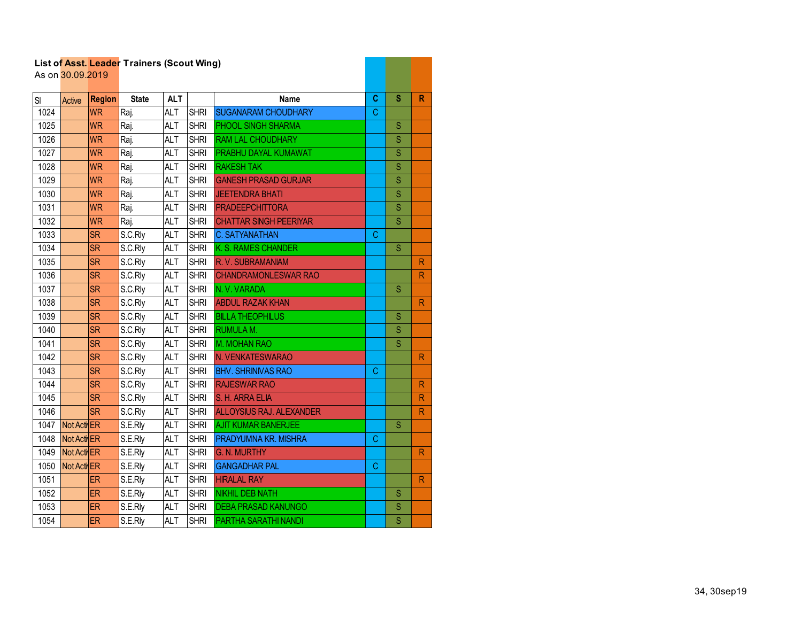|      | As on 30.09.2019 |               | List of Asst. Leader Trainers (Scout Wing) |            |             |                                 |   |                         |                         |
|------|------------------|---------------|--------------------------------------------|------------|-------------|---------------------------------|---|-------------------------|-------------------------|
| SI   | Active           | <b>Region</b> | <b>State</b>                               | <b>ALT</b> |             | Name                            | C | S                       | R                       |
| 1024 |                  | <b>WR</b>     | Raj.                                       | <b>ALT</b> | <b>SHRI</b> | <b>SUGANARAM CHOUDHARY</b>      | C |                         |                         |
| 1025 |                  | <b>WR</b>     | Raj.                                       | <b>ALT</b> | <b>SHRI</b> | PHOOL SINGH SHARMA              |   | S                       |                         |
| 1026 |                  | <b>WR</b>     | Raj.                                       | <b>ALT</b> | <b>SHRI</b> | RAM LAL CHOUDHARY               |   | S                       |                         |
| 1027 |                  | <b>WR</b>     | Raj.                                       | <b>ALT</b> | <b>SHRI</b> | PRABHU DAYAL KUMAWAT            |   | S                       |                         |
| 1028 |                  | <b>WR</b>     | Raj.                                       | <b>ALT</b> | <b>SHRI</b> | <b>RAKESH TAK</b>               |   | S                       |                         |
| 1029 |                  | <b>WR</b>     | Raj.                                       | <b>ALT</b> | <b>SHRI</b> | <b>GANESH PRASAD GURJAR</b>     |   | S                       |                         |
| 1030 |                  | <b>WR</b>     | Raj.                                       | <b>ALT</b> | <b>SHRI</b> | <b>JEETENDRA BHATI</b>          |   | S                       |                         |
| 1031 |                  | <b>WR</b>     | Raj.                                       | <b>ALT</b> | <b>SHRI</b> | <b>PRADEEPCHITTORA</b>          |   | S                       |                         |
| 1032 |                  | <b>WR</b>     | Raj.                                       | <b>ALT</b> | <b>SHRI</b> | <b>CHATTAR SINGH PEERIYAR</b>   |   | S                       |                         |
| 1033 |                  | <b>SR</b>     | S.C.Rly                                    | <b>ALT</b> | <b>SHRI</b> | <b>C. SATYANATHAN</b>           | C |                         |                         |
| 1034 |                  | <b>SR</b>     | S.C.Rly                                    | <b>ALT</b> | <b>SHRI</b> | K. S. RAMES CHANDER             |   | S                       |                         |
| 1035 |                  | <b>SR</b>     | S.C.Rly                                    | <b>ALT</b> | <b>SHRI</b> | R.V. SUBRAMANIAM                |   |                         | R                       |
| 1036 |                  | <b>SR</b>     | S.C.Rly                                    | <b>ALT</b> | <b>SHRI</b> | <b>CHANDRAMONLESWAR RAO</b>     |   |                         | $\overline{\mathsf{R}}$ |
| 1037 |                  | <b>SR</b>     | S.C.Rly                                    | <b>ALT</b> | <b>SHRI</b> | N.V.VARADA                      |   | S                       |                         |
| 1038 |                  | <b>SR</b>     | S.C.Rly                                    | <b>ALT</b> | <b>SHRI</b> | <b>ABDUL RAZAK KHAN</b>         |   |                         | $\mathsf{R}$            |
| 1039 |                  | <b>SR</b>     | S.C.Rly                                    | <b>ALT</b> | <b>SHRI</b> | <b>BILLA THEOPHILUS</b>         |   | S                       |                         |
| 1040 |                  | <b>SR</b>     | S.C.Rly                                    | <b>ALT</b> | <b>SHRI</b> | RUMULA M.                       |   | S                       |                         |
| 1041 |                  | <b>SR</b>     | S.C.Rly                                    | <b>ALT</b> | <b>SHRI</b> | M. MOHAN RAO                    |   | S                       |                         |
| 1042 |                  | <b>SR</b>     | S.C.Rly                                    | <b>ALT</b> | <b>SHRI</b> | N. VENKATESWARAO                |   |                         | R.                      |
| 1043 |                  | <b>SR</b>     | S.C.Rly                                    | <b>ALT</b> | <b>SHRI</b> | <b>BHV. SHRINIVAS RAO</b>       | C |                         |                         |
| 1044 |                  | <b>SR</b>     | S.C.Rly                                    | <b>ALT</b> | <b>SHRI</b> | <b>RAJESWAR RAO</b>             |   |                         | $\mathsf{R}$            |
| 1045 |                  | <b>SR</b>     | S.C.Rly                                    | <b>ALT</b> | <b>SHRI</b> | S. H. ARRA ELIA                 |   |                         | $\mathsf{R}$            |
| 1046 |                  | <b>SR</b>     | S.C.Rly                                    | <b>ALT</b> | <b>SHRI</b> | <b>ALLOYSIUS RAJ. ALEXANDER</b> |   |                         | $\mathsf{R}$            |
| 1047 | Not Acti ER      |               | S.E.Rly                                    | <b>ALT</b> | <b>SHRI</b> | <b>AJIT KUMAR BANERJEE</b>      |   | S                       |                         |
| 1048 | Not Acti ER      |               | S.E.Rly                                    | <b>ALT</b> | <b>SHRI</b> | PRADYUMNA KR. MISHRA            | C |                         |                         |
| 1049 | Not Acti ER      |               | S.E.Rly                                    | <b>ALT</b> | <b>SHRI</b> | <b>G. N. MURTHY</b>             |   |                         | $\mathsf{R}$            |
| 1050 | Not Acti ER      |               | S.E.Rly                                    | <b>ALT</b> | <b>SHRI</b> | <b>GANGADHAR PAL</b>            | C |                         |                         |
| 1051 |                  | ER            | S.E.Rly                                    | <b>ALT</b> | <b>SHRI</b> | <b>HIRALAL RAY</b>              |   |                         | $\mathsf{R}$            |
| 1052 |                  | ER            | S.E.Rly                                    | <b>ALT</b> | <b>SHRI</b> | <b>NIKHIL DEB NATH</b>          |   | S                       |                         |
| 1053 |                  | <b>ER</b>     | S.E.Rly                                    | <b>ALT</b> | <b>SHRI</b> | <b>DEBA PRASAD KANUNGO</b>      |   | S                       |                         |
| 1054 |                  | <b>ER</b>     | S.E.Rly                                    | <b>ALT</b> | <b>SHRI</b> | <b>PARTHA SARATHI NANDI</b>     |   | $\overline{\mathsf{S}}$ |                         |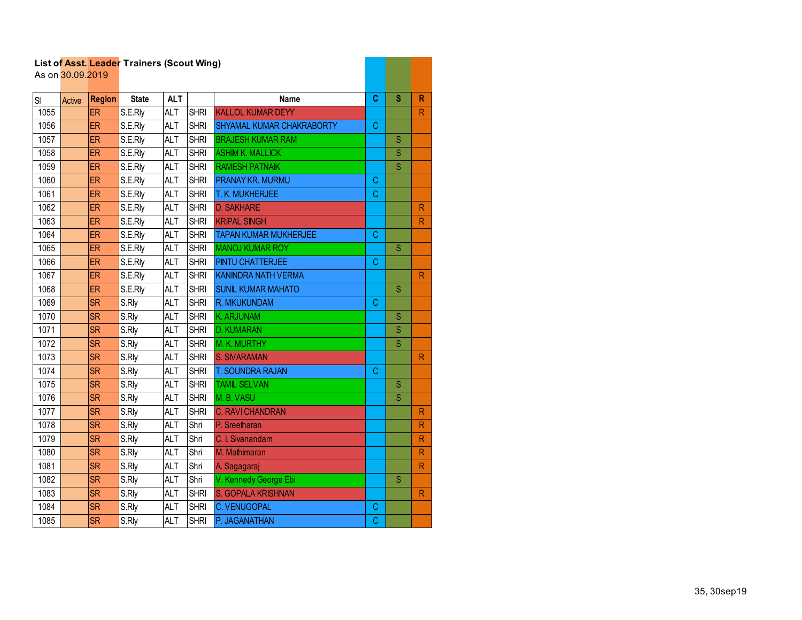|      | As on 30.09.2019 |               | List of Asst. Leader Traillers (Scout Willy) |            |             |                              |             |                         |                         |
|------|------------------|---------------|----------------------------------------------|------------|-------------|------------------------------|-------------|-------------------------|-------------------------|
| SI   |                  | <b>Region</b> | <b>State</b>                                 | <b>ALT</b> |             | <b>Name</b>                  | C           | S                       | $\mathsf{R}$            |
| 1055 | Active           | <b>ER</b>     | S.E.Rly                                      | <b>ALT</b> | <b>SHRI</b> | <b>KALLOL KUMAR DEYY</b>     |             |                         | $\mathsf{R}$            |
| 1056 |                  | ER            | S.E.Rly                                      | <b>ALT</b> | <b>SHRI</b> | SHYAMAL KUMAR CHAKRABORTY    | C           |                         |                         |
| 1057 |                  | ER            | S.E.Rly                                      | <b>ALT</b> | <b>SHRI</b> | <b>BRAJESH KUMAR RAM</b>     |             | S                       |                         |
| 1058 |                  | <b>ER</b>     | S.E.Rly                                      | <b>ALT</b> | <b>SHRI</b> | <b>ASHIM K. MALLICK</b>      |             | S                       |                         |
| 1059 |                  | <b>ER</b>     | S.E.Rly                                      | <b>ALT</b> | <b>SHRI</b> | <b>RAMESH PATNAIK</b>        |             | $\overline{\mathsf{S}}$ |                         |
| 1060 |                  | ER            | S.E.Rly                                      | <b>ALT</b> | <b>SHRI</b> | <b>PRANAY KR. MURMU</b>      | С           |                         |                         |
| 1061 |                  | ER            | S.E.Rly                                      | <b>ALT</b> | <b>SHRI</b> | T. K. MUKHERJEE              | $\mathsf C$ |                         |                         |
| 1062 |                  | ER            | S.E.Rly                                      | <b>ALT</b> | <b>SHRI</b> | <b>D. SAKHARE</b>            |             |                         | $\mathsf{R}$            |
| 1063 |                  | <b>ER</b>     | S.E.Rly                                      | ALT        | <b>SHRI</b> | <b>KRIPAL SINGH</b>          |             |                         | $\mathsf{R}$            |
| 1064 |                  | <b>ER</b>     | S.E.Rly                                      | <b>ALT</b> | <b>SHRI</b> | <b>TAPAN KUMAR MUKHERJEE</b> | C           |                         |                         |
| 1065 |                  | ER            | S.E.Rly                                      | <b>ALT</b> | <b>SHRI</b> | <b>MANOJ KUMAR ROY</b>       |             | S                       |                         |
| 1066 |                  | ER            | S.E.Rly                                      | <b>ALT</b> | <b>SHRI</b> | <b>PINTU CHATTERJEE</b>      | C           |                         |                         |
| 1067 |                  | <b>ER</b>     | S.E.Rly                                      | <b>ALT</b> | <b>SHRI</b> | <b>KANINDRA NATH VERMA</b>   |             |                         | R                       |
| 1068 |                  | <b>ER</b>     | S.E.Rly                                      | <b>ALT</b> | <b>SHRI</b> | <b>SUNIL KUMAR MAHATO</b>    |             | S                       |                         |
| 1069 |                  | <b>SR</b>     | S.Rly                                        | <b>ALT</b> | <b>SHRI</b> | R. MKUKUNDAM                 | С           |                         |                         |
| 1070 |                  | <b>SR</b>     | S.Rly                                        | <b>ALT</b> | <b>SHRI</b> | K. ARJUNAM                   |             | S                       |                         |
| 1071 |                  | <b>SR</b>     | S.Rly                                        | <b>ALT</b> | <b>SHRI</b> | <b>D. KUMARAN</b>            |             | S                       |                         |
| 1072 |                  | <b>SR</b>     | S.Rly                                        | <b>ALT</b> | <b>SHRI</b> | M. K. MURTHY                 |             | S                       |                         |
| 1073 |                  | <b>SR</b>     | S.Rly                                        | <b>ALT</b> | <b>SHRI</b> | <b>S. SIVARAMAN</b>          |             |                         | R                       |
| 1074 |                  | <b>SR</b>     | S.Rly                                        | <b>ALT</b> | <b>SHRI</b> | T. SOUNDRA RAJAN             | C           |                         |                         |
| 1075 |                  | <b>SR</b>     | S.Rly                                        | <b>ALT</b> | <b>SHRI</b> | <b>TAMIL SELVAN</b>          |             | S                       |                         |
| 1076 |                  | <b>SR</b>     | S.Rly                                        | <b>ALT</b> | <b>SHRI</b> | M. B. VASU                   |             | S                       |                         |
| 1077 |                  | <b>SR</b>     | S.Rly                                        | <b>ALT</b> | <b>SHRI</b> | <b>C. RAVI CHANDRAN</b>      |             |                         | R                       |
| 1078 |                  | <b>SR</b>     | S.Rly                                        | <b>ALT</b> | Shri        | P. Sreetharan                |             |                         | $\mathsf{R}$            |
| 1079 |                  | <b>SR</b>     | S.Rly                                        | <b>ALT</b> | Shri        | C. I. Sivanandam             |             |                         | R                       |
| 1080 |                  | <b>SR</b>     | S.Rly                                        | <b>ALT</b> | Shri        | M. Mathimaran                |             |                         | $\mathsf{R}$            |
| 1081 |                  | <b>SR</b>     | S.Rly                                        | <b>ALT</b> | Shri        | A. Sagagaraj                 |             |                         | $\overline{\mathsf{R}}$ |
| 1082 |                  | <b>SR</b>     | S.Rly                                        | <b>ALT</b> | Shri        | V. Kennedy George Ebi        |             | S                       |                         |
| 1083 |                  | <b>SR</b>     | S.Rly                                        | <b>ALT</b> | <b>SHRI</b> | S. GOPALA KRISHNAN           |             |                         | R                       |
| 1084 |                  | <b>SR</b>     | S.Rly                                        | <b>ALT</b> | <b>SHRI</b> | <b>C. VENUGOPAL</b>          | C           |                         |                         |
| 1085 |                  | <b>SR</b>     | S.Rly                                        | <b>ALT</b> | <b>SHRI</b> | P. JAGANATHAN                | С           |                         |                         |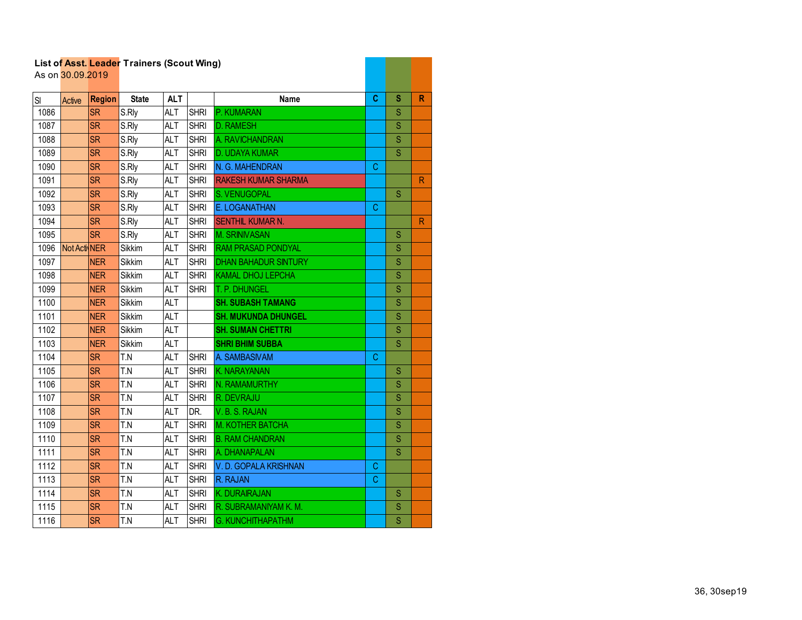|      | As on 30.09.2019 |               | List of Asst. Leader Trainers (Scout Wing) |            |             |                             |    |                |              |
|------|------------------|---------------|--------------------------------------------|------------|-------------|-----------------------------|----|----------------|--------------|
| SI   | Active           | <b>Region</b> | <b>State</b>                               | <b>ALT</b> |             | <b>Name</b>                 | C  | s              | $\mathsf{R}$ |
| 1086 |                  | <b>SR</b>     | S.Rly                                      | <b>ALT</b> | <b>SHRI</b> | P. KUMARAN                  |    | S              |              |
| 1087 |                  | <b>SR</b>     | S.Rly                                      | <b>ALT</b> | <b>SHRI</b> | <b>D. RAMESH</b>            |    | $\overline{S}$ |              |
| 1088 |                  | <b>SR</b>     | S.Rly                                      | <b>ALT</b> | <b>SHRI</b> | A. RAVICHANDRAN             |    | Ś              |              |
| 1089 |                  | <b>SR</b>     | S.Rly                                      | <b>ALT</b> | <b>SHRI</b> | D. UDAYA KUMAR              |    | S              |              |
| 1090 |                  | <b>SR</b>     | S.Rly                                      | <b>ALT</b> | <b>SHRI</b> | N. G. MAHENDRAN             | C. |                |              |
| 1091 |                  | <b>SR</b>     | S.Rly                                      | <b>ALT</b> | <b>SHRI</b> | <b>RAKESH KUMAR SHARMA</b>  |    |                | $\mathsf{R}$ |
| 1092 |                  | <b>SR</b>     | S.Rly                                      | <b>ALT</b> | <b>SHRI</b> | S. VENUGOPAL                |    | S              |              |
| 1093 |                  | <b>SR</b>     | S.Rly                                      | <b>ALT</b> | <b>SHRI</b> | E. LOGANATHAN               | С  |                |              |
| 1094 |                  | <b>SR</b>     | S.Rly                                      | <b>ALT</b> | <b>SHRI</b> | SENTHIL KUMAR N.            |    |                | $\mathsf{R}$ |
| 1095 |                  | <b>SR</b>     | S.Rly                                      | <b>ALT</b> | <b>SHRI</b> | <b>M. SRINIVASAN</b>        |    | S              |              |
| 1096 | Not Acti NER     |               | Sikkim                                     | <b>ALT</b> | <b>SHRI</b> | <b>RAM PRASAD PONDYAL</b>   |    | S              |              |
| 1097 |                  | <b>NER</b>    | Sikkim                                     | <b>ALT</b> | <b>SHRI</b> | <b>DHAN BAHADUR SINTURY</b> |    | S              |              |
| 1098 |                  | <b>NER</b>    | <b>Sikkim</b>                              | <b>ALT</b> | <b>SHRI</b> | <b>KAMAL DHOJ LEPCHA</b>    |    | S              |              |
| 1099 |                  | <b>NER</b>    | Sikkim                                     | <b>ALT</b> | <b>SHRI</b> | T. P. DHUNGEL               |    | Ś              |              |
| 1100 |                  | <b>NER</b>    | Sikkim                                     | <b>ALT</b> |             | <b>SH. SUBASH TAMANG</b>    |    | S              |              |
| 1101 |                  | <b>NER</b>    | Sikkim                                     | <b>ALT</b> |             | <b>SH. MUKUNDA DHUNGEL</b>  |    | S              |              |
| 1102 |                  | <b>NER</b>    | Sikkim                                     | <b>ALT</b> |             | <b>SH. SUMAN CHETTRI</b>    |    | S              |              |
| 1103 |                  | <b>NER</b>    | Sikkim                                     | <b>ALT</b> |             | <b>SHRI BHIM SUBBA</b>      |    | S              |              |
| 1104 |                  | <b>SR</b>     | T.N                                        | ALT        | <b>SHRI</b> | A. SAMBASIVAM               | C  |                |              |
| 1105 |                  | <b>SR</b>     | T.N                                        | <b>ALT</b> | <b>SHRI</b> | K. NARAYANAN                |    | S              |              |
| 1106 |                  | <b>SR</b>     | T.N                                        | <b>ALT</b> | <b>SHRI</b> | N. RAMAMURTHY               |    | S              |              |
| 1107 |                  | <b>SR</b>     | T.N                                        | <b>ALT</b> | <b>SHRI</b> | R. DEVRAJU                  |    | S              |              |
| 1108 |                  | <b>SR</b>     | T.N                                        | <b>ALT</b> | DR.         | V.B.S.RAJAN                 |    | S              |              |
| 1109 |                  | <b>SR</b>     | T.N                                        | ALT        | <b>SHRI</b> | M. KOTHER BATCHA            |    | S              |              |
| 1110 |                  | <b>SR</b>     | T.N                                        | <b>ALT</b> | <b>SHRI</b> | <b>B. RAM CHANDRAN</b>      |    | S              |              |
| 1111 |                  | <b>SR</b>     | T.N                                        | <b>ALT</b> | <b>SHRI</b> | A. DHANAPALAN               |    | S              |              |
| 1112 |                  | <b>SR</b>     | T.N                                        | <b>ALT</b> | <b>SHRI</b> | V.D. GOPALA KRISHNAN        | C  |                |              |
| 1113 |                  | <b>SR</b>     | T.N                                        | <b>ALT</b> | <b>SHRI</b> | R. RAJAN                    | C  |                |              |
| 1114 |                  | <b>SR</b>     | T.N                                        | <b>ALT</b> | <b>SHRI</b> | K. DURAIRAJAN               |    | S              |              |
| 1115 |                  | SR            | T.N                                        | <b>ALT</b> | <b>SHRI</b> | R. SUBRAMANIYAM K. M.       |    | S              |              |
| 1116 |                  | <b>SR</b>     | T.N                                        | <b>ALT</b> | <b>SHRI</b> | <b>G. KUNCHITHAPATHM</b>    |    | Ś              |              |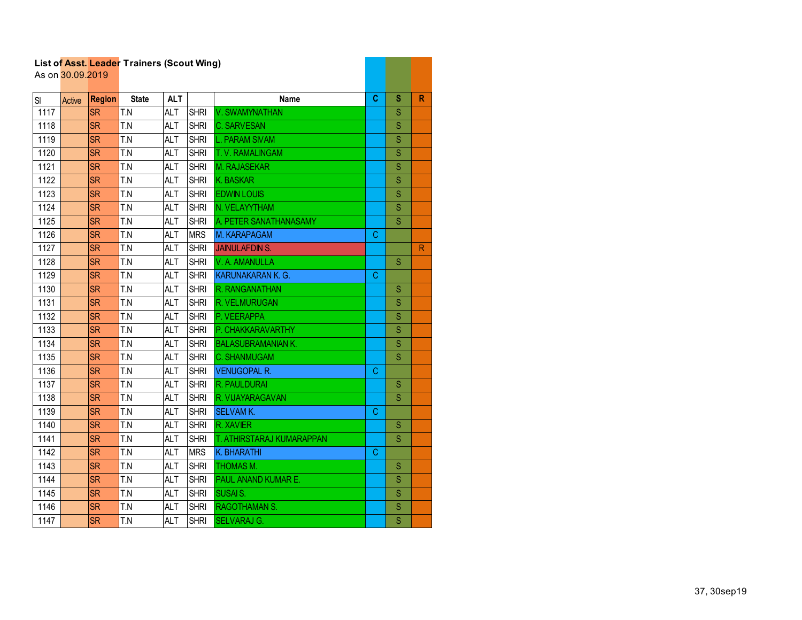|      | List of Asst. Leager Traillers (Scout Willy)<br>As on 30.09.2019 |               |              |            |             |                           |    |   |              |
|------|------------------------------------------------------------------|---------------|--------------|------------|-------------|---------------------------|----|---|--------------|
| SI   | Active                                                           | <b>Region</b> | <b>State</b> | <b>ALT</b> |             | Name                      | C  | S | $\mathbb{R}$ |
| 1117 |                                                                  | <b>SR</b>     | T.N          | <b>ALT</b> | <b>SHRI</b> | V. SWAMYNATHAN            |    | S |              |
| 1118 |                                                                  | <b>SR</b>     | T.N          | <b>ALT</b> | <b>SHRI</b> | <b>C. SARVESAN</b>        |    | S |              |
| 1119 |                                                                  | <b>SR</b>     | T.N          | ALT        | <b>SHRI</b> | <b>L. PARAM SIVAM</b>     |    | S |              |
| 1120 |                                                                  | <b>SR</b>     | T.N          | <b>ALT</b> | <b>SHRI</b> | T. V. RAMALINGAM          |    | S |              |
| 1121 |                                                                  | <b>SR</b>     | T.N          | <b>ALT</b> | <b>SHRI</b> | <b>M. RAJASEKAR</b>       |    | S |              |
| 1122 |                                                                  | <b>SR</b>     | T.N          | <b>ALT</b> | <b>SHRI</b> | <b>K. BASKAR</b>          |    | S |              |
| 1123 |                                                                  | <b>SR</b>     | T.N          | <b>ALT</b> | <b>SHRI</b> | <b>EDWIN LOUIS</b>        |    | S |              |
| 1124 |                                                                  | <b>SR</b>     | T.N          | <b>ALT</b> | <b>SHRI</b> | N. VELAYYTHAM             |    | S |              |
| 1125 |                                                                  | <b>SR</b>     | T.N          | ALT        | <b>SHRI</b> | A. PETER SANATHANASAMY    |    | S |              |
| 1126 |                                                                  | <b>SR</b>     | T.N          | <b>ALT</b> | <b>MRS</b>  | M. KARAPAGAM              | C  |   |              |
| 1127 |                                                                  | <b>SR</b>     | T.N          | <b>ALT</b> | <b>SHRI</b> | <b>JAINULAFDIN S.</b>     |    |   | $\mathsf{R}$ |
| 1128 |                                                                  | <b>SR</b>     | T.N          | <b>ALT</b> | <b>SHRI</b> | V. A. AMANULLA            |    | S |              |
| 1129 |                                                                  | <b>SR</b>     | T.N          | <b>ALT</b> | <b>SHRI</b> | KARUNAKARAN K. G.         | C  |   |              |
| 1130 |                                                                  | <b>SR</b>     | T.N          | <b>ALT</b> | <b>SHRI</b> | R. RANGANATHAN            |    | S |              |
| 1131 |                                                                  | <b>SR</b>     | T.N          | <b>ALT</b> | <b>SHRI</b> | R. VELMURUGAN             |    | S |              |
| 1132 |                                                                  | <b>SR</b>     | T.N          | <b>ALT</b> | <b>SHRI</b> | P. VEERAPPA               |    | S |              |
| 1133 |                                                                  | <b>SR</b>     | T.N          | <b>ALT</b> | <b>SHRI</b> | P. CHAKKARAVARTHY         |    | S |              |
| 1134 |                                                                  | <b>SR</b>     | T.N          | <b>ALT</b> | <b>SHRI</b> | <b>BALASUBRAMANIAN K.</b> |    | S |              |
| 1135 |                                                                  | <b>SR</b>     | T.N          | ALT        | <b>SHRI</b> | <b>C. SHANMUGAM</b>       |    | S |              |
| 1136 |                                                                  | <b>SR</b>     | T.N          | <b>ALT</b> | <b>SHRI</b> | <b>VENUGOPAL R.</b>       | С  |   |              |
| 1137 |                                                                  | <b>SR</b>     | T.N          | <b>ALT</b> | <b>SHRI</b> | R. PAULDURAI              |    | S |              |
| 1138 |                                                                  | <b>SR</b>     | T.N          | <b>ALT</b> | <b>SHRI</b> | R. VIJAYARAGAVAN          |    | S |              |
| 1139 |                                                                  | <b>SR</b>     | T.N          | ALT        | <b>SHRI</b> | <b>SELVAM K.</b>          | C  |   |              |
| 1140 |                                                                  | <b>SR</b>     | T.N          | <b>ALT</b> | <b>SHRI</b> | R. XAVIER                 |    | S |              |
| 1141 |                                                                  | <b>SR</b>     | T.N          | <b>ALT</b> | <b>SHRI</b> | T. ATHIRSTARAJ KUMARAPPAN |    | S |              |
| 1142 |                                                                  | <b>SR</b>     | T.N          | <b>ALT</b> | <b>MRS</b>  | K. BHARATHI               | C. |   |              |
| 1143 |                                                                  | <b>SR</b>     | T.N          | <b>ALT</b> | <b>SHRI</b> | THOMAS M.                 |    | S |              |
| 1144 |                                                                  | <b>SR</b>     | T.N          | ALT        | <b>SHRI</b> | PAUL ANAND KUMAR E.       |    | Ś |              |
| 1145 |                                                                  | <b>SR</b>     | T.N          | <b>ALT</b> | <b>SHRI</b> | <b>SUSAIS.</b>            |    | S |              |
| 1146 |                                                                  | <b>SR</b>     | T.N          | <b>ALT</b> | <b>SHRI</b> | <b>RAGOTHAMAN S.</b>      |    | S |              |
| 1147 |                                                                  | <b>SR</b>     | T.N          | <b>ALT</b> | <b>SHRI</b> | <b>SELVARAJ G.</b>        |    | Ś |              |

and the company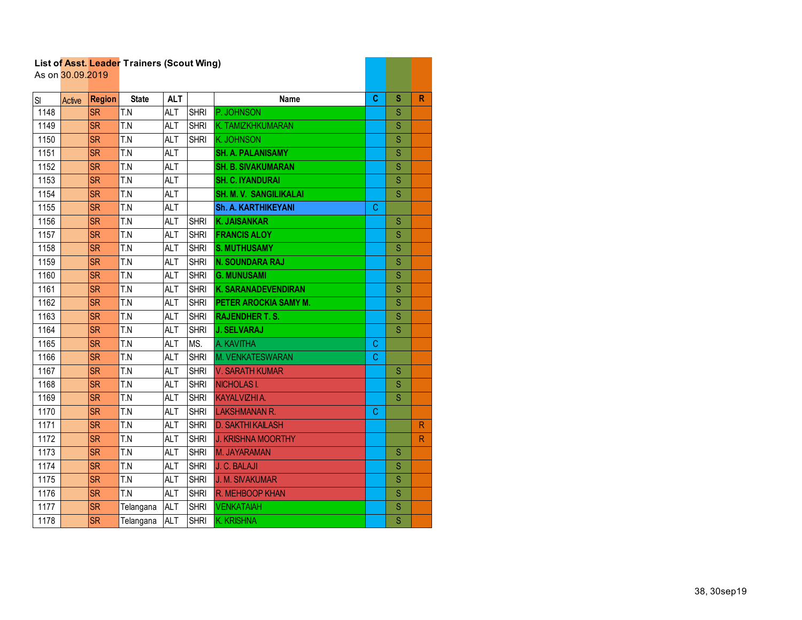| List of Asst. Leader Trainers (Scout Wing) |                  |               |              |            |             |                               |    |                         |                         |
|--------------------------------------------|------------------|---------------|--------------|------------|-------------|-------------------------------|----|-------------------------|-------------------------|
|                                            | As on 30.09.2019 |               |              |            |             |                               |    |                         |                         |
| SI                                         | Active           | <b>Region</b> | <b>State</b> | <b>ALT</b> |             | Name                          | C  | s                       | $\mathbb{R}$            |
| 1148                                       |                  | <b>SR</b>     | T.N          | <b>ALT</b> | <b>SHRI</b> | P. JOHNSON                    |    | S                       |                         |
| 1149                                       |                  | <b>SR</b>     | T.N          | <b>ALT</b> | <b>SHRI</b> | K. TAMIZKHKUMARAN             |    | S                       |                         |
| 1150                                       |                  | <b>SR</b>     | T.N          | <b>ALT</b> | <b>SHRI</b> | <b>K. JOHNSON</b>             |    | S                       |                         |
| 1151                                       |                  | <b>SR</b>     | T.N          | <b>ALT</b> |             | <b>SH. A. PALANISAMY</b>      |    | S                       |                         |
| 1152                                       |                  | <b>SR</b>     | T.N          | ALT        |             | <b>SH. B. SIVAKUMARAN</b>     |    | S                       |                         |
| 1153                                       |                  | <b>SR</b>     | T.N          | <b>ALT</b> |             | <b>SH. C. IYANDURAI</b>       |    | S                       |                         |
| 1154                                       |                  | <b>SR</b>     | T.N          | <b>ALT</b> |             | <b>SH. M. V. SANGILIKALAI</b> |    | S                       |                         |
| 1155                                       |                  | <b>SR</b>     | T.N          | <b>ALT</b> |             | <b>Sh. A. KARTHIKEYANI</b>    | С  |                         |                         |
| 1156                                       |                  | <b>SR</b>     | T.N          | <b>ALT</b> | <b>SHRI</b> | <b>K. JAISANKAR</b>           |    | S                       |                         |
| 1157                                       |                  | <b>SR</b>     | T.N          | <b>ALT</b> | <b>SHRI</b> | <b>FRANCIS ALOY</b>           |    | S                       |                         |
| 1158                                       |                  | <b>SR</b>     | T.N          | ALT        | <b>SHRI</b> | <b>S. MUTHUSAMY</b>           |    | S                       |                         |
| 1159                                       |                  | <b>SR</b>     | T.N          | <b>ALT</b> | <b>SHRI</b> | <b>N. SOUNDARA RAJ</b>        |    | S                       |                         |
| 1160                                       |                  | <b>SR</b>     | T.N          | <b>ALT</b> | <b>SHRI</b> | <b>G. MUNUSAMI</b>            |    | S                       |                         |
| 1161                                       |                  | <b>SR</b>     | T.N          | <b>ALT</b> | <b>SHRI</b> | <b>K. SARANADEVENDIRAN</b>    |    | S                       |                         |
| 1162                                       |                  | <b>SR</b>     | T.N          | <b>ALT</b> | <b>SHRI</b> | PETER AROCKIA SAMY M.         |    | S                       |                         |
| 1163                                       |                  | <b>SR</b>     | T.N          | <b>ALT</b> | <b>SHRI</b> | <b>RAJENDHER T.S.</b>         |    | S                       |                         |
| 1164                                       |                  | <b>SR</b>     | T.N          | ALT        | <b>SHRI</b> | <b>J. SELVARAJ</b>            |    | S                       |                         |
| 1165                                       |                  | <b>SR</b>     | T.N          | <b>ALT</b> | MS.         | A. KAVITHA                    | С  |                         |                         |
| 1166                                       |                  | <b>SR</b>     | T.N          | <b>ALT</b> | <b>SHRI</b> | M. VENKATESWARAN              | C. |                         |                         |
| 1167                                       |                  | <b>SR</b>     | T.N          | <b>ALT</b> | <b>SHRI</b> | V. SARATH KUMAR               |    | S                       |                         |
| 1168                                       |                  | <b>SR</b>     | T.N          | <b>ALT</b> | <b>SHRI</b> | <b>NICHOLAS I.</b>            |    | S                       |                         |
| 1169                                       |                  | <b>SR</b>     | T.N          | <b>ALT</b> | <b>SHRI</b> | KAYALVIZHI A.                 |    | S                       |                         |
| 1170                                       |                  | <b>SR</b>     | T.N          | ALT        | <b>SHRI</b> | <b>LAKSHMANAN R.</b>          | С  |                         |                         |
| 1171                                       |                  | <b>SR</b>     | T.N          | <b>ALT</b> | <b>SHRI</b> | <b>D. SAKTHI KAILASH</b>      |    |                         | R                       |
| 1172                                       |                  | <b>SR</b>     | T.N          | <b>ALT</b> | <b>SHRI</b> | <b>J. KRISHNA MOORTHY</b>     |    |                         | $\overline{\mathsf{R}}$ |
| 1173                                       |                  | <b>SR</b>     | T.N          | <b>ALT</b> | <b>SHRI</b> | M. JAYARAMAN                  |    | S                       |                         |
| 1174                                       |                  | <b>SR</b>     | T.N          | <b>ALT</b> | <b>SHRI</b> | J. C. BALAJI                  |    | S                       |                         |
| 1175                                       |                  | <b>SR</b>     | T.N          | <b>ALT</b> | <b>SHRI</b> | <b>J. M. SIVAKUMAR</b>        |    | S                       |                         |
| 1176                                       |                  | <b>SR</b>     | T.N          | <b>ALT</b> | <b>SHRI</b> | R. MEHBOOP KHAN               |    | S                       |                         |
| 1177                                       |                  | <b>SR</b>     | Telangana    | <b>ALT</b> | <b>SHRI</b> | <b>VENKATAIAH</b>             |    | $\mathbf S$             |                         |
| 1178                                       |                  | <b>SR</b>     | Telangana    | <b>ALT</b> | <b>SHRI</b> | <b>K. KRISHNA</b>             |    | $\overline{\mathbf{s}}$ |                         |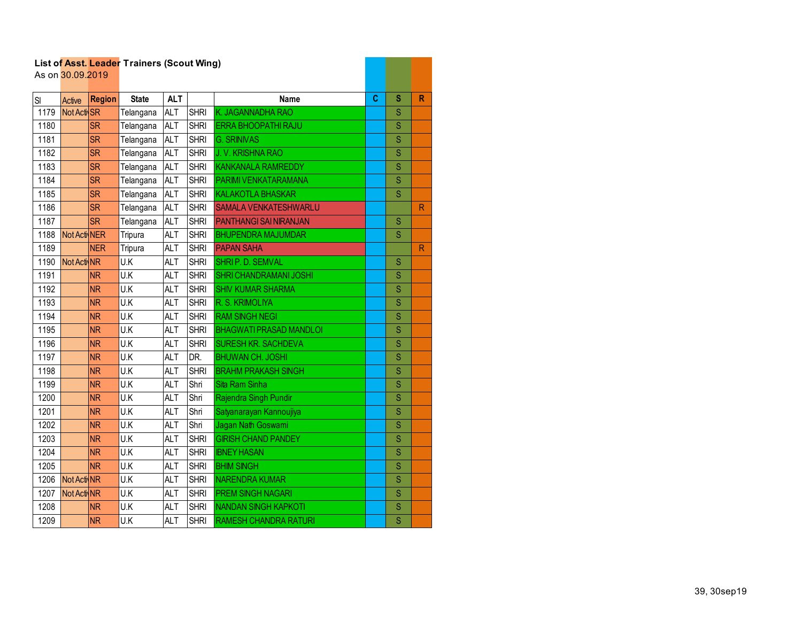|      |                  |               | List of Asst. Leader Trainers (Scout Wing) |            |             |                                |   |                         |   |
|------|------------------|---------------|--------------------------------------------|------------|-------------|--------------------------------|---|-------------------------|---|
|      | As on 30.09.2019 |               |                                            |            |             |                                |   |                         |   |
| SI   | Active           | <b>Region</b> | <b>State</b>                               | <b>ALT</b> |             | Name                           | C | s                       | R |
| 1179 | Not Acti SR      |               | Telangana                                  | <b>ALT</b> | <b>SHRI</b> | K. JAGANNADHA RAO              |   | S                       |   |
| 1180 |                  | <b>SR</b>     | Telangana                                  | <b>ALT</b> | <b>SHRI</b> | ERRA BHOOPATHI RAJU            |   | S                       |   |
| 1181 |                  | <b>SR</b>     | Telangana                                  | <b>ALT</b> | <b>SHRI</b> | <b>G. SRINIVAS</b>             |   | Ś                       |   |
| 1182 |                  | <b>SR</b>     | Telangana                                  | <b>ALT</b> | <b>SHRI</b> | J.V. KRISHNA RAO               |   | S                       |   |
| 1183 |                  | <b>SR</b>     | Telangana                                  | <b>ALT</b> | <b>SHRI</b> | <b>KANKANALA RAMREDDY</b>      |   | Ś                       |   |
| 1184 |                  | <b>SR</b>     | Telangana                                  | <b>ALT</b> | <b>SHRI</b> | PARIMI VENKATARAMANA           |   | S                       |   |
| 1185 |                  | <b>SR</b>     | Telangana                                  | <b>ALT</b> | <b>SHRI</b> | <b>KALAKOTLA BHASKAR</b>       |   | S                       |   |
| 1186 |                  | <b>SR</b>     | Telangana                                  | <b>ALT</b> | <b>SHRI</b> | <b>SAMALA VENKATESHWARLU</b>   |   |                         | R |
| 1187 |                  | <b>SR</b>     | Telangana                                  | <b>ALT</b> | <b>SHRI</b> | <b>PANTHANGI SAI NIRANJAN</b>  |   | S                       |   |
| 1188 | Not Acti NER     |               | Tripura                                    | <b>ALT</b> | <b>SHRI</b> | <b>BHUPENDRA MAJUMDAR</b>      |   | S                       |   |
| 1189 |                  | <b>NER</b>    | Tripura                                    | <b>ALT</b> | <b>SHRI</b> | <b>PAPAN SAHA</b>              |   |                         | R |
| 1190 | Not Acti NR      |               | U.K                                        | <b>ALT</b> | <b>SHRI</b> | SHRIP. D. SEMVAL               |   | S                       |   |
| 1191 |                  | <b>NR</b>     | U.K                                        | <b>ALT</b> | <b>SHRI</b> | <b>SHRI CHANDRAMANI JOSHI</b>  |   | S                       |   |
| 1192 |                  | <b>NR</b>     | $\overline{U.K}$                           | <b>ALT</b> | <b>SHRI</b> | <b>SHIV KUMAR SHARMA</b>       |   | Ś                       |   |
| 1193 |                  | <b>NR</b>     | U.K                                        | <b>ALT</b> | <b>SHRI</b> | R. S. KRIMOLIYA                |   | Ś                       |   |
| 1194 |                  | <b>NR</b>     | U.K                                        | <b>ALT</b> | <b>SHRI</b> | <b>RAM SINGH NEGI</b>          |   | S                       |   |
| 1195 |                  | <b>NR</b>     | U.K                                        | <b>ALT</b> | <b>SHRI</b> | <b>BHAGWATI PRASAD MANDLOI</b> |   | Ś                       |   |
| 1196 |                  | <b>NR</b>     | U.K                                        | <b>ALT</b> | <b>SHRI</b> | <b>SURESH KR. SACHDEVA</b>     |   | S                       |   |
| 1197 |                  | <b>NR</b>     | U.K                                        | <b>ALT</b> | DR.         | <b>BHUWAN CH. JOSHI</b>        |   | S                       |   |
| 1198 |                  | <b>NR</b>     | U.K                                        | <b>ALT</b> | <b>SHRI</b> | <b>BRAHM PRAKASH SINGH</b>     |   | Ś                       |   |
| 1199 |                  | <b>NR</b>     | U.K                                        | <b>ALT</b> | Shri        | Sita Ram Sinha                 |   | S                       |   |
| 1200 |                  | <b>NR</b>     | U.K                                        | <b>ALT</b> | Shri        | Rajendra Singh Pundir          |   | S                       |   |
| 1201 |                  | <b>NR</b>     | U.K                                        | <b>ALT</b> | Shri        | Satyanarayan Kannoujiya        |   | S                       |   |
| 1202 |                  | <b>NR</b>     | U.K                                        | <b>ALT</b> | Shri        | Jagan Nath Goswami             |   | S                       |   |
| 1203 |                  | <b>NR</b>     | U.K                                        | <b>ALT</b> | <b>SHRI</b> | <b>GIRISH CHAND PANDEY</b>     |   | Ś                       |   |
| 1204 |                  | <b>NR</b>     | U.K                                        | <b>ALT</b> | <b>SHRI</b> | <b>IBNEY HASAN</b>             |   | Ś                       |   |
| 1205 |                  | <b>NR</b>     | U.K                                        | <b>ALT</b> | <b>SHRI</b> | <b>BHIM SINGH</b>              |   | $\overline{\mathsf{S}}$ |   |
| 1206 | Not Acti NR      |               | U.K                                        | <b>ALT</b> | <b>SHRI</b> | <b>NARENDRA KUMAR</b>          |   | Ś                       |   |
| 1207 | Not Acti NR      |               | U.K                                        | <b>ALT</b> | <b>SHRI</b> | <b>PREM SINGH NAGARI</b>       |   | Ś                       |   |
| 1208 |                  | <b>NR</b>     | U.K                                        | <b>ALT</b> | <b>SHRI</b> | <b>NANDAN SINGH KAPKOTI</b>    |   | S                       |   |
| 1209 |                  | <b>NR</b>     | U.K                                        | <b>ALT</b> | <b>SHRI</b> | <b>RAMESH CHANDRA RATURI</b>   |   | S                       |   |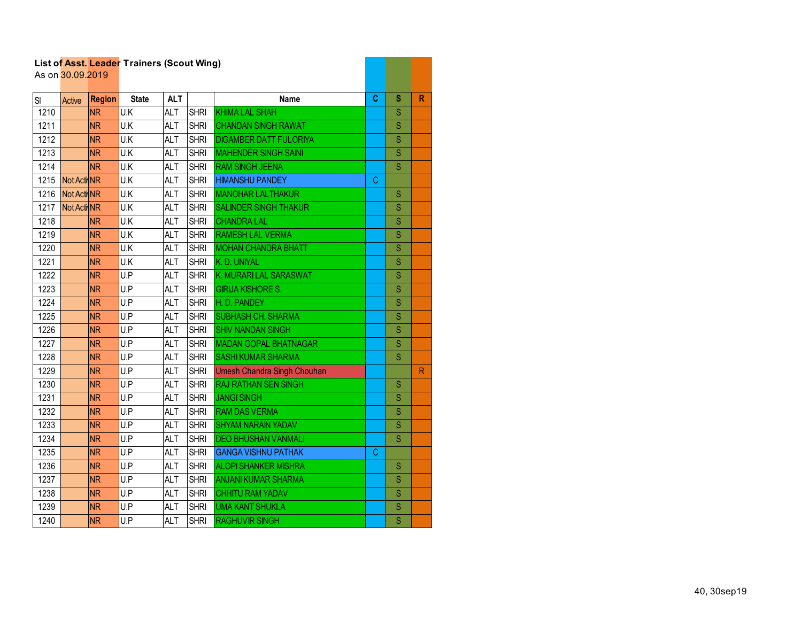|      | List of Asst. Leader Trainers (Scout Wing)<br>As on 30.09.2019 |               |                 |            |             |                                    |   |                         |   |
|------|----------------------------------------------------------------|---------------|-----------------|------------|-------------|------------------------------------|---|-------------------------|---|
|      |                                                                |               |                 |            |             |                                    |   |                         |   |
| SI   | Active                                                         | <b>Region</b> | <b>State</b>    | <b>ALT</b> |             | Name                               | C | S                       | R |
| 1210 |                                                                | <b>NR</b>     | U.K             | <b>ALT</b> | <b>SHRI</b> | <b>KHIMA LAL SHAH</b>              |   | S                       |   |
| 1211 |                                                                | <b>NR</b>     | U.K             | <b>ALT</b> | <b>SHRI</b> | <b>CHANDAN SINGH RAWAT</b>         |   | S                       |   |
| 1212 |                                                                | <b>NR</b>     | U.K             | <b>ALT</b> | <b>SHRI</b> | <b>DIGAMBER DATT FULORIYA</b>      |   | S                       |   |
| 1213 |                                                                | <b>NR</b>     | U.K             | <b>ALT</b> | <b>SHRI</b> | <b>MAHENDER SINGH SAINI</b>        |   | S                       |   |
| 1214 |                                                                | <b>NR</b>     | U.K             | <b>ALT</b> | <b>SHRI</b> | <b>RAM SINGH JEENA</b>             |   | S                       |   |
| 1215 | Not Acti NR                                                    |               | U.K             | <b>ALT</b> | <b>SHRI</b> | <b>HIMANSHU PANDEY</b>             | C |                         |   |
| 1216 | Not Acti NR                                                    |               | U.K             | <b>ALT</b> | <b>SHRI</b> | <b>MANOHAR LALTHAKUR</b>           |   | S                       |   |
| 1217 | Not Acti NR                                                    |               | U.K             | <b>ALT</b> | <b>SHRI</b> | <b>SALINDER SINGH THAKUR</b>       |   | S                       |   |
| 1218 |                                                                | <b>NR</b>     | U.K             | <b>ALT</b> | <b>SHRI</b> | <b>CHANDRA LAL</b>                 |   | S                       |   |
| 1219 |                                                                | <b>NR</b>     | U.K             | <b>ALT</b> | <b>SHRI</b> | <b>RAMESH LAL VERMA</b>            |   | S                       |   |
| 1220 |                                                                | <b>NR</b>     | U.K             | <b>ALT</b> | <b>SHRI</b> | <b>MOHAN CHANDRA BHATT</b>         |   | S                       |   |
| 1221 |                                                                | <b>NR</b>     | U.K             | <b>ALT</b> | <b>SHRI</b> | K. D. UNIYAL                       |   | S                       |   |
| 1222 |                                                                | <b>NR</b>     | U.P             | <b>ALT</b> | <b>SHRI</b> | K. MURARILAL SARASWAT              |   | S                       |   |
| 1223 |                                                                | <b>NR</b>     | U.P             | <b>ALT</b> | <b>SHRI</b> | <b>GIRIJA KISHORE S.</b>           |   | S                       |   |
| 1224 |                                                                | <b>NR</b>     | U.P             | <b>ALT</b> | <b>SHRI</b> | H.D. PANDEY                        |   | S                       |   |
| 1225 |                                                                | <b>NR</b>     | U.P             | <b>ALT</b> | <b>SHRI</b> | <b>SUBHASH CH. SHARMA</b>          |   | S                       |   |
| 1226 |                                                                | <b>NR</b>     | U.P             | <b>ALT</b> | <b>SHRI</b> | <b>SHIV NANDAN SINGH</b>           |   | S                       |   |
| 1227 |                                                                | <b>NR</b>     | U.P             | <b>ALT</b> | <b>SHRI</b> | <b>MADAN GOPAL BHATNAGAR</b>       |   | S                       |   |
| 1228 |                                                                | <b>NR</b>     | U.P             | <b>ALT</b> | <b>SHRI</b> | <b>SASHI KUMAR SHARMA</b>          |   | S                       |   |
| 1229 |                                                                | <b>NR</b>     | U.P             | <b>ALT</b> | <b>SHRI</b> | <b>Umesh Chandra Singh Chouhan</b> |   |                         | R |
| 1230 |                                                                | <b>NR</b>     | U.P             | <b>ALT</b> | <b>SHRI</b> | <b>RAJ RATHAN SEN SINGH</b>        |   | S                       |   |
| 1231 |                                                                | <b>NR</b>     | U.P             | ALT        | <b>SHRI</b> | <b>JANGI SINGH</b>                 |   | S                       |   |
| 1232 |                                                                | <b>NR</b>     | U.P             | <b>ALT</b> | <b>SHRI</b> | <b>RAM DAS VERMA</b>               |   | S                       |   |
| 1233 |                                                                | <b>NR</b>     | U.P             | <b>ALT</b> | <b>SHRI</b> | <b>SHYAM NARAIN YADAV</b>          |   | S                       |   |
| 1234 |                                                                | <b>NR</b>     | U.P             | <b>ALT</b> | <b>SHRI</b> | <b>DEO BHUSHAN VANMALI</b>         |   | S                       |   |
| 1235 |                                                                | <b>NR</b>     | U.P             | <b>ALT</b> | <b>SHRI</b> | <b>GANGA VISHNU PATHAK</b>         | С |                         |   |
| 1236 |                                                                | <b>NR</b>     | $\overline{UP}$ | <b>ALT</b> | <b>SHRI</b> | <b>ALOPI SHANKER MISHRA</b>        |   | S                       |   |
| 1237 |                                                                | <b>NR</b>     | U.P             | ALT        | <b>SHRI</b> | <b>ANJANI KUMAR SHARMA</b>         |   | S                       |   |
| 1238 |                                                                | <b>NR</b>     | U.P             | <b>ALT</b> | <b>SHRI</b> | <b>CHHITU RAM YADAV</b>            |   | S                       |   |
| 1239 |                                                                | <b>NR</b>     | U.P             | <b>ALT</b> | <b>SHRI</b> | <b>UMA KANT SHUKLA</b>             |   | S                       |   |
| 1240 |                                                                | <b>NR</b>     | U.P             | <b>ALT</b> | <b>SHRI</b> | <b>RAGHUVIR SINGH</b>              |   | $\overline{\mathsf{S}}$ |   |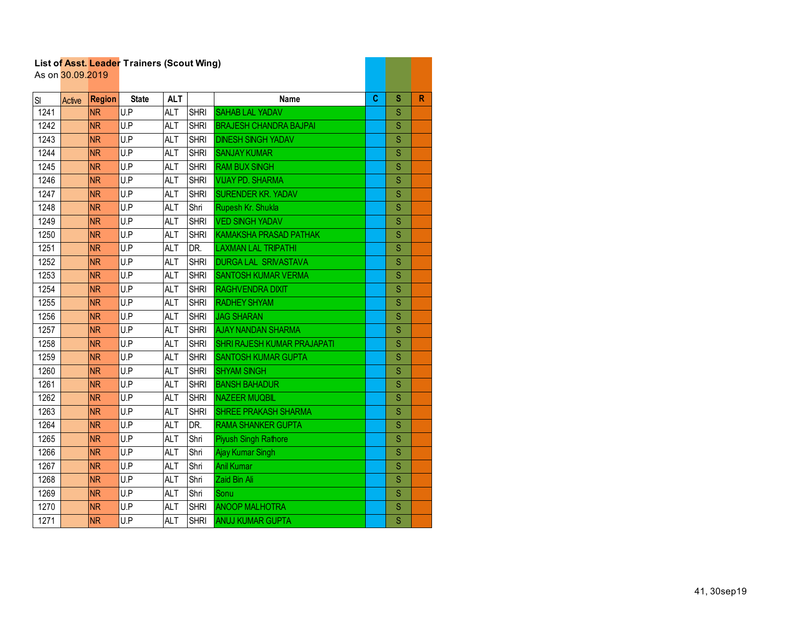| List of Asst. Leader Trainers (Scout Wing) |                  |               |                   |            |             |                                    |    |                         |   |
|--------------------------------------------|------------------|---------------|-------------------|------------|-------------|------------------------------------|----|-------------------------|---|
|                                            | As on 30.09.2019 |               |                   |            |             |                                    |    |                         |   |
| SI                                         | Active           | <b>Region</b> | <b>State</b>      | <b>ALT</b> |             | <b>Name</b>                        | C. | s                       | R |
| 1241                                       |                  | <b>NR</b>     | U.P               | <b>ALT</b> | <b>SHRI</b> | <b>SAHAB LAL YADAV</b>             |    | S                       |   |
| 1242                                       |                  | <b>NR</b>     | $\overline{UP}$   | <b>ALT</b> | <b>SHRI</b> | <b>BRAJESH CHANDRA BAJPAI</b>      |    | $\overline{\mathsf{S}}$ |   |
| 1243                                       |                  | <b>NR</b>     | U.P               | <b>ALT</b> | <b>SHRI</b> | <b>DINESH SINGH YADAV</b>          |    | Ś                       |   |
| 1244                                       |                  | <b>NR</b>     | U.P               | <b>ALT</b> | <b>SHRI</b> | <b>SANJAY KUMAR</b>                |    | S                       |   |
| 1245                                       |                  | <b>NR</b>     | U.P               | <b>ALT</b> | <b>SHRI</b> | <b>RAM BUX SINGH</b>               |    | S                       |   |
| 1246                                       |                  | <b>NR</b>     | U.P               | <b>ALT</b> | <b>SHRI</b> | <b>VIJAY PD. SHARMA</b>            |    | Ś                       |   |
| 1247                                       |                  | <b>NR</b>     | U.P               | <b>ALT</b> | <b>SHRI</b> | <b>SURENDER KR. YADAV</b>          |    | S                       |   |
| 1248                                       |                  | <b>NR</b>     | U.P               | <b>ALT</b> | Shri        | Rupesh Kr. Shukla                  |    | S                       |   |
| 1249                                       |                  | <b>NR</b>     | U.P               | <b>ALT</b> | <b>SHRI</b> | <b>VED SINGH YADAV</b>             |    | $\overline{\mathbf{S}}$ |   |
| 1250                                       |                  | <b>NR</b>     | U.P               | <b>ALT</b> | <b>SHRI</b> | <b>KAMAKSHA PRASAD PATHAK</b>      |    | S                       |   |
| 1251                                       |                  | <b>NR</b>     | $\overline{U}$ .P | <b>ALT</b> | DR.         | <b>LAXMAN LAL TRIPATHI</b>         |    | S                       |   |
| 1252                                       |                  | <b>NR</b>     | U.P               | <b>ALT</b> | <b>SHRI</b> | <b>DURGA LAL SRIVASTAVA</b>        |    | S                       |   |
| 1253                                       |                  | <b>NR</b>     | U.P               | <b>ALT</b> | <b>SHRI</b> | <b>SANTOSH KUMAR VERMA</b>         |    | S                       |   |
| 1254                                       |                  | <b>NR</b>     | U.P               | <b>ALT</b> | <b>SHRI</b> | <b>RAGHVENDRA DIXIT</b>            |    | S                       |   |
| 1255                                       |                  | <b>NR</b>     | U.P               | ALT        | <b>SHRI</b> | <b>RADHEY SHYAM</b>                |    | S                       |   |
| 1256                                       |                  | <b>NR</b>     | U.P               | <b>ALT</b> | <b>SHRI</b> | <b>JAG SHARAN</b>                  |    | Ś                       |   |
| 1257                                       |                  | <b>NR</b>     | U.P               | <b>ALT</b> | <b>SHRI</b> | <b>AJAY NANDAN SHARMA</b>          |    | S                       |   |
| 1258                                       |                  | <b>NR</b>     | U.P               | <b>ALT</b> | <b>SHRI</b> | <b>SHRI RAJESH KUMAR PRAJAPATI</b> |    | S                       |   |
| 1259                                       |                  | <b>NR</b>     | U.P               | <b>ALT</b> | <b>SHRI</b> | <b>SANTOSH KUMAR GUPTA</b>         |    | S                       |   |
| 1260                                       |                  | <b>NR</b>     | U.P               | <b>ALT</b> | <b>SHRI</b> | <b>SHYAM SINGH</b>                 |    | S                       |   |
| 1261                                       |                  | <b>NR</b>     | U.P               | <b>ALT</b> | <b>SHRI</b> | <b>BANSH BAHADUR</b>               |    | S                       |   |
| 1262                                       |                  | <b>NR</b>     | U.P               | <b>ALT</b> | <b>SHRI</b> | <b>NAZEER MUQBIL</b>               |    | S                       |   |
| 1263                                       |                  | <b>NR</b>     | U.P               | <b>ALT</b> | <b>SHRI</b> | <b>SHREE PRAKASH SHARMA</b>        |    | Ś                       |   |
| 1264                                       |                  | <b>NR</b>     | U.P               | <b>ALT</b> | DR.         | <b>RAMA SHANKER GUPTA</b>          |    | S                       |   |
| 1265                                       |                  | <b>NR</b>     | U.P               | <b>ALT</b> | Shri        | Piyush Singh Rathore               |    | S                       |   |
| 1266                                       |                  | <b>NR</b>     | U.P               | <b>ALT</b> | Shri        | Ajay Kumar Singh                   |    | S                       |   |
| 1267                                       |                  | <b>NR</b>     | U.P               | <b>ALT</b> | Shri        | <b>Anil Kumar</b>                  |    | S                       |   |
| 1268                                       |                  | <b>NR</b>     | U.P               | <b>ALT</b> | Shri        | Zaid Bin Ali                       |    | S                       |   |
| 1269                                       |                  | <b>NR</b>     | U.P               | <b>ALT</b> | Shri        | Sonu                               |    | S                       |   |
| 1270                                       |                  | <b>NR</b>     | U.P               | <b>ALT</b> | <b>SHRI</b> | <b>ANOOP MALHOTRA</b>              |    | S                       |   |
| 1271                                       |                  | <b>NR</b>     | U.P               | <b>ALT</b> | <b>SHRI</b> | <b>ANUJ KUMAR GUPTA</b>            |    | S                       |   |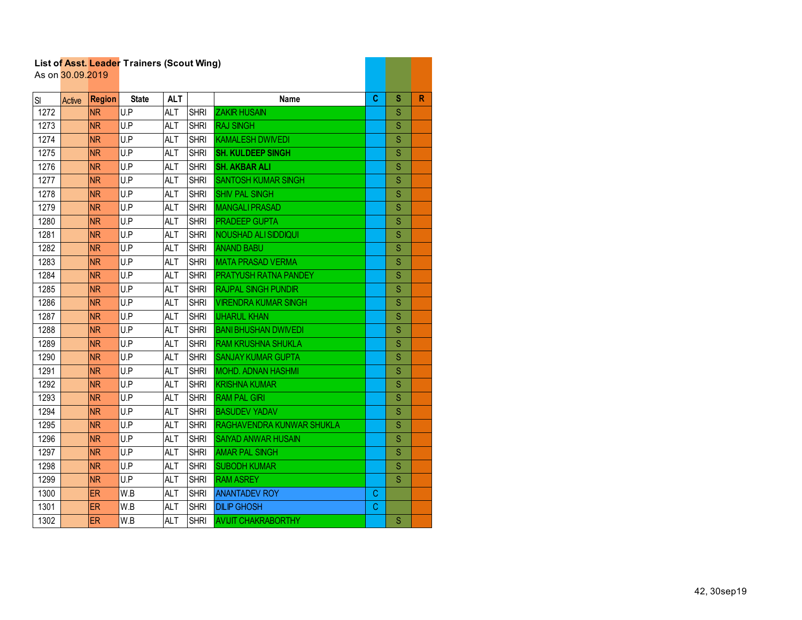| List of Asst. Leader Trainers (Scout Wing)<br>As on 30.09.2019 |        |               |              |            |             |                             |   |                         |   |
|----------------------------------------------------------------|--------|---------------|--------------|------------|-------------|-----------------------------|---|-------------------------|---|
|                                                                |        |               |              |            |             |                             |   |                         |   |
| SI                                                             | Active | <b>Region</b> | <b>State</b> | <b>ALT</b> |             | Name                        | C | s                       | R |
| 1272                                                           |        | <b>NR</b>     | U.P          | ALT        | <b>SHRI</b> | <b>ZAKIR HUSAIN</b>         |   | S                       |   |
| 1273                                                           |        | <b>NR</b>     | U.P          | <b>ALT</b> | <b>SHRI</b> | <b>RAJ SINGH</b>            |   | $\overline{\mathbf{s}}$ |   |
| 1274                                                           |        | <b>NR</b>     | U.P          | <b>ALT</b> | <b>SHRI</b> | <b>KAMALESH DWIVEDI</b>     |   | S                       |   |
| 1275                                                           |        | <b>NR</b>     | U.P          | <b>ALT</b> | <b>SHRI</b> | <b>SH. KULDEEP SINGH</b>    |   | S                       |   |
| 1276                                                           |        | <b>NR</b>     | U.P          | <b>ALT</b> | <b>SHRI</b> | <b>SH. AKBAR ALI</b>        |   | S                       |   |
| 1277                                                           |        | <b>NR</b>     | U.P          | <b>ALT</b> | <b>SHRI</b> | <b>SANTOSH KUMAR SINGH</b>  |   | S                       |   |
| 1278                                                           |        | <b>NR</b>     | U.P          | ALT        | <b>SHRI</b> | <b>SHIV PAL SINGH</b>       |   | S                       |   |
| 1279                                                           |        | <b>NR</b>     | U.P          | <b>ALT</b> | <b>SHRI</b> | <b>MANGALI PRASAD</b>       |   | S                       |   |
| 1280                                                           |        | <b>NR</b>     | U.P          | <b>ALT</b> | <b>SHRI</b> | <b>PRADEEP GUPTA</b>        |   | S                       |   |
| 1281                                                           |        | <b>NR</b>     | U.P          | <b>ALT</b> | <b>SHRI</b> | <b>NOUSHAD ALI SIDDIQUI</b> |   | S                       |   |
| 1282                                                           |        | <b>NR</b>     | U.P          | <b>ALT</b> | <b>SHRI</b> | <b>ANAND BABU</b>           |   | S                       |   |
| 1283                                                           |        | <b>NR</b>     | U.P          | <b>ALT</b> | <b>SHRI</b> | <b>MATA PRASAD VERMA</b>    |   | S                       |   |
| 1284                                                           |        | <b>NR</b>     | U.P          | <b>ALT</b> | <b>SHRI</b> | PRATYUSH RATNA PANDEY       |   | S                       |   |
| 1285                                                           |        | <b>NR</b>     | U.P          | <b>ALT</b> | <b>SHRI</b> | <b>RAJPAL SINGH PUNDIR</b>  |   | S                       |   |
| 1286                                                           |        | <b>NR</b>     | U.P          | <b>ALT</b> | <b>SHRI</b> | <b>VIRENDRA KUMAR SINGH</b> |   | S                       |   |
| 1287                                                           |        | <b>NR</b>     | U.P          | <b>ALT</b> | <b>SHRI</b> | <b>IJHARUL KHAN</b>         |   | S                       |   |
| 1288                                                           |        | <b>NR</b>     | U.P          | <b>ALT</b> | <b>SHRI</b> | <b>BANI BHUSHAN DWIVEDI</b> |   | S                       |   |
| 1289                                                           |        | <b>NR</b>     | U.P          | ALT        | <b>SHRI</b> | <b>RAM KRUSHNA SHUKLA</b>   |   | S                       |   |
| 1290                                                           |        | <b>NR</b>     | U.P          | <b>ALT</b> | <b>SHRI</b> | <b>SANJAY KUMAR GUPTA</b>   |   | S                       |   |
| 1291                                                           |        | <b>NR</b>     | U.P          | <b>ALT</b> | <b>SHRI</b> | <b>MOHD. ADNAN HASHMI</b>   |   | S                       |   |
| 1292                                                           |        | <b>NR</b>     | U.P          | <b>ALT</b> | <b>SHRI</b> | <b>KRISHNA KUMAR</b>        |   | S                       |   |
| 1293                                                           |        | <b>NR</b>     | U.P          | <b>ALT</b> | <b>SHRI</b> | <b>RAM PAL GIRI</b>         |   | S                       |   |
| 1294                                                           |        | <b>NR</b>     | U.P          | <b>ALT</b> | <b>SHRI</b> | <b>BASUDEV YADAV</b>        |   | S                       |   |
| 1295                                                           |        | <b>NR</b>     | U.P          | <b>ALT</b> | <b>SHRI</b> | RAGHAVENDRA KUNWAR SHUKLA   |   | S                       |   |
| 1296                                                           |        | <b>NR</b>     | U.P          | <b>ALT</b> | <b>SHRI</b> | <b>SAIYAD ANWAR HUSAIN</b>  |   | S                       |   |
| 1297                                                           |        | <b>NR</b>     | U.P          | <b>ALT</b> | <b>SHRI</b> | <b>AMAR PAL SINGH</b>       |   | S                       |   |
| 1298                                                           |        | <b>NR</b>     | U.P          | <b>ALT</b> | <b>SHRI</b> | <b>SUBODH KUMAR</b>         |   | $\mathbf S$             |   |
| 1299                                                           |        | <b>NR</b>     | U.P          | <b>ALT</b> | <b>SHRI</b> | <b>RAM ASREY</b>            |   | S                       |   |
| 1300                                                           |        | <b>ER</b>     | W.B          | ALT        | <b>SHRI</b> | <b>ANANTADEV ROY</b>        | С |                         |   |
| 1301                                                           |        | <b>ER</b>     | W.B          | <b>ALT</b> | <b>SHRI</b> | <b>DILIP GHOSH</b>          | C |                         |   |
| 1302                                                           |        | <b>ER</b>     | W.B          | <b>ALT</b> | <b>SHRI</b> | <b>AVIJIT CHAKRABORTHY</b>  |   | S                       |   |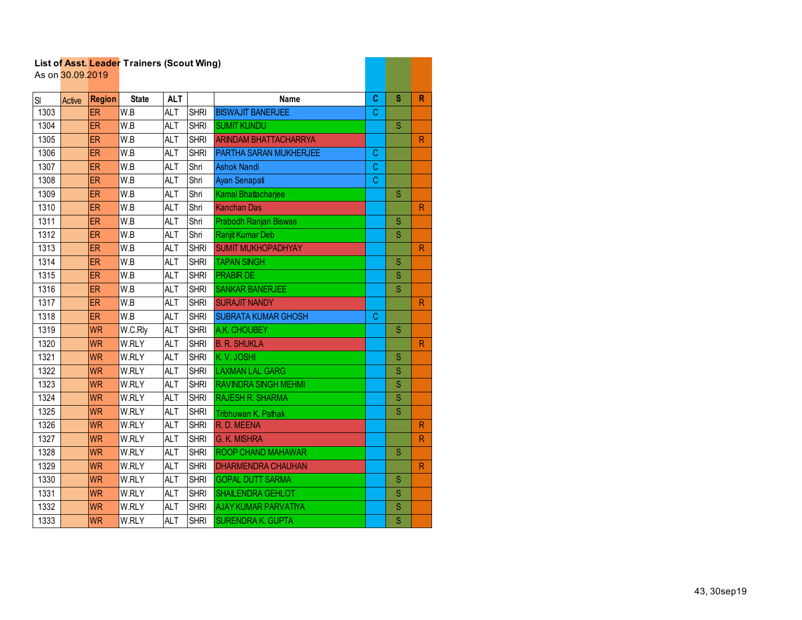|      |                  |               | List of Asst. Leader Trainers (Scout Wing) |            |             |                              |    |                         |                         |
|------|------------------|---------------|--------------------------------------------|------------|-------------|------------------------------|----|-------------------------|-------------------------|
|      | As on 30.09.2019 |               |                                            |            |             |                              |    |                         |                         |
| SI   | Active           | <b>Region</b> | <b>State</b>                               | <b>ALT</b> |             | <b>Name</b>                  | C  | S                       | R                       |
| 1303 |                  | ER            | W.B                                        | <b>ALT</b> | <b>SHRI</b> | <b>BISWAJIT BANERJEE</b>     | C  |                         |                         |
| 1304 |                  | ER            | $\overline{\mathsf{W.B}}$                  | <b>ALT</b> | <b>SHRI</b> | <b>SUMIT KUNDU</b>           |    | $\overline{\mathbf{S}}$ |                         |
| 1305 |                  | <b>ER</b>     | W.B                                        | <b>ALT</b> | <b>SHRI</b> | <b>ARINDAM BHATTACHARRYA</b> |    |                         | $\overline{\mathsf{R}}$ |
| 1306 |                  | <b>ER</b>     | W.B                                        | <b>ALT</b> | <b>SHRI</b> | PARTHA SARAN MUKHERJEE       | C. |                         |                         |
| 1307 |                  | ER            | W.B                                        | <b>ALT</b> | Shri        | <b>Ashok Nandi</b>           | C  |                         |                         |
| 1308 |                  | <b>ER</b>     | W.B                                        | ALT        | Shri        | Ayan Senapati                | C  |                         |                         |
| 1309 |                  | <b>ER</b>     | W.B                                        | <b>ALT</b> | Shri        | Kamal Bhattacharjee          |    | S                       |                         |
| 1310 |                  | <b>ER</b>     | W.B                                        | <b>ALT</b> | Shri        | <b>Kanchan Das</b>           |    |                         | $\mathsf{R}$            |
| 1311 |                  | <b>ER</b>     | W.B                                        | <b>ALT</b> | Shri        | Prabodh Ranjan Biswas        |    | S                       |                         |
| 1312 |                  | ER            | W.B                                        | <b>ALT</b> | Shri        | Ranjit Kumar Deb             |    | S                       |                         |
| 1313 |                  | ER            | W.B                                        | <b>ALT</b> | <b>SHRI</b> | <b>SUMIT MUKHOPADHYAY</b>    |    |                         | ${\sf R}$               |
| 1314 |                  | <b>ER</b>     | W.B                                        | <b>ALT</b> | <b>SHRI</b> | <b>TAPAN SINGH</b>           |    | S                       |                         |
| 1315 |                  | <b>ER</b>     | W.B                                        | <b>ALT</b> | <b>SHRI</b> | <b>PRABIR DE</b>             |    | S                       |                         |
| 1316 |                  | ER            | W.B                                        | <b>ALT</b> | <b>SHRI</b> | <b>SANKAR BANERJEE</b>       |    | S                       |                         |
| 1317 |                  | <b>ER</b>     | $\overline{\mathsf{W}.\mathsf{B}}$         | <b>ALT</b> | <b>SHRI</b> | <b>SURAJIT NANDY</b>         |    |                         | R                       |
| 1318 |                  | <b>ER</b>     | W.B                                        | <b>ALT</b> | <b>SHRI</b> | <b>SUBRATA KUMAR GHOSH</b>   | C. |                         |                         |
| 1319 |                  | <b>WR</b>     | W.C.Rly                                    | <b>ALT</b> | <b>SHRI</b> | A.K. CHOUBEY                 |    | S                       |                         |
| 1320 |                  | <b>WR</b>     | W.RLY                                      | <b>ALT</b> | <b>SHRI</b> | <b>B. R. SHUKLA</b>          |    |                         | $\mathsf{R}$            |
| 1321 |                  | <b>WR</b>     | W.RLY                                      | <b>ALT</b> | <b>SHRI</b> | K.V. JOSHI                   |    | S                       |                         |
| 1322 |                  | <b>WR</b>     | W.RLY                                      | <b>ALT</b> | <b>SHRI</b> | <b>LAXMAN LAL GARG</b>       |    | S                       |                         |
| 1323 |                  | <b>WR</b>     | W.RLY                                      | <b>ALT</b> | <b>SHRI</b> | <b>RAVINDRA SINGH MEHMI</b>  |    | S                       |                         |
| 1324 |                  | <b>WR</b>     | W.RLY                                      | <b>ALT</b> | <b>SHRI</b> | <b>RAJESH R. SHARMA</b>      |    | S                       |                         |
| 1325 |                  | <b>WR</b>     | W.RLY                                      | <b>ALT</b> | <b>SHRI</b> | Tribhuwan K. Pathak          |    | S                       |                         |
| 1326 |                  | <b>WR</b>     | W.RLY                                      | <b>ALT</b> | <b>SHRI</b> | R.D. MEENA                   |    |                         | R                       |
| 1327 |                  | <b>WR</b>     | W.RLY                                      | <b>ALT</b> | <b>SHRI</b> | <b>G. K. MISHRA</b>          |    |                         | R                       |
| 1328 |                  | <b>WR</b>     | W.RLY                                      | <b>ALT</b> | <b>SHRI</b> | ROOP CHAND MAHAWAR           |    | S                       |                         |
| 1329 |                  | <b>WR</b>     | W.RLY                                      | <b>ALT</b> | <b>SHRI</b> | <b>DHARMENDRA CHAUHAN</b>    |    |                         | R                       |
| 1330 |                  | <b>WR</b>     | W.RLY                                      | <b>ALT</b> | <b>SHRI</b> | <b>GOPAL DUTT SARMA</b>      |    | S                       |                         |
| 1331 |                  | <b>WR</b>     | W.RLY                                      | <b>ALT</b> | <b>SHRI</b> | <b>SHAILENDRA GEHLOT</b>     |    | S                       |                         |
| 1332 |                  | <b>WR</b>     | W.RLY                                      | <b>ALT</b> | <b>SHRI</b> | <b>AJAY KUMAR PARVATIYA</b>  |    | $\mathbf S$             |                         |
| 1333 |                  | <b>WR</b>     | W.RLY                                      | <b>ALT</b> | <b>SHRI</b> | <b>SURENDRA K. GUPTA</b>     |    | $\overline{\mathsf{S}}$ |                         |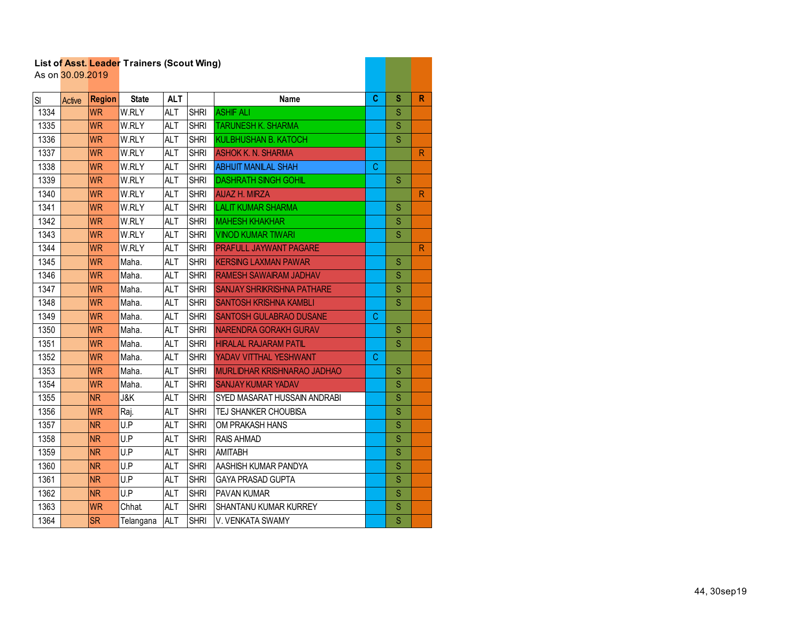| List of Asst. Leader Trainers (Scout Wing)<br>As on 30.09.2019 |               |               |                |            |             |                                    |   |                         |              |
|----------------------------------------------------------------|---------------|---------------|----------------|------------|-------------|------------------------------------|---|-------------------------|--------------|
|                                                                |               |               |                |            |             |                                    |   |                         |              |
| SI                                                             | <b>Active</b> | <b>Region</b> | <b>State</b>   | <b>ALT</b> |             | <b>Name</b>                        | C | s                       | R            |
| 1334                                                           |               | <b>WR</b>     | W.RLY          | <b>ALT</b> | <b>SHRI</b> | <b>ASHIF ALI</b>                   |   | S                       |              |
| 1335                                                           |               | <b>WR</b>     | W.RLY          | <b>ALT</b> | <b>SHRI</b> | <b>TARUNESH K. SHARMA</b>          |   | $\mathbf S$             |              |
| 1336                                                           |               | <b>WR</b>     | W.RLY          | <b>ALT</b> | <b>SHRI</b> | <b>KULBHUSHAN B. KATOCH</b>        |   | S                       |              |
| 1337                                                           |               | <b>WR</b>     | W.RLY          | <b>ALT</b> | <b>SHRI</b> | <b>ASHOK K. N. SHARMA</b>          |   |                         | $\mathsf{R}$ |
| 1338                                                           |               | <b>WR</b>     | W.RLY          | <b>ALT</b> | <b>SHRI</b> | <b>ABHIJIT MANILAL SHAH</b>        | С |                         |              |
| 1339                                                           |               | <b>WR</b>     | W.RLY          | <b>ALT</b> | <b>SHRI</b> | <b>DASHRATH SINGH GOHIL</b>        |   | S                       |              |
| 1340                                                           |               | <b>WR</b>     | W.RLY          | <b>ALT</b> | <b>SHRI</b> | <b>AIJAZ H. MIRZA</b>              |   |                         | R            |
| 1341                                                           |               | <b>WR</b>     | W.RLY          | <b>ALT</b> | <b>SHRI</b> | <b>LALIT KUMAR SHARMA</b>          |   | S                       |              |
| 1342                                                           |               | <b>WR</b>     | W.RLY          | <b>ALT</b> | <b>SHRI</b> | <b>MAHESH KHAKHAR</b>              |   | S                       |              |
| 1343                                                           |               | <b>WR</b>     | W.RLY          | <b>ALT</b> | <b>SHRI</b> | <b>VINOD KUMAR TIWARI</b>          |   | S                       |              |
| 1344                                                           |               | <b>WR</b>     | W.RLY          | <b>ALT</b> | <b>SHRI</b> | <b>PRAFULL JAYWANT PAGARE</b>      |   |                         | ${\sf R}$    |
| 1345                                                           |               | <b>WR</b>     | Maha.          | <b>ALT</b> | <b>SHRI</b> | <b>KERSING LAXMAN PAWAR</b>        |   | S                       |              |
| 1346                                                           |               | <b>WR</b>     | Maha.          | <b>ALT</b> | <b>SHRI</b> | <b>RAMESH SAWAIRAM JADHAV</b>      |   | S                       |              |
| 1347                                                           |               | <b>WR</b>     | Maha.          | <b>ALT</b> | <b>SHRI</b> | <b>SANJAY SHRIKRISHNA PATHARE</b>  |   | $\mathbf S$             |              |
| 1348                                                           |               | <b>WR</b>     | Maha.          | <b>ALT</b> | <b>SHRI</b> | <b>SANTOSH KRISHNA KAMBLI</b>      |   | S                       |              |
| 1349                                                           |               | <b>WR</b>     | Maha.          | <b>ALT</b> | <b>SHRI</b> | <b>SANTOSH GULABRAO DUSANE</b>     | С |                         |              |
| 1350                                                           |               | <b>WR</b>     | Maha.          | <b>ALT</b> | <b>SHRI</b> | NARENDRA GORAKH GURAV              |   | S                       |              |
| 1351                                                           |               | <b>WR</b>     | Maha.          | <b>ALT</b> | <b>SHRI</b> | <b>HIRALAL RAJARAM PATIL</b>       |   | S                       |              |
| 1352                                                           |               | <b>WR</b>     | Maha.          | <b>ALT</b> | <b>SHRI</b> | YADAV VITTHAL YESHWANT             | С |                         |              |
| 1353                                                           |               | <b>WR</b>     | Maha.          | <b>ALT</b> | <b>SHRI</b> | <b>MURLIDHAR KRISHNARAO JADHAO</b> |   | S                       |              |
| 1354                                                           |               | <b>WR</b>     | Maha.          | <b>ALT</b> | <b>SHRI</b> | <b>SANJAY KUMAR YADAV</b>          |   | S                       |              |
| 1355                                                           |               | <b>NR</b>     | <b>J&amp;K</b> | <b>ALT</b> | <b>SHRI</b> | SYED MASARAT HUSSAIN ANDRABI       |   | S                       |              |
| 1356                                                           |               | <b>WR</b>     | Raj.           | <b>ALT</b> | <b>SHRI</b> | TEJ SHANKER CHOUBISA               |   | S                       |              |
| 1357                                                           |               | <b>NR</b>     | U.P            | <b>ALT</b> | <b>SHRI</b> | OM PRAKASH HANS                    |   | S                       |              |
| 1358                                                           |               | <b>NR</b>     | U.P            | <b>ALT</b> | <b>SHRI</b> | <b>RAIS AHMAD</b>                  |   | S                       |              |
| 1359                                                           |               | <b>NR</b>     | U.P            | <b>ALT</b> | <b>SHRI</b> | <b>AMITABH</b>                     |   | S                       |              |
| 1360                                                           |               | <b>NR</b>     | U.P            | <b>ALT</b> | <b>SHRI</b> | AASHISH KUMAR PANDYA               |   | $\overline{\mathbf{s}}$ |              |
| 1361                                                           |               | <b>NR</b>     | U.P            | <b>ALT</b> | <b>SHRI</b> | <b>GAYA PRASAD GUPTA</b>           |   | S                       |              |
| 1362                                                           |               | <b>NR</b>     | U.P            | <b>ALT</b> | <b>SHRI</b> | PAVAN KUMAR                        |   | S                       |              |
| 1363                                                           |               | <b>WR</b>     | Chhat.         | <b>ALT</b> | <b>SHRI</b> | SHANTANU KUMAR KURREY              |   | S                       |              |
| 1364                                                           |               | <b>SR</b>     | Telangana      | <b>ALT</b> | <b>SHRI</b> | V. VENKATA SWAMY                   |   | $\overline{\mathbf{S}}$ |              |

and the control of the control of the